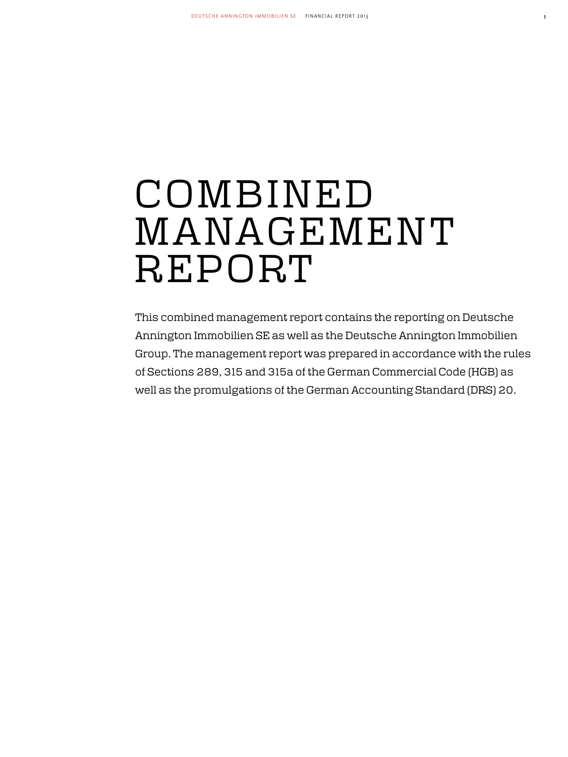# COMBINED MANAGEMENT **REPORT**

This combined management report contains the reporting on Deutsche Annington Immobilien SE as well as the Deutsche Annington Immobilien Group. The management report was prepared in accordance with the rules of Sections 289, 315 and 315a of the German Commercial Code (HGB) as well as the promulgations of the German Accounting Standard (DRS) 20.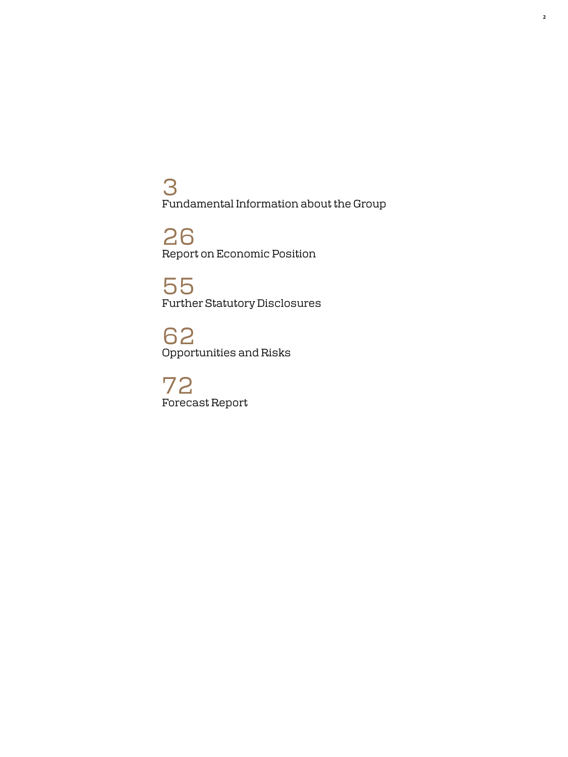3 Fundamental Information about the Group

26 Report on Economic Position

55 Further Statutory Disclosures

62 Opportunities and Risks

72 Forecast Report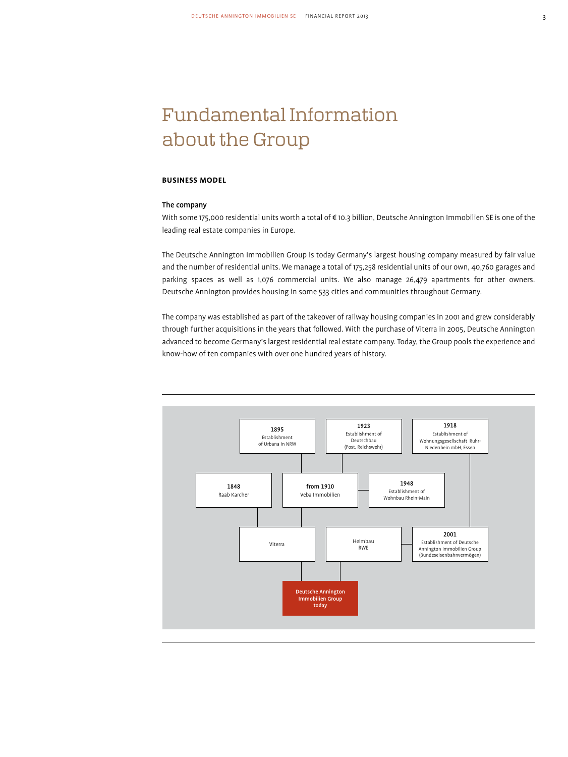# Fundamental Information about the Group

# **Business Model**

# The company

With some 175,000 residential units worth a total of € 10.3 billion, Deutsche Annington Immobilien SE is one of the leading real estate companies in Europe.

The Deutsche Annington Immobilien Group is today Germany's largest housing company measured by fair value and the number of residential units. We manage a total of 175,258 residential units of our own, 40,760 garages and parking spaces as well as 1,076 commercial units. We also manage 26,479 apartments for other owners. Deutsche Annington provides housing in some 533 cities and communities throughout Germany.

The company was established as part of the takeover of railway housing companies in 2001 and grew considerably through further acquisitions in the years that followed. With the purchase of Viterra in 2005, Deutsche Annington advanced to become Germany's largest residential real estate company. Today, the Group pools the experience and know-how of ten companies with over one hundred years of history.

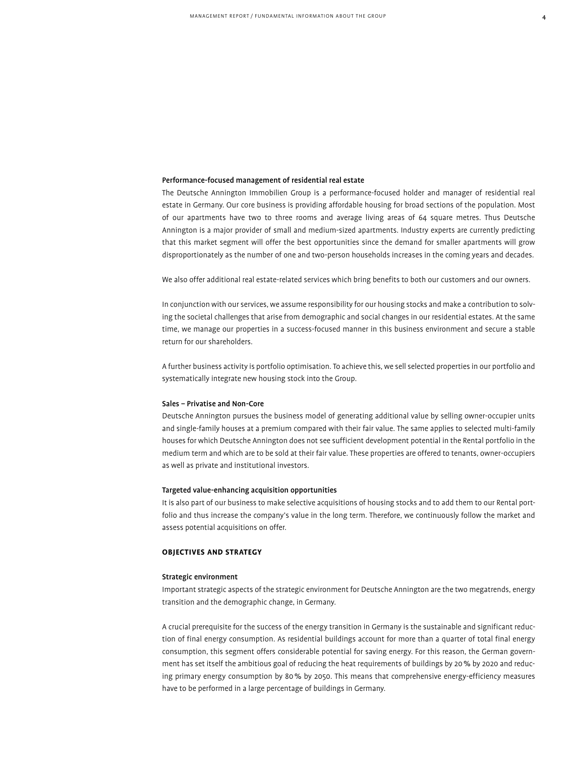# Performance-focused management of residential real estate

The Deutsche Annington Immobilien Group is a performance-focused holder and manager of residential real estate in Germany. Our core business is providing affordable housing for broad sections of the population. Most of our apartments have two to three rooms and average living areas of 64 square metres. Thus Deutsche Annington is a major provider of small and medium-sized apartments. Industry experts are currently predicting that this market segment will offer the best opportunities since the demand for smaller apartments will grow disproportionately as the number of one and two-person households increases in the coming years and decades.

We also offer additional real estate-related services which bring benefits to both our customers and our owners.

In conjunction with our services, we assume responsibility for our housing stocks and make a contribution to solving the societal challenges that arise from demographic and social changes in our residential estates. At the same time, we manage our properties in a success-focused manner in this business environment and secure a stable return for our shareholders.

A further business activity is portfolio optimisation. To achieve this, we sell selected properties in our portfolio and systematically integrate new housing stock into the Group.

# Sales – Privatise and Non-Core

Deutsche Annington pursues the business model of generating additional value by selling owner-occupier units and single-family houses at a premium compared with their fair value. The same applies to selected multi-family houses for which Deutsche Annington does not see sufficient development potential in the Rental portfolio in the medium term and which are to be sold at their fair value. These properties are offered to tenants, owner-occupiers as well as private and institutional investors.

# Targeted value-enhancing acquisition opportunities

It is also part of our business to make selective acquisitions of housing stocks and to add them to our Rental portfolio and thus increase the company's value in the long term. Therefore, we continuously follow the market and assess potential acquisitions on offer.

# **Objectives and Strategy**

# Strategic environment

Important strategic aspects of the strategic environment for Deutsche Annington are the two megatrends, energy transition and the demographic change, in Germany.

A crucial prerequisite for the success of the energy transition in Germany is the sustainable and significant reduction of final energy consumption. As residential buildings account for more than a quarter of total final energy consumption, this segment offers considerable potential for saving energy. For this reason, the German government has set itself the ambitious goal of reducing the heat requirements of buildings by 20% by 2020 and reducing primary energy consumption by 80% by 2050. This means that comprehensive energy-efficiency measures have to be performed in a large percentage of buildings in Germany.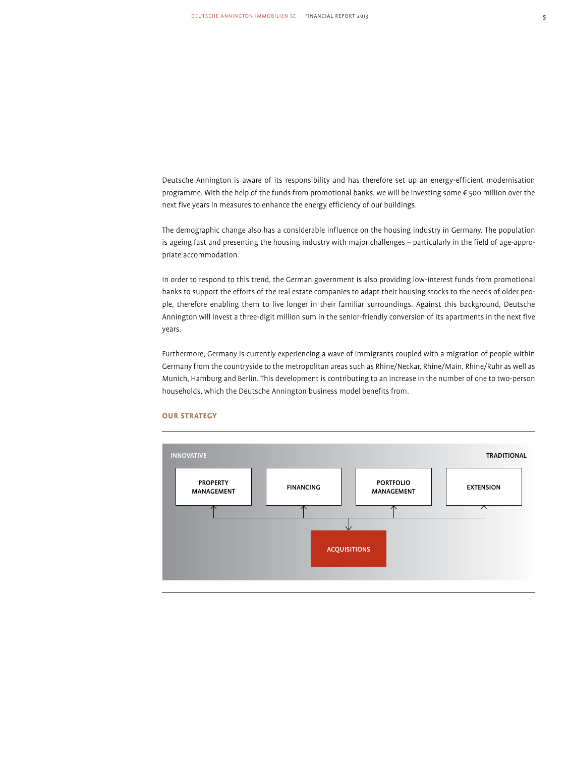Deutsche Annington is aware of its responsibility and has therefore set up an energy-efficient modernisation programme. With the help of the funds from promotional banks, we will be investing some € 500 million over the next five years in measures to enhance the energy efficiency of our buildings.

The demographic change also has a considerable influence on the housing industry in Germany. The population is ageing fast and presenting the housing industry with major challenges – particularly in the field of age-appropriate accommodation.

In order to respond to this trend, the German government is also providing low-interest funds from promotional banks to support the efforts of the real estate companies to adapt their housing stocks to the needs of older people, therefore enabling them to live longer in their familiar surroundings. Against this background, Deutsche Annington will invest a three-digit million sum in the senior-friendly conversion of its apartments in the next five years.

Furthermore, Germany is currently experiencing a wave of immigrants coupled with a migration of people within Germany from the countryside to the metropolitan areas such as Rhine/Neckar, Rhine/Main, Rhine/Ruhr as well as Munich, Hamburg and Berlin. This development is contributing to an increase in the number of one to two-person households, which the Deutsche Annington business model benefits from.



# **Our strategy**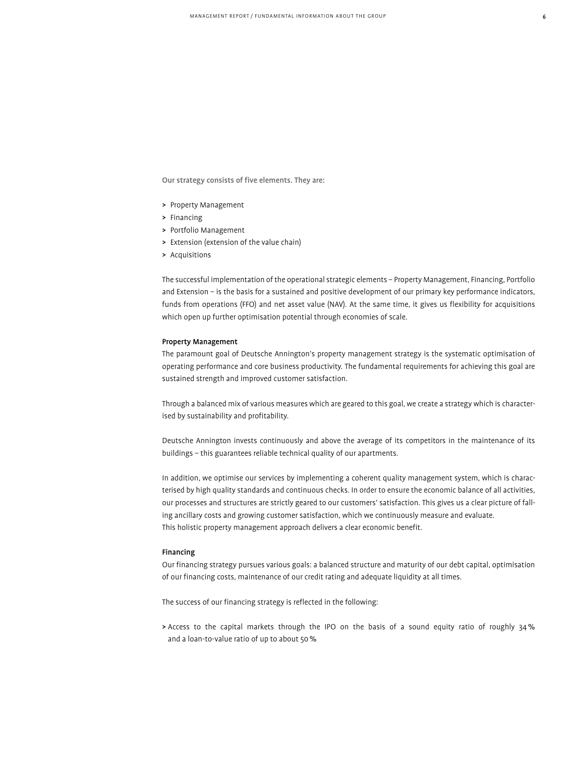Our strategy consists of five elements. They are:

- > Property Management
- > Financing
- > Portfolio Management
- > Extension (extension of the value chain)
- > Acquisitions

The successful implementation of the operational strategic elements – Property Management, Financing, Portfolio and Extension – is the basis for a sustained and positive development of our primary key performance indicators, funds from operations (FFO) and net asset value (NAV). At the same time, it gives us flexibility for acquisitions which open up further optimisation potential through economies of scale.

# Property Management

The paramount goal of Deutsche Annington's property management strategy is the systematic optimisation of operating performance and core business productivity. The fundamental requirements for achieving this goal are sustained strength and improved customer satisfaction.

Through a balanced mix of various measures which are geared to this goal, we create a strategy which is characterised by sustainability and profitability.

Deutsche Annington invests continuously and above the average of its competitors in the maintenance of its buildings – this guarantees reliable technical quality of our apartments.

In addition, we optimise our services by implementing a coherent quality management system, which is characterised by high quality standards and continuous checks. In order to ensure the economic balance of all activities, our processes and structures are strictly geared to our customers' satisfaction. This gives us a clear picture of falling ancillary costs and growing customer satisfaction, which we continuously measure and evaluate. This holistic property management approach delivers a clear economic benefit.

# Financing

Our financing strategy pursues various goals: a balanced structure and maturity of our debt capital, optimisation of our financing costs, maintenance of our credit rating and adequate liquidity at all times.

The success of our financing strategy is reflected in the following:

> Access to the capital markets through the IPO on the basis of a sound equity ratio of roughly 34% and a loan-to-value ratio of up to about 50%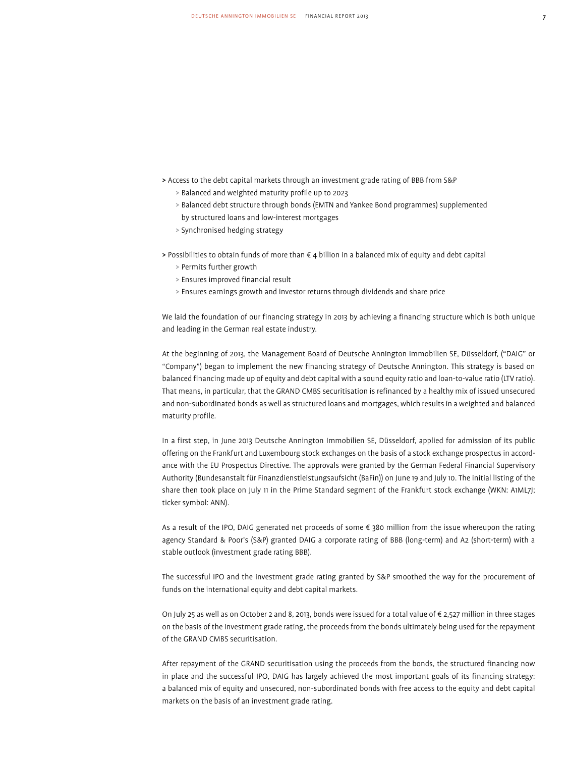- > Access to the debt capital markets through an investment grade rating of BBB from S&P
	- > Balanced and weighted maturity profile up to 2023
	- > Balanced debt structure through bonds (EMTN and Yankee Bond programmes) supplemented by structured loans and low-interest mortgages
	- > Synchronised hedging strategy

> Possibilities to obtain funds of more than € 4 billion in a balanced mix of equity and debt capital

- > Permits further growth
- > Ensures improved financial result
- > Ensures earnings growth and investor returns through dividends and share price

We laid the foundation of our financing strategy in 2013 by achieving a financing structure which is both unique and leading in the German real estate industry.

At the beginning of 2013, the Management Board of Deutsche Annington Immobilien SE, Düsseldorf, ("DAIG" or "Company") began to implement the new financing strategy of Deutsche Annington. This strategy is based on balanced financing made up of equity and debt capital with a sound equity ratio and loan-to-value ratio (LTV ratio). That means, in particular, that the GRAND CMBS securitisation is refinanced by a healthy mix of issued unsecured and non-subordinated bonds as well as structured loans and mortgages, which results in a weighted and balanced maturity profile.

In a first step, in June 2013 Deutsche Annington Immobilien SE, Düsseldorf, applied for admission of its public offering on the Frankfurt and Luxembourg stock exchanges on the basis of a stock exchange prospectus in accordance with the EU Prospectus Directive. The approvals were granted by the German Federal Financial Supervisory Authority (Bundesanstalt für Finanzdienstleistungsaufsicht (BaFin)) on June 19 and July 10. The initial listing of the share then took place on July 11 in the Prime Standard segment of the Frankfurt stock exchange (WKN: A1ML7J; ticker symbol: ANN).

As a result of the IPO, DAIG generated net proceeds of some € 380 million from the issue whereupon the rating agency Standard & Poor's (S&P) granted DAIG a corporate rating of BBB (long-term) and A2 (short-term) with a stable outlook (investment grade rating BBB).

The successful IPO and the investment grade rating granted by S&P smoothed the way for the procurement of funds on the international equity and debt capital markets.

On July 25 as well as on October 2 and 8, 2013, bonds were issued for a total value of € 2,527 million in three stages on the basis of the investment grade rating, the proceeds from the bonds ultimately being used for the repayment of the GRAND CMBS securitisation.

After repayment of the GRAND securitisation using the proceeds from the bonds, the structured financing now in place and the successful IPO, DAIG has largely achieved the most important goals of its financing strategy: a balanced mix of equity and unsecured, non-subordinated bonds with free access to the equity and debt capital markets on the basis of an investment grade rating.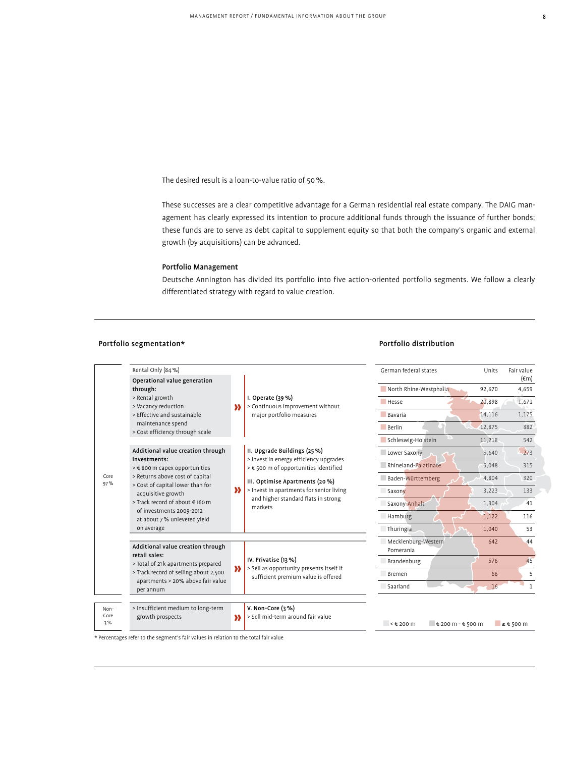The desired result is a loan-to-value ratio of 50%.

These successes are a clear competitive advantage for a German residential real estate company. The DAIG management has clearly expressed its intention to procure additional funds through the issuance of further bonds; these funds are to serve as debt capital to supplement equity so that both the company's organic and external growth (by acquisitions) can be advanced.

# Portfolio Management

Deutsche Annington has divided its portfolio into five action-oriented portfolio segments. We follow a clearly differentiated strategy with regard to value creation.

# Portfolio segmentation\* The controller of the Portfolio distribution  $P$ ortfolio distribution

(€m)

|                    | Rental Only (84 %)                                                                        |                        |                                                                                                                 | German federal states                              | Units  | Fair value              |
|--------------------|-------------------------------------------------------------------------------------------|------------------------|-----------------------------------------------------------------------------------------------------------------|----------------------------------------------------|--------|-------------------------|
|                    | Operational value generation<br>through:                                                  |                        |                                                                                                                 | North Rhine-Westphalia                             | 92,670 | $(\epsilon m)$<br>4,659 |
|                    | > Rental growth<br>> Vacancy reduction<br>> Effective and sustainable                     |                        | I. Operate $(39%)$<br>> Continuous improvement without                                                          | Hesse                                              | 20,898 | 1,671                   |
|                    |                                                                                           | И                      | major portfolio measures                                                                                        | Bavaria                                            | 14,116 | 1,175                   |
|                    | maintenance spend<br>> Cost efficiency through scale                                      |                        |                                                                                                                 | <b>Berlin</b>                                      | 12,875 | 882                     |
|                    |                                                                                           |                        |                                                                                                                 | Schleswig-Holstein                                 | 11,218 | 542                     |
| Core<br>97%        | Additional value creation through                                                         |                        | II. Upgrade Buildings (25 %)<br>> Invest in energy efficiency upgrades<br>> € 500 m of opportunities identified | Lower Saxony                                       | 5.640  | 273                     |
|                    | investments:<br>> € 800 m capex opportunities                                             |                        |                                                                                                                 | Rhineland-Palatinate                               | 5,048  | 315                     |
|                    | > Returns above cost of capital<br>> Cost of capital lower than for<br>acquisitive growth |                        | III. Optimise Apartments (20 %)                                                                                 | Baden-Württemberg                                  | 4,804  | 320                     |
|                    |                                                                                           | »                      | > Invest in apartments for senior living<br>and higher standard flats in strong<br>markets                      | Saxony                                             | 3,223  | 133                     |
|                    | > Track record of about € 160 m                                                           |                        |                                                                                                                 | Saxony-Anhalt                                      | 1,304  | 41                      |
|                    | of investments 2009-2012<br>at about 7% unlevered yield                                   |                        |                                                                                                                 | Hamburg                                            | 1,122  | 116                     |
|                    | on average                                                                                |                        |                                                                                                                 | Thuringia                                          | 1,040  | 53                      |
|                    | Additional value creation through<br>retail sales:                                        |                        | IV. Privatise (13 %)                                                                                            | Mecklenburg-Western<br>Pomerania                   | 642    | 44                      |
|                    | > Total of 21 k apartments prepared                                                       |                        |                                                                                                                 | Brandenburg                                        | 576    | 45                      |
|                    | > Track record of selling about 2,500                                                     | $\boldsymbol{\lambda}$ | > Sell as opportunity presents itself if<br>sufficient premium value is offered                                 | <b>Bremen</b>                                      | 66     | 5                       |
|                    | apartments > 20% above fair value<br>per annum                                            |                        |                                                                                                                 | Saarland                                           | 16     |                         |
| Non-<br>Core<br>3% | > Insufficient medium to long-term<br>growth prospects                                    | »                      | V. Non-Core $(3, %)$<br>> Sell mid-term around fair value                                                       | $\leq \epsilon$ 200 m<br>$\in$ 200 m - $\in$ 500 m |        | $\geq \epsilon$ 500 m   |

\* Percentages refer to the segment's fair values in relation to the total fair value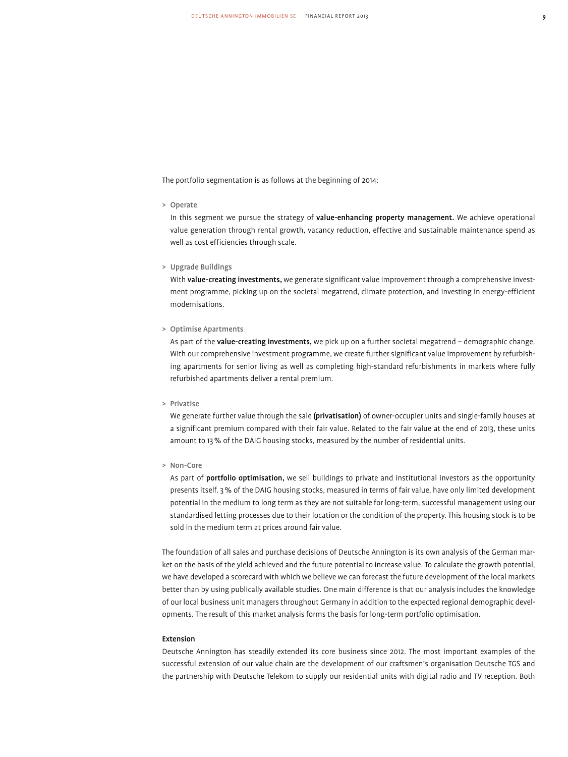The portfolio segmentation is as follows at the beginning of 2014:

> Operate

In this segment we pursue the strategy of value-enhancing property management. We achieve operational value generation through rental growth, vacancy reduction, effective and sustainable maintenance spend as well as cost efficiencies through scale.

> Upgrade Buildings

With value-creating investments, we generate significant value improvement through a comprehensive investment programme, picking up on the societal megatrend, climate protection, and investing in energy-efficient modernisations.

> Optimise Apartments

As part of the value-creating investments, we pick up on a further societal megatrend - demographic change. With our comprehensive investment programme, we create further significant value improvement by refurbishing apartments for senior living as well as completing high-standard refurbishments in markets where fully refurbished apartments deliver a rental premium.

> Privatise

We generate further value through the sale (privatisation) of owner-occupier units and single-family houses at a significant premium compared with their fair value. Related to the fair value at the end of 2013, these units amount to 13% of the DAIG housing stocks, measured by the number of residential units.

> Non-Core

 As part of portfolio optimisation, we sell buildings to private and institutional investors as the opportunity presents itself. 3% of the DAIG housing stocks, measured in terms of fair value, have only limited development potential in the medium to long term as they are not suitable for long-term, successful management using our standardised letting processes due to their location or the condition of the property. This housing stock is to be sold in the medium term at prices around fair value.

The foundation of all sales and purchase decisions of Deutsche Annington is its own analysis of the German market on the basis of the yield achieved and the future potential to increase value. To calculate the growth potential, we have developed a scorecard with which we believe we can forecast the future development of the local markets better than by using publically available studies. One main difference is that our analysis includes the knowledge of our local business unit managers throughout Germany in addition to the expected regional demographic developments. The result of this market analysis forms the basis for long-term portfolio optimisation.

# Extension

Deutsche Annington has steadily extended its core business since 2012. The most important examples of the successful extension of our value chain are the development of our craftsmen's organisation Deutsche TGS and the partnership with Deutsche Telekom to supply our residential units with digital radio and TV reception. Both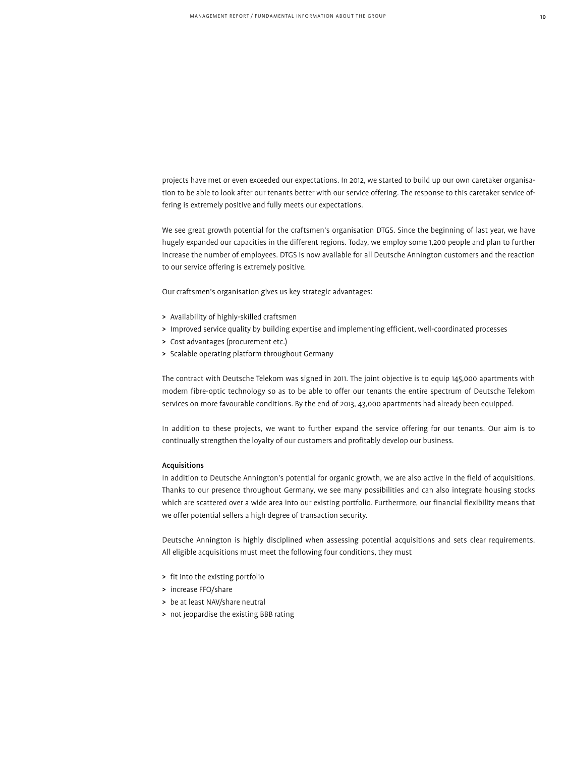projects have met or even exceeded our expectations. In 2012, we started to build up our own caretaker organisation to be able to look after our tenants better with our service offering. The response to this caretaker service offering is extremely positive and fully meets our expectations.

We see great growth potential for the craftsmen's organisation DTGS. Since the beginning of last year, we have hugely expanded our capacities in the different regions. Today, we employ some 1,200 people and plan to further increase the number of employees. DTGS is now available for all Deutsche Annington customers and the reaction to our service offering is extremely positive.

Our craftsmen's organisation gives us key strategic advantages:

- > Availability of highly-skilled craftsmen
- > Improved service quality by building expertise and implementing efficient, well-coordinated processes
- > Cost advantages (procurement etc.)
- > Scalable operating platform throughout Germany

The contract with Deutsche Telekom was signed in 2011. The joint objective is to equip 145,000 apartments with modern fibre-optic technology so as to be able to offer our tenants the entire spectrum of Deutsche Telekom services on more favourable conditions. By the end of 2013, 43,000 apartments had already been equipped.

In addition to these projects, we want to further expand the service offering for our tenants. Our aim is to continually strengthen the loyalty of our customers and profitably develop our business.

# Acquisitions

In addition to Deutsche Annington's potential for organic growth, we are also active in the field of acquisitions. Thanks to our presence throughout Germany, we see many possibilities and can also integrate housing stocks which are scattered over a wide area into our existing portfolio. Furthermore, our financial flexibility means that we offer potential sellers a high degree of transaction security.

Deutsche Annington is highly disciplined when assessing potential acquisitions and sets clear requirements. All eligible acquisitions must meet the following four conditions, they must

- > fit into the existing portfolio
- > increase FFO/share
- > be at least NAV/share neutral
- > not jeopardise the existing BBB rating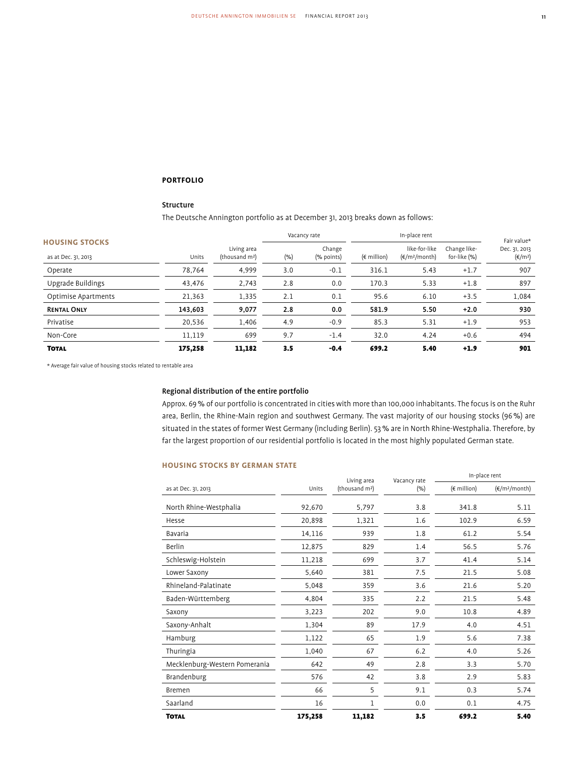# **Portfolio**

# Structure

The Deutsche Annington portfolio as at December 31, 2013 breaks down as follows:

|                                              |         |                                           |      | Vacancy rate         |                      | In-place rent                            |                              | Fair value*                       |
|----------------------------------------------|---------|-------------------------------------------|------|----------------------|----------------------|------------------------------------------|------------------------------|-----------------------------------|
| <b>HOUSING STOCKS</b><br>as at Dec. 31, 2013 | Units   | Living area<br>(thousand m <sup>2</sup> ) | (% ) | Change<br>(% points) | $(\epsilon$ million) | like-for-like<br>$(\epsilon/m^2/m$ onth) | Change like-<br>for-like (%) | Dec. 31, 2013<br>$(\epsilon/m^2)$ |
| Operate                                      | 78,764  | 4,999                                     | 3.0  | $-0.1$               | 316.1                | 5.43                                     | $+1.7$                       | 907                               |
| Upgrade Buildings                            | 43,476  | 2,743                                     | 2.8  | 0.0                  | 170.3                | 5.33                                     | $+1.8$                       | 897                               |
| Optimise Apartments                          | 21,363  | 1,335                                     | 2.1  | 0.1                  | 95.6                 | 6.10                                     | $+3.5$                       | 1,084                             |
| <b>RENTAL ONLY</b>                           | 143,603 | 9,077                                     | 2.8  | 0.0                  | 581.9                | 5.50                                     | $+2.0$                       | 930                               |
| Privatise                                    | 20,536  | 1,406                                     | 4.9  | $-0.9$               | 85.3                 | 5.31                                     | $+1.9$                       | 953                               |
| Non-Core                                     | 11,119  | 699                                       | 9.7  | $-1.4$               | 32.0                 | 4.24                                     | $+0.6$                       | 494                               |
| <b>TOTAL</b>                                 | 175.258 | 11,182                                    | 3.5  | $-0.4$               | 699.2                | 5.40                                     | $+1.9$                       | 901                               |

\* Average fair value of housing stocks related to rentable area

# Regional distribution of the entire portfolio

Approx. 69% of our portfolio is concentrated in cities with more than 100,000 inhabitants. The focus is on the Ruhr area, Berlin, the Rhine-Main region and southwest Germany. The vast majority of our housing stocks (96%) are situated in the states of former West Germany (including Berlin). 53% are in North Rhine-Westphalia. Therefore, by far the largest proportion of our residential portfolio is located in the most highly populated German state.

# **HOUSING STOCKS BY GERMAN STATE**

|                               |         | Living area                | Vacancy rate | In-place rent                |                           |  |
|-------------------------------|---------|----------------------------|--------------|------------------------------|---------------------------|--|
| as at Dec. 31, 2013           | Units   | (thousand m <sup>2</sup> ) | (% )         | $(\epsilon \text{ million})$ | (€/m <sup>2</sup> /month) |  |
| North Rhine-Westphalia        | 92,670  | 5,797                      | 3.8          | 341.8                        | 5.11                      |  |
| Hesse                         | 20,898  | 1,321                      | 1.6          | 102.9                        | 6.59                      |  |
| Bavaria                       | 14,116  | 939                        | 1.8          | 61.2                         | 5.54                      |  |
| Berlin                        | 12,875  | 829                        | 1.4          | 56.5                         | 5.76                      |  |
| Schleswig-Holstein            | 11,218  | 699                        | 3.7          | 41.4                         | 5.14                      |  |
| Lower Saxony                  | 5,640   | 381                        | 7.5          | 21.5                         | 5.08                      |  |
| Rhineland-Palatinate          | 5,048   | 359                        | 3.6          | 21.6                         | 5.20                      |  |
| Baden-Württemberg             | 4,804   | 335                        | 2.2          | 21.5                         | 5.48                      |  |
| Saxony                        | 3,223   | 202                        | 9.0          | 10.8                         | 4.89                      |  |
| Saxony-Anhalt                 | 1,304   | 89                         | 17.9         | 4.0                          | 4.51                      |  |
| Hamburg                       | 1,122   | 65                         | 1.9          | 5.6                          | 7.38                      |  |
| Thuringia                     | 1,040   | 67                         | 6.2          | 4.0                          | 5.26                      |  |
| Mecklenburg-Western Pomerania | 642     | 49                         | 2.8          | 3.3                          | 5.70                      |  |
| Brandenburg                   | 576     | 42                         | 3.8          | 2.9                          | 5.83                      |  |
| <b>Bremen</b>                 | 66      | 5                          | 9.1          | 0.3                          | 5.74                      |  |
| Saarland                      | 16      | 1                          | 0.0          | 0.1                          | 4.75                      |  |
| <b>TOTAL</b>                  | 175,258 | 11,182                     | 3.5          | 699.2                        | 5.40                      |  |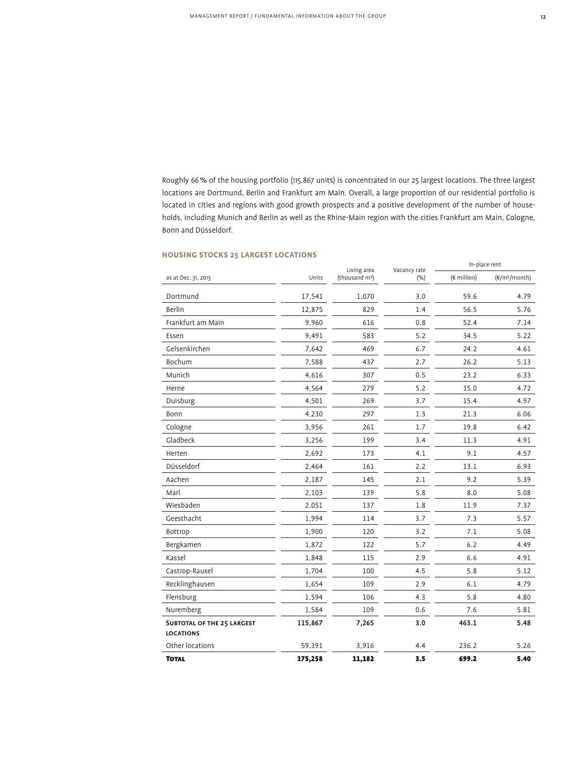Roughly 66% of the housing portfolio (115,867 units) is concentrated in our 25 largest locations. The three largest locations are Dortmund, Berlin and Frankfurt am Main. Overall, a large proportion of our residential portfolio is located in cities and regions with good growth prospects and a positive development of the number of households, including Munich and Berlin as well as the Rhine-Main region with the cities Frankfurt am Main, Cologne, Bonn and Düsseldorf.

# **HOUSING STOCKS 25 LARGEST LOCATIONS**

|                                                       |         | Living area                | Vacancy rate | In-place rent |                         |
|-------------------------------------------------------|---------|----------------------------|--------------|---------------|-------------------------|
| as at Dec. 31, 2013                                   | Units   | (thousand m <sup>2</sup> ) | (% )         | (€ million)   | $(\epsilon/m^2/m$ onth) |
| Dortmund                                              | 17,541  | 1,070                      | 3.0          | 59.6          | 4.79                    |
| Berlin                                                | 12,875  | 829                        | 1.4          | 56.5          | 5.76                    |
| Frankfurt am Main                                     | 9,960   | 616                        | 0.8          | 52.4          | 7.14                    |
| Essen                                                 | 9,491   | 583                        | 5.2          | 34.5          | 5.22                    |
| Gelsenkirchen                                         | 7,642   | 469                        | 6.7          | 24.2          | 4.61                    |
| Bochum                                                | 7,588   | 437                        | 2.7          | 26.2          | 5.13                    |
| Munich                                                | 4,616   | 307                        | 0.5          | 23.2          | 6.33                    |
| Herne                                                 | 4,564   | 279                        | 5.2          | 15.0          | 4.72                    |
| Duisburg                                              | 4,501   | 269                        | 3.7          | 15.4          | 4.97                    |
| Bonn                                                  | 4,230   | 297                        | 1.3          | 21.3          | 6.06                    |
| Cologne                                               | 3,956   | 261                        | 1.7          | 19.8          | 6.42                    |
| Gladbeck                                              | 3,256   | 199                        | 3.4          | 11.3          | 4.91                    |
| Herten                                                | 2,692   | 173                        | 4.1          | 9.1           | 4.57                    |
| Düsseldorf                                            | 2,464   | 161                        | 2.2          | 13.1          | 6.93                    |
| Aachen                                                | 2,187   | 145                        | 2.1          | 9.2           | 5.39                    |
| Marl                                                  | 2,103   | 139                        | 5.8          | 8.0           | 5.08                    |
| Wiesbaden                                             | 2,051   | 137                        | 1.8          | 11.9          | 7.37                    |
| Geesthacht                                            | 1,994   | 114                        | 3.7          | 7.3           | 5.57                    |
| Bottrop                                               | 1,900   | 120                        | 3.2          | 7.1           | 5.08                    |
| Bergkamen                                             | 1,872   | 122                        | 5.7          | 6.2           | 4.49                    |
| Kassel                                                | 1,848   | 115                        | 2.9          | 6.6           | 4.91                    |
| Castrop-Rauxel                                        | 1,704   | 100                        | 4.5          | 5.8           | 5.12                    |
| Recklinghausen                                        | 1,654   | 109                        | 2.9          | 6.1           | 4.79                    |
| Flensburg                                             | 1,594   | 106                        | 4.3          | 5.8           | 4.80                    |
| Nuremberg                                             | 1,584   | 109                        | 0.6          | 7.6           | 5.81                    |
| <b>SUBTOTAL OF THE 25 LARGEST</b><br><b>LOCATIONS</b> | 115,867 | 7,265                      | 3.0          | 463.1         | 5.48                    |
| Other locations                                       | 59,391  | 3,916                      | 4.4          | 236.2         | 5.26                    |
| <b>TOTAL</b>                                          | 175,258 | 11,182                     | 3.5          | 699.2         | 5.40                    |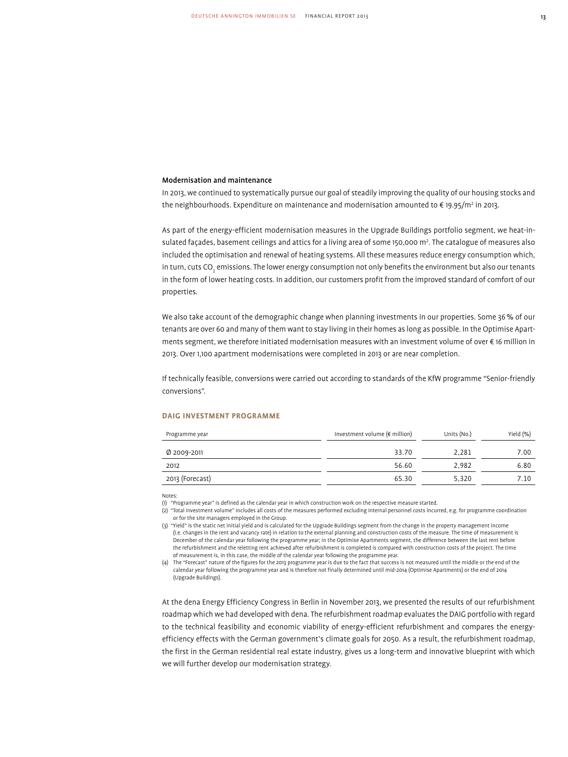# Modernisation and maintenance

In 2013, we continued to systematically pursue our goal of steadily improving the quality of our housing stocks and the neighbourhoods. Expenditure on maintenance and modernisation amounted to € 19.95/m² in 2013.

As part of the energy-efficient modernisation measures in the Upgrade Buildings portfolio segment, we heat-insulated façades, basement ceilings and attics for a living area of some 150,000 m<sup>2</sup> . The catalogue of measures also included the optimisation and renewal of heating systems. All these measures reduce energy consumption which, in turn, cuts CO<sub>2</sub> emissions. The lower energy consumption not only benefits the environment but also our tenants in the form of lower heating costs. In addition, our customers profit from the improved standard of comfort of our properties.

We also take account of the demographic change when planning investments in our properties. Some 36% of our tenants are over 60 and many of them want to stay living in their homes as long as possible. In the Optimise Apartments segment, we therefore initiated modernisation measures with an investment volume of over € 16 million in 2013. Over 1,100 apartment modernisations were completed in 2013 or are near completion.

If technically feasible, conversions were carried out according to standards of the KfW programme "Senior-friendly conversions".

### **DAIG Investment programme**

| Programme year  | Investment volume ( $\notin$ million) | Units (No.) | Yield (%) |
|-----------------|---------------------------------------|-------------|-----------|
| Ø 2009-2011     | 33.70                                 | 2.281       | 7.00      |
| 2012            | 56.60                                 | 2.982       | 6.80      |
| 2013 (Forecast) | 65.30                                 | 5.320       | 7.10      |

Notes:

(1) "Programme year" is defined as the calendar year in which construction work on the respective measure started.

(2) "Total investment volume" includes all costs of the measures performed excluding internal personnel costs incurred, e.g. for programme coordination or for the site managers employed in the Group.

(3) "Yield" is the static net initial yield and is calculated for the Upgrade Buildings segment from the change in the property management income (i.e. changes in the rent and vacancy rate) in relation to the external planning and construction costs of the measure. The time of measurement is December of the calendar year following the programme year; in the Optimise Apartments segment, the difference between the last rent before the refurbishment and the reletting rent achieved after refurbishment is completed is compared with construction costs of the project. The time of measurement is, in this case, the middle of the calendar year following the programme year.

(4) The "Forecast" nature of the figures for the 2013 programme year is due to the fact that success is not measured until the middle or the end of the calendar year following the programme year and is therefore not finally determined until mid-2014 (Optimise Apartments) or the end of 2014 (Upgrade Buildings).

At the dena Energy Efficiency Congress in Berlin in November 2013, we presented the results of our refurbishment roadmap which we had developed with dena. The refurbishment roadmap evaluates the DAIG portfolio with regard to the technical feasibility and economic viability of energy-efficient refurbishment and compares the energyefficiency effects with the German government's climate goals for 2050. As a result, the refurbishment roadmap, the first in the German residential real estate industry, gives us a long-term and innovative blueprint with which we will further develop our modernisation strategy.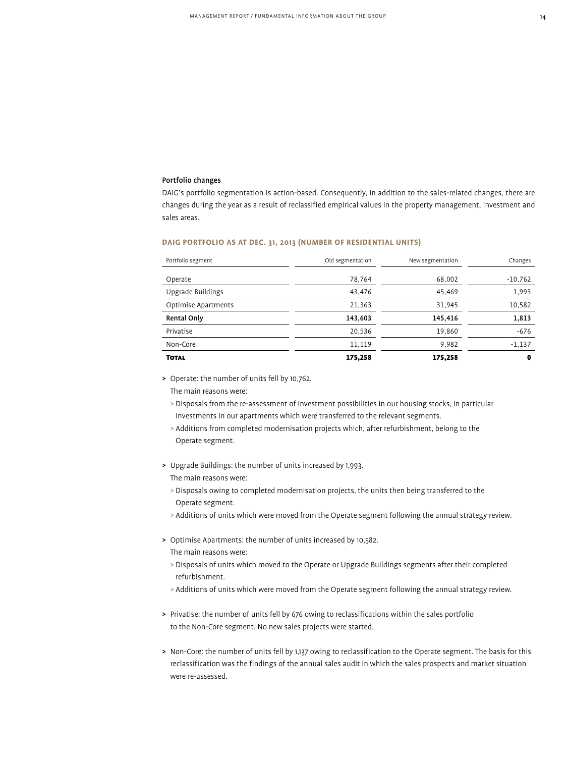# Portfolio changes

DAIG's portfolio segmentation is action-based. Consequently, in addition to the sales-related changes, there are changes during the year as a result of reclassified empirical values in the property management, investment and sales areas.

# **DAIG Portfolio as at Dec. 31, 2013 (number of residential units)**

| Portfolio segment   | Old segmentation | New segmentation | Changes     |
|---------------------|------------------|------------------|-------------|
| Operate             | 78,764           | 68,002           | $-10,762$   |
|                     |                  |                  |             |
| Upgrade Buildings   | 43,476           | 45,469           | 1,993       |
| Optimise Apartments | 21,363           | 31,945           | 10,582      |
| <b>Rental Only</b>  | 143,603          | 145,416          | 1,813       |
| Privatise           | 20,536           | 19,860           | $-676$      |
| Non-Core            | 11.119           | 9,982            | $-1,137$    |
| <b>TOTAL</b>        | 175,258          | 175,258          | $\mathbf 0$ |

> Operate: the number of units fell by 10,762.

The main reasons were:

- > Disposals from the re-assessment of investment possibilities in our housing stocks, in particular investments in our apartments which were transferred to the relevant segments.
- > Additions from completed modernisation projects which, after refurbishment, belong to the Operate segment.
- > Upgrade Buildings: the number of units increased by 1,993.

The main reasons were:

- > Disposals owing to completed modernisation projects, the units then being transferred to the Operate segment.
- > Additions of units which were moved from the Operate segment following the annual strategy review.
- > Optimise Apartments: the number of units increased by 10,582. The main reasons were:
	- > Disposals of units which moved to the Operate or Upgrade Buildings segments after their completed refurbishment.
	- > Additions of units which were moved from the Operate segment following the annual strategy review.
- > Privatise: the number of units fell by 676 owing to reclassifications within the sales portfolio to the Non-Core segment. No new sales projects were started.
- > Non-Core: the number of units fell by 1,137 owing to reclassification to the Operate segment. The basis for this reclassification was the findings of the annual sales audit in which the sales prospects and market situation were re-assessed.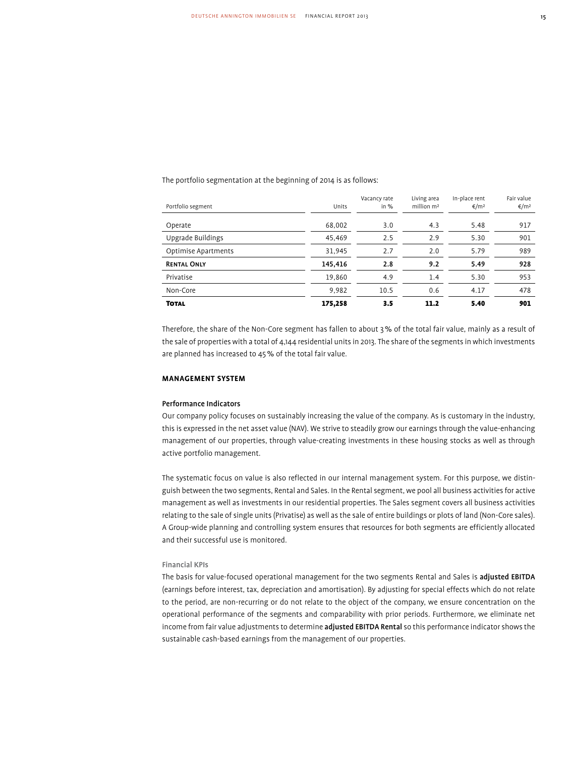The portfolio segmentation at the beginning of 2014 is as follows:

| Portfolio segment   | Units   | Vacancy rate<br>in $%$ | Living area<br>million m <sup>2</sup> | In-place rent<br>€/m <sup>2</sup> | Fair value<br>€/m <sup>2</sup> |
|---------------------|---------|------------------------|---------------------------------------|-----------------------------------|--------------------------------|
|                     |         |                        |                                       |                                   |                                |
| Operate             | 68,002  | 3.0                    | 4.3                                   | 5.48                              | 917                            |
| Upgrade Buildings   | 45.469  | 2.5                    | 2.9                                   | 5.30                              | 901                            |
| Optimise Apartments | 31,945  | 2.7                    | 2.0                                   | 5.79                              | 989                            |
| <b>RENTAL ONLY</b>  | 145,416 | 2.8                    | 9.2                                   | 5.49                              | 928                            |
| Privatise           | 19,860  | 4.9                    | 1.4                                   | 5.30                              | 953                            |
| Non-Core            | 9,982   | 10.5                   | 0.6                                   | 4.17                              | 478                            |
| <b>TOTAL</b>        | 175,258 | 3.5                    | 11.2                                  | 5.40                              | 901                            |

Therefore, the share of the Non-Core segment has fallen to about 3% of the total fair value, mainly as a result of the sale of properties with a total of 4,144 residential units in 2013. The share of the segments in which investments are planned has increased to 45% of the total fair value.

# **Management System**

# Performance Indicators

Our company policy focuses on sustainably increasing the value of the company. As is customary in the industry, this is expressed in the net asset value (NAV). We strive to steadily grow our earnings through the value-enhancing management of our properties, through value-creating investments in these housing stocks as well as through active portfolio management.

The systematic focus on value is also reflected in our internal management system. For this purpose, we distinguish between the two segments, Rental and Sales. In the Rental segment, we pool all business activities for active management as well as investments in our residential properties. The Sales segment covers all business activities relating to the sale of single units (Privatise) as well as the sale of entire buildings or plots of land (Non-Core sales). A Group-wide planning and controlling system ensures that resources for both segments are efficiently allocated and their successful use is monitored.

# Financial KPIs

The basis for value-focused operational management for the two segments Rental and Sales is adjusted EBITDA (earnings before interest, tax, depreciation and amortisation). By adjusting for special effects which do not relate to the period, are non-recurring or do not relate to the object of the company, we ensure concentration on the operational performance of the segments and comparability with prior periods. Furthermore, we eliminate net income from fair value adjustments to determine adjusted EBITDA Rental so this performance indicator shows the sustainable cash-based earnings from the management of our properties.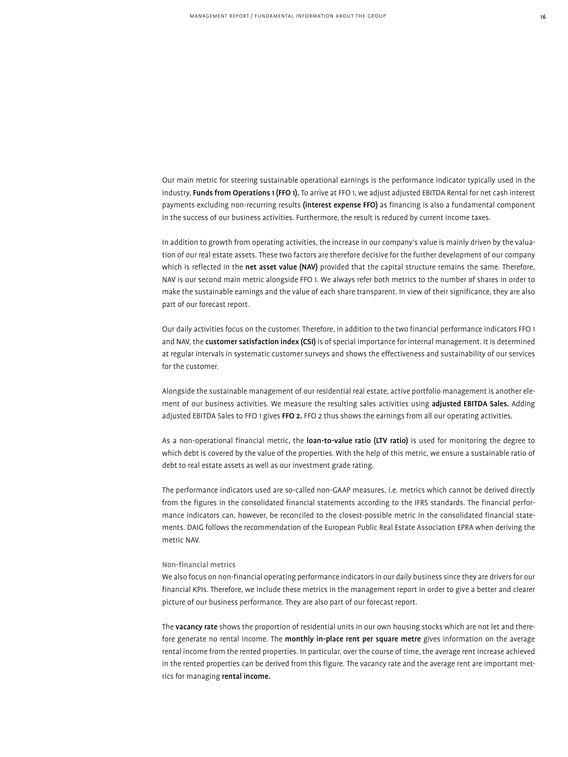Our main metric for steering sustainable operational earnings is the performance indicator typically used in the industry, Funds from Operations 1 (FFO 1). To arrive at FFO 1, we adjust adjusted EBITDA Rental for net cash interest payments excluding non-recurring results (interest expense FFO) as financing is also a fundamental component in the success of our business activities. Furthermore, the result is reduced by current income taxes.

In addition to growth from operating activities, the increase in our company's value is mainly driven by the valuation of our real estate assets. These two factors are therefore decisive for the further development of our company which is reflected in the net asset value (NAV) provided that the capital structure remains the same. Therefore, NAV is our second main metric alongside FFO 1. We always refer both metrics to the number of shares in order to make the sustainable earnings and the value of each share transparent. In view of their significance, they are also part of our forecast report.

Our daily activities focus on the customer. Therefore, in addition to the two financial performance indicators FFO 1 and NAV, the customer satisfaction index (CSI) is of special importance for internal management. It is determined at regular intervals in systematic customer surveys and shows the effectiveness and sustainability of our services for the customer.

Alongside the sustainable management of our residential real estate, active portfolio management is another element of our business activities. We measure the resulting sales activities using adjusted EBITDA Sales. Adding adjusted EBITDA Sales to FFO 1 gives FFO 2. FFO 2 thus shows the earnings from all our operating activities.

As a non-operational financial metric, the loan-to-value ratio (LTV ratio) is used for monitoring the degree to which debt is covered by the value of the properties. With the help of this metric, we ensure a sustainable ratio of debt to real estate assets as well as our investment grade rating.

The performance indicators used are so-called non-GAAP measures, i.e. metrics which cannot be derived directly from the figures in the consolidated financial statements according to the IFRS standards. The financial performance indicators can, however, be reconciled to the closest-possible metric in the consolidated financial statements. DAIG follows the recommendation of the European Public Real Estate Association EPRA when deriving the metric NAV.

# Non-financial metrics

We also focus on non-financial operating performance indicators in our daily business since they are drivers for our financial KPIs. Therefore, we include these metrics in the management report in order to give a better and clearer picture of our business performance. They are also part of our forecast report.

The vacancy rate shows the proportion of residential units in our own housing stocks which are not let and therefore generate no rental income. The monthly in-place rent per square metre gives information on the average rental income from the rented properties. In particular, over the course of time, the average rent increase achieved in the rented properties can be derived from this figure. The vacancy rate and the average rent are important metrics for managing rental income.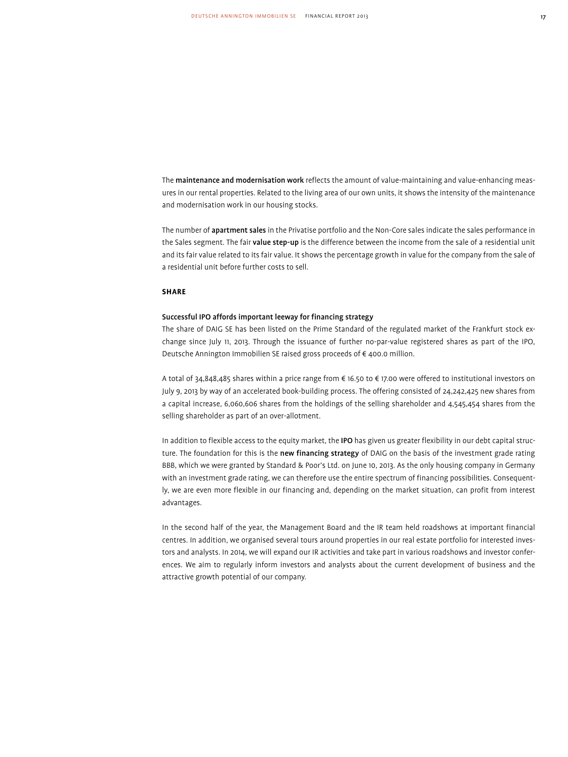The maintenance and modernisation work reflects the amount of value-maintaining and value-enhancing measures in our rental properties. Related to the living area of our own units, it shows the intensity of the maintenance and modernisation work in our housing stocks.

The number of apartment sales in the Privatise portfolio and the Non-Core sales indicate the sales performance in the Sales segment. The fair value step-up is the difference between the income from the sale of a residential unit and its fair value related to its fair value. It shows the percentage growth in value for the company from the sale of a residential unit before further costs to sell.

# **Share**

# Successful IPO affords important leeway for financing strategy

The share of DAIG SE has been listed on the Prime Standard of the regulated market of the Frankfurt stock exchange since July 11, 2013. Through the issuance of further no-par-value registered shares as part of the IPO, Deutsche Annington Immobilien SE raised gross proceeds of € 400.0 million.

A total of 34,848,485 shares within a price range from € 16.50 to € 17.00 were offered to institutional investors on July 9, 2013 by way of an accelerated book-building process. The offering consisted of 24,242,425 new shares from a capital increase, 6,060,606 shares from the holdings of the selling shareholder and 4,545,454 shares from the selling shareholder as part of an over-allotment.

In addition to flexible access to the equity market, the IPO has given us greater flexibility in our debt capital structure. The foundation for this is the new financing strategy of DAIG on the basis of the investment grade rating BBB, which we were granted by Standard & Poor's Ltd. on June 10, 2013. As the only housing company in Germany with an investment grade rating, we can therefore use the entire spectrum of financing possibilities. Consequently, we are even more flexible in our financing and, depending on the market situation, can profit from interest advantages.

In the second half of the year, the Management Board and the IR team held roadshows at important financial centres. In addition, we organised several tours around properties in our real estate portfolio for interested investors and analysts. In 2014, we will expand our IR activities and take part in various roadshows and investor conferences. We aim to regularly inform investors and analysts about the current development of business and the attractive growth potential of our company.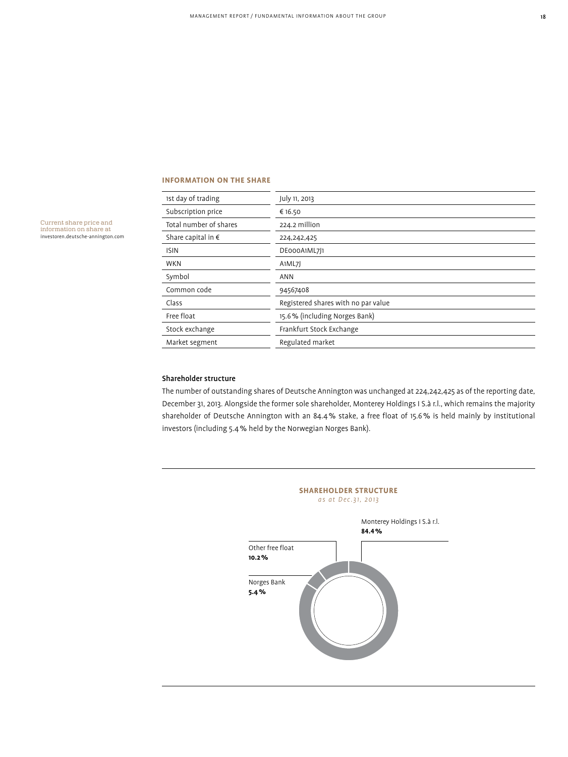# **Information on the share**

| 1st day of trading          | July 11, 2013                       |
|-----------------------------|-------------------------------------|
| Subscription price          | € 16.50                             |
| Total number of shares      | 224.2 million                       |
| Share capital in $\epsilon$ | 224, 242, 425                       |
| <b>ISIN</b>                 | DE000A1ML7J1                        |
| <b>WKN</b>                  | A1ML7J                              |
| Symbol                      | <b>ANN</b>                          |
| Common code                 | 94567408                            |
| Class                       | Registered shares with no par value |
| Free float                  | 15.6% (including Norges Bank)       |
| Stock exchange              | Frankfurt Stock Exchange            |
| Market segment              | Regulated market                    |
|                             |                                     |

Current share price and information on share at investoren.deutsche-annington.com

# Shareholder structure

The number of outstanding shares of Deutsche Annington was unchanged at 224,242,425 as of the reporting date, December 31, 2013. Alongside the former sole shareholder, Monterey Holdings I S.à r.l., which remains the majority shareholder of Deutsche Annington with an 84.4% stake, a free float of 15.6% is held mainly by institutional investors (including 5.4% held by the Norwegian Norges Bank).

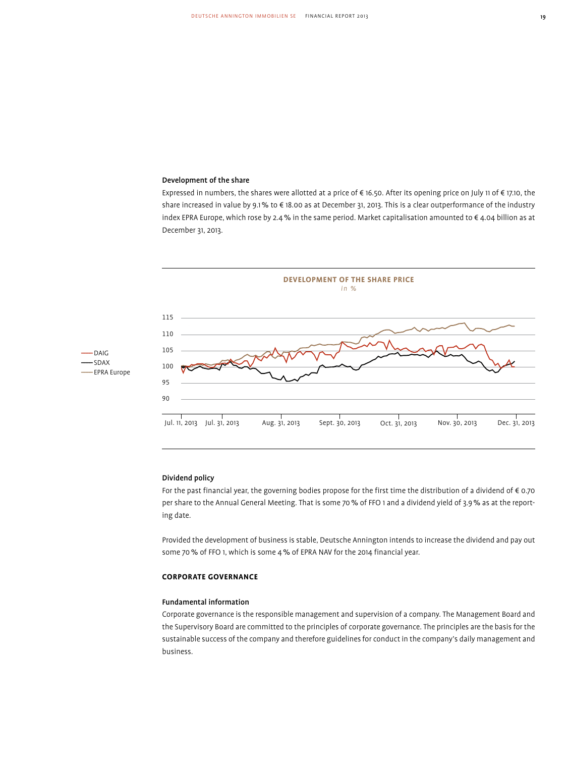# Development of the share

Expressed in numbers, the shares were allotted at a price of € 16.50. After its opening price on July 11 of € 17.10, the share increased in value by 9.1% to € 18.00 as at December 31, 2013. This is a clear outperformance of the industry index EPRA Europe, which rose by 2.4% in the same period. Market capitalisation amounted to € 4.04 billion as at December 31, 2013.





# Dividend policy

For the past financial year, the governing bodies propose for the first time the distribution of a dividend of  $\epsilon$  0.70 per share to the Annual General Meeting. That is some 70% of FFO 1 and a dividend yield of 3.9% as at the reporting date.

Provided the development of business is stable, Deutsche Annington intends to increase the dividend and pay out some 70% of FFO 1, which is some 4% of EPRA NAV for the 2014 financial year.

# **Corporate Governance**

# Fundamental information

Corporate governance is the responsible management and supervision of a company. The Management Board and the Supervisory Board are committed to the principles of corporate governance. The principles are the basis for the sustainable success of the company and therefore guidelines for conduct in the company's daily management and business.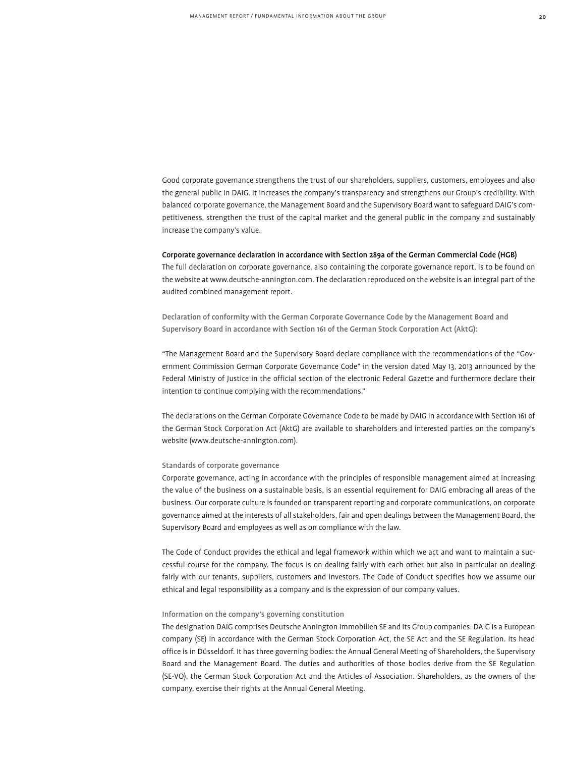Good corporate governance strengthens the trust of our shareholders, suppliers, customers, employees and also the general public in DAIG. It increases the company's transparency and strengthens our Group's credibility. With balanced corporate governance, the Management Board and the Supervisory Board want to safeguard DAIG's competitiveness, strengthen the trust of the capital market and the general public in the company and sustainably increase the company's value.

# Corporate governance declaration in accordance with Section 289a of the German Commercial Code (HGB)

The full declaration on corporate governance, also containing the corporate governance report, is to be found on the website at www.deutsche-annington.com. The declaration reproduced on the website is an integral part of the audited combined management report.

Declaration of conformity with the German Corporate Governance Code by the Management Board and Supervisory Board in accordance with Section 161 of the German Stock Corporation Act (AktG):

"The Management Board and the Supervisory Board declare compliance with the recommendations of the "Government Commission German Corporate Governance Code" in the version dated May 13, 2013 announced by the Federal Ministry of Justice in the official section of the electronic Federal Gazette and furthermore declare their intention to continue complying with the recommendations."

The declarations on the German Corporate Governance Code to be made by DAIG in accordance with Section 161 of the German Stock Corporation Act (AktG) are available to shareholders and interested parties on the company's website (www.deutsche-annington.com).

# Standards of corporate governance

Corporate governance, acting in accordance with the principles of responsible management aimed at increasing the value of the business on a sustainable basis, is an essential requirement for DAIG embracing all areas of the business. Our corporate culture is founded on transparent reporting and corporate communications, on corporate governance aimed at the interests of all stakeholders, fair and open dealings between the Management Board, the Supervisory Board and employees as well as on compliance with the law.

The Code of Conduct provides the ethical and legal framework within which we act and want to maintain a successful course for the company. The focus is on dealing fairly with each other but also in particular on dealing fairly with our tenants, suppliers, customers and investors. The Code of Conduct specifies how we assume our ethical and legal responsibility as a company and is the expression of our company values.

# Information on the company's governing constitution

The designation DAIG comprises Deutsche Annington Immobilien SE and its Group companies. DAIG is a European company (SE) in accordance with the German Stock Corporation Act, the SE Act and the SE Regulation. Its head office is in Düsseldorf. It has three governing bodies: the Annual General Meeting of Shareholders, the Supervisory Board and the Management Board. The duties and authorities of those bodies derive from the SE Regulation (SE-VO), the German Stock Corporation Act and the Articles of Association. Shareholders, as the owners of the company, exercise their rights at the Annual General Meeting.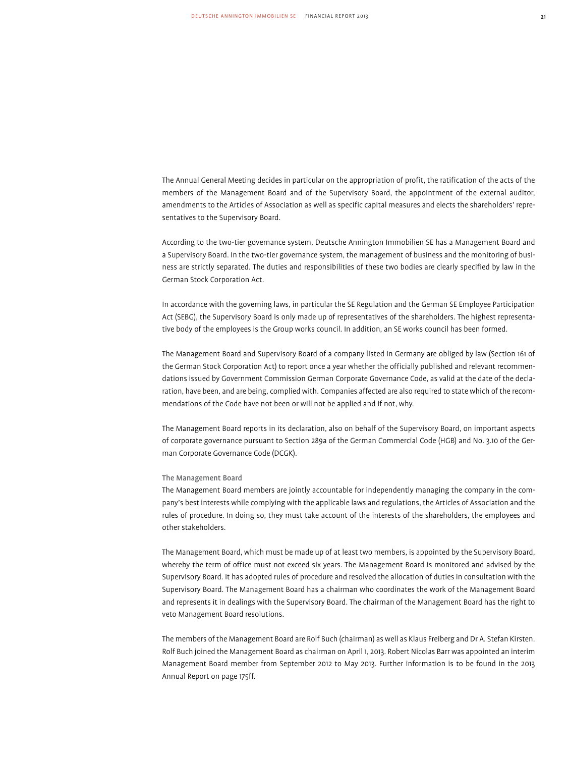The Annual General Meeting decides in particular on the appropriation of profit, the ratification of the acts of the members of the Management Board and of the Supervisory Board, the appointment of the external auditor, amendments to the Articles of Association as well as specific capital measures and elects the shareholders' representatives to the Supervisory Board.

According to the two-tier governance system, Deutsche Annington Immobilien SE has a Management Board and a Supervisory Board. In the two-tier governance system, the management of business and the monitoring of business are strictly separated. The duties and responsibilities of these two bodies are clearly specified by law in the German Stock Corporation Act.

In accordance with the governing laws, in particular the SE Regulation and the German SE Employee Participation Act (SEBG), the Supervisory Board is only made up of representatives of the shareholders. The highest representative body of the employees is the Group works council. In addition, an SE works council has been formed.

The Management Board and Supervisory Board of a company listed in Germany are obliged by law (Section 161 of the German Stock Corporation Act) to report once a year whether the officially published and relevant recommendations issued by Government Commission German Corporate Governance Code, as valid at the date of the declaration, have been, and are being, complied with. Companies affected are also required to state which of the recommendations of the Code have not been or will not be applied and if not, why.

The Management Board reports in its declaration, also on behalf of the Supervisory Board, on important aspects of corporate governance pursuant to Section 289a of the German Commercial Code (HGB) and No. 3.10 of the German Corporate Governance Code (DCGK).

# The Management Board

The Management Board members are jointly accountable for independently managing the company in the company's best interests while complying with the applicable laws and regulations, the Articles of Association and the rules of procedure. In doing so, they must take account of the interests of the shareholders, the employees and other stakeholders.

The Management Board, which must be made up of at least two members, is appointed by the Supervisory Board, whereby the term of office must not exceed six years. The Management Board is monitored and advised by the Supervisory Board. It has adopted rules of procedure and resolved the allocation of duties in consultation with the Supervisory Board. The Management Board has a chairman who coordinates the work of the Management Board and represents it in dealings with the Supervisory Board. The chairman of the Management Board has the right to veto Management Board resolutions.

The members of the Management Board are Rolf Buch (chairman) as well as Klaus Freiberg and Dr A. Stefan Kirsten. Rolf Buch joined the Management Board as chairman on April 1, 2013. Robert Nicolas Barr was appointed an interim Management Board member from September 2012 to May 2013. Further information is to be found in the 2013 Annual Report on page 175ff.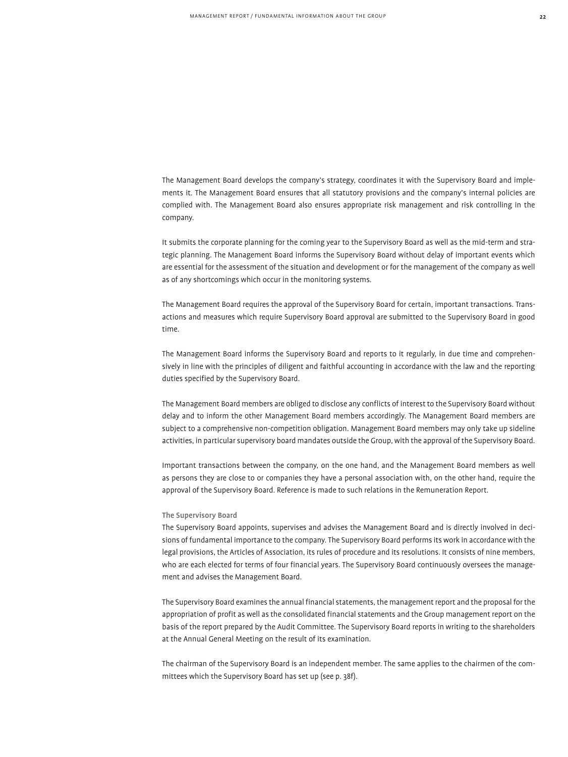The Management Board develops the company's strategy, coordinates it with the Supervisory Board and implements it. The Management Board ensures that all statutory provisions and the company's internal policies are complied with. The Management Board also ensures appropriate risk management and risk controlling in the company.

It submits the corporate planning for the coming year to the Supervisory Board as well as the mid-term and strategic planning. The Management Board informs the Supervisory Board without delay of important events which are essential for the assessment of the situation and development or for the management of the company as well as of any shortcomings which occur in the monitoring systems.

The Management Board requires the approval of the Supervisory Board for certain, important transactions. Transactions and measures which require Supervisory Board approval are submitted to the Supervisory Board in good time.

The Management Board informs the Supervisory Board and reports to it regularly, in due time and comprehensively in line with the principles of diligent and faithful accounting in accordance with the law and the reporting duties specified by the Supervisory Board.

The Management Board members are obliged to disclose any conflicts of interest to the Supervisory Board without delay and to inform the other Management Board members accordingly. The Management Board members are subject to a comprehensive non-competition obligation. Management Board members may only take up sideline activities, in particular supervisory board mandates outside the Group, with the approval of the Supervisory Board.

Important transactions between the company, on the one hand, and the Management Board members as well as persons they are close to or companies they have a personal association with, on the other hand, require the approval of the Supervisory Board. Reference is made to such relations in the Remuneration Report.

# The Supervisory Board

The Supervisory Board appoints, supervises and advises the Management Board and is directly involved in decisions of fundamental importance to the company. The Supervisory Board performs its work in accordance with the legal provisions, the Articles of Association, its rules of procedure and its resolutions. It consists of nine members, who are each elected for terms of four financial years. The Supervisory Board continuously oversees the management and advises the Management Board.

The Supervisory Board examines the annual financial statements, the management report and the proposal for the appropriation of profit as well as the consolidated financial statements and the Group management report on the basis of the report prepared by the Audit Committee. The Supervisory Board reports in writing to the shareholders at the Annual General Meeting on the result of its examination.

The chairman of the Supervisory Board is an independent member. The same applies to the chairmen of the committees which the Supervisory Board has set up (see p. 38f).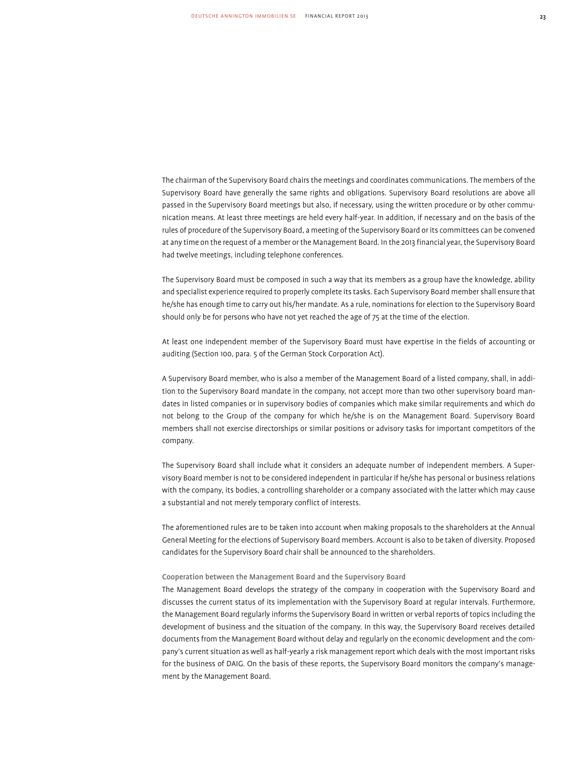The chairman of the Supervisory Board chairs the meetings and coordinates communications. The members of the Supervisory Board have generally the same rights and obligations. Supervisory Board resolutions are above all passed in the Supervisory Board meetings but also, if necessary, using the written procedure or by other communication means. At least three meetings are held every half-year. In addition, if necessary and on the basis of the rules of procedure of the Supervisory Board, a meeting of the Supervisory Board or its committees can be convened at any time on the request of a member or the Management Board. In the 2013 financial year, the Supervisory Board had twelve meetings, including telephone conferences.

The Supervisory Board must be composed in such a way that its members as a group have the knowledge, ability and specialist experience required to properly complete its tasks. Each Supervisory Board member shall ensure that he/she has enough time to carry out his/her mandate. As a rule, nominations for election to the Supervisory Board should only be for persons who have not yet reached the age of 75 at the time of the election.

At least one independent member of the Supervisory Board must have expertise in the fields of accounting or auditing (Section 100, para. 5 of the German Stock Corporation Act).

A Supervisory Board member, who is also a member of the Management Board of a listed company, shall, in addition to the Supervisory Board mandate in the company, not accept more than two other supervisory board mandates in listed companies or in supervisory bodies of companies which make similar requirements and which do not belong to the Group of the company for which he/she is on the Management Board. Supervisory Board members shall not exercise directorships or similar positions or advisory tasks for important competitors of the company.

The Supervisory Board shall include what it considers an adequate number of independent members. A Supervisory Board member is not to be considered independent in particular if he/she has personal or business relations with the company, its bodies, a controlling shareholder or a company associated with the latter which may cause a substantial and not merely temporary conflict of interests.

The aforementioned rules are to be taken into account when making proposals to the shareholders at the Annual General Meeting for the elections of Supervisory Board members. Account is also to be taken of diversity. Proposed candidates for the Supervisory Board chair shall be announced to the shareholders.

# Cooperation between the Management Board and the Supervisory Board

The Management Board develops the strategy of the company in cooperation with the Supervisory Board and discusses the current status of its implementation with the Supervisory Board at regular intervals. Furthermore, the Management Board regularly informs the Supervisory Board in written or verbal reports of topics including the development of business and the situation of the company. In this way, the Supervisory Board receives detailed documents from the Management Board without delay and regularly on the economic development and the company's current situation as well as half-yearly a risk management report which deals with the most important risks for the business of DAIG. On the basis of these reports, the Supervisory Board monitors the company's management by the Management Board.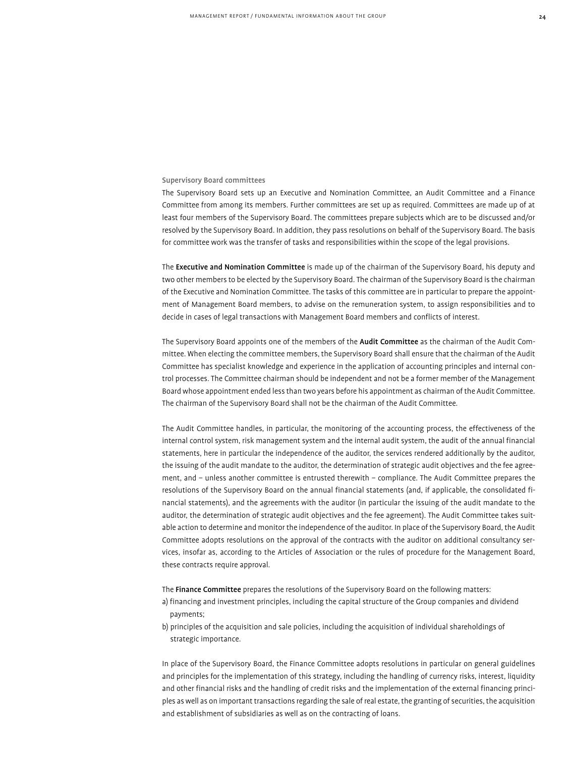# Supervisory Board committees

The Supervisory Board sets up an Executive and Nomination Committee, an Audit Committee and a Finance Committee from among its members. Further committees are set up as required. Committees are made up of at least four members of the Supervisory Board. The committees prepare subjects which are to be discussed and/or resolved by the Supervisory Board. In addition, they pass resolutions on behalf of the Supervisory Board. The basis for committee work was the transfer of tasks and responsibilities within the scope of the legal provisions.

The Executive and Nomination Committee is made up of the chairman of the Supervisory Board, his deputy and two other members to be elected by the Supervisory Board. The chairman of the Supervisory Board is the chairman of the Executive and Nomination Committee. The tasks of this committee are in particular to prepare the appointment of Management Board members, to advise on the remuneration system, to assign responsibilities and to decide in cases of legal transactions with Management Board members and conflicts of interest.

The Supervisory Board appoints one of the members of the Audit Committee as the chairman of the Audit Committee. When electing the committee members, the Supervisory Board shall ensure that the chairman of the Audit Committee has specialist knowledge and experience in the application of accounting principles and internal control processes. The Committee chairman should be independent and not be a former member of the Management Board whose appointment ended less than two years before his appointment as chairman of the Audit Committee. The chairman of the Supervisory Board shall not be the chairman of the Audit Committee.

The Audit Committee handles, in particular, the monitoring of the accounting process, the effectiveness of the internal control system, risk management system and the internal audit system, the audit of the annual financial statements, here in particular the independence of the auditor, the services rendered additionally by the auditor, the issuing of the audit mandate to the auditor, the determination of strategic audit objectives and the fee agreement, and – unless another committee is entrusted therewith – compliance. The Audit Committee prepares the resolutions of the Supervisory Board on the annual financial statements (and, if applicable, the consolidated financial statements), and the agreements with the auditor (in particular the issuing of the audit mandate to the auditor, the determination of strategic audit objectives and the fee agreement). The Audit Committee takes suitable action to determine and monitor the independence of the auditor. In place of the Supervisory Board, the Audit Committee adopts resolutions on the approval of the contracts with the auditor on additional consultancy services, insofar as, according to the Articles of Association or the rules of procedure for the Management Board, these contracts require approval.

The Finance Committee prepares the resolutions of the Supervisory Board on the following matters:

- a) financing and investment principles, including the capital structure of the Group companies and dividend payments;
- b) principles of the acquisition and sale policies, including the acquisition of individual shareholdings of strategic importance.

In place of the Supervisory Board, the Finance Committee adopts resolutions in particular on general guidelines and principles for the implementation of this strategy, including the handling of currency risks, interest, liquidity and other financial risks and the handling of credit risks and the implementation of the external financing principles as well as on important transactions regarding the sale of real estate, the granting of securities, the acquisition and establishment of subsidiaries as well as on the contracting of loans.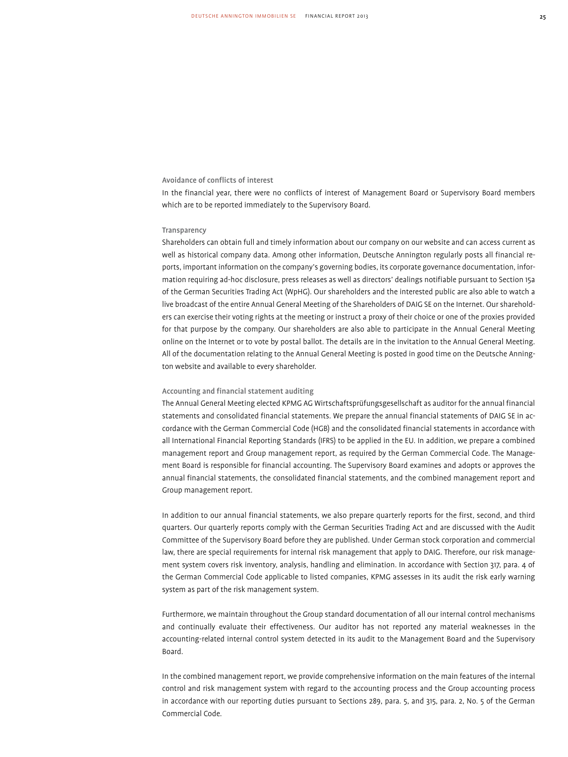# Avoidance of conflicts of interest

In the financial year, there were no conflicts of interest of Management Board or Supervisory Board members which are to be reported immediately to the Supervisory Board.

# **Transparency**

Shareholders can obtain full and timely information about our company on our website and can access current as well as historical company data. Among other information, Deutsche Annington regularly posts all financial reports, important information on the company's governing bodies, its corporate governance documentation, information requiring ad-hoc disclosure, press releases as well as directors' dealings notifiable pursuant to Section 15a of the German Securities Trading Act (WpHG). Our shareholders and the interested public are also able to watch a live broadcast of the entire Annual General Meeting of the Shareholders of DAIG SE on the Internet. Our shareholders can exercise their voting rights at the meeting or instruct a proxy of their choice or one of the proxies provided for that purpose by the company. Our shareholders are also able to participate in the Annual General Meeting online on the Internet or to vote by postal ballot. The details are in the invitation to the Annual General Meeting. All of the documentation relating to the Annual General Meeting is posted in good time on the Deutsche Annington website and available to every shareholder.

# Accounting and financial statement auditing

The Annual General Meeting elected KPMG AG Wirtschaftsprüfungsgesellschaft as auditor for the annual financial statements and consolidated financial statements. We prepare the annual financial statements of DAIG SE in accordance with the German Commercial Code (HGB) and the consolidated financial statements in accordance with all International Financial Reporting Standards (IFRS) to be applied in the EU. In addition, we prepare a combined management report and Group management report, as required by the German Commercial Code. The Management Board is responsible for financial accounting. The Supervisory Board examines and adopts or approves the annual financial statements, the consolidated financial statements, and the combined management report and Group management report.

In addition to our annual financial statements, we also prepare quarterly reports for the first, second, and third quarters. Our quarterly reports comply with the German Securities Trading Act and are discussed with the Audit Committee of the Supervisory Board before they are published. Under German stock corporation and commercial law, there are special requirements for internal risk management that apply to DAIG. Therefore, our risk management system covers risk inventory, analysis, handling and elimination. In accordance with Section 317, para. 4 of the German Commercial Code applicable to listed companies, KPMG assesses in its audit the risk early warning system as part of the risk management system.

Furthermore, we maintain throughout the Group standard documentation of all our internal control mechanisms and continually evaluate their effectiveness. Our auditor has not reported any material weaknesses in the accounting-related internal control system detected in its audit to the Management Board and the Supervisory Board.

In the combined management report, we provide comprehensive information on the main features of the internal control and risk management system with regard to the accounting process and the Group accounting process in accordance with our reporting duties pursuant to Sections 289, para. 5, and 315, para. 2, No. 5 of the German Commercial Code.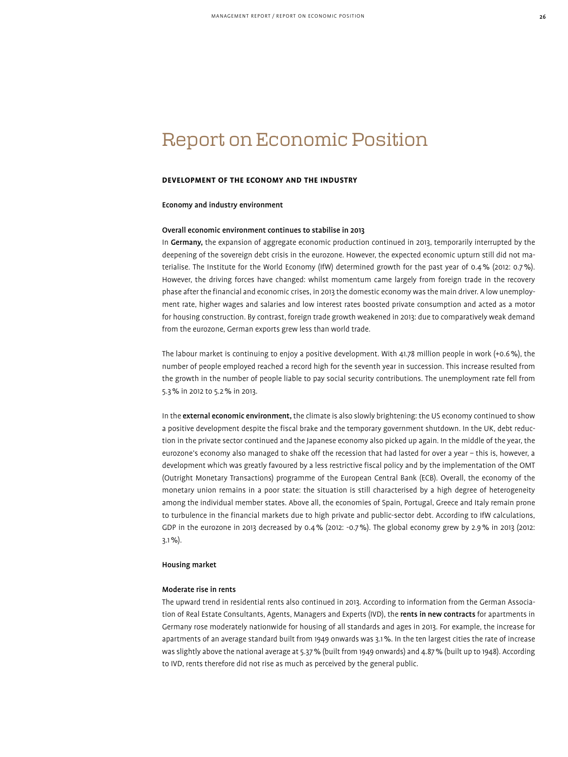# Report on Economic Position

# **Development of the Economy and the Industry**

# Economy and industry environment

# Overall economic environment continues to stabilise in 2013

In Germany, the expansion of aggregate economic production continued in 2013, temporarily interrupted by the deepening of the sovereign debt crisis in the eurozone. However, the expected economic upturn still did not materialise. The Institute for the World Economy (IfW) determined growth for the past year of 0.4% (2012: 0.7%). However, the driving forces have changed: whilst momentum came largely from foreign trade in the recovery phase after the financial and economic crises, in 2013 the domestic economy was the main driver. A low unemployment rate, higher wages and salaries and low interest rates boosted private consumption and acted as a motor for housing construction. By contrast, foreign trade growth weakened in 2013: due to comparatively weak demand from the eurozone, German exports grew less than world trade.

The labour market is continuing to enjoy a positive development. With 41.78 million people in work (+0.6%), the number of people employed reached a record high for the seventh year in succession. This increase resulted from the growth in the number of people liable to pay social security contributions. The unemployment rate fell from 5.3% in 2012 to 5.2% in 2013.

In the external economic environment, the climate is also slowly brightening: the US economy continued to show a positive development despite the fiscal brake and the temporary government shutdown. In the UK, debt reduction in the private sector continued and the Japanese economy also picked up again. In the middle of the year, the eurozone's economy also managed to shake off the recession that had lasted for over a year – this is, however, a development which was greatly favoured by a less restrictive fiscal policy and by the implementation of the OMT (Outright Monetary Transactions) programme of the European Central Bank (ECB). Overall, the economy of the monetary union remains in a poor state: the situation is still characterised by a high degree of heterogeneity among the individual member states. Above all, the economies of Spain, Portugal, Greece and Italy remain prone to turbulence in the financial markets due to high private and public-sector debt. According to IfW calculations, GDP in the eurozone in 2013 decreased by 0.4% (2012: -0.7%). The global economy grew by 2.9% in 2013 (2012: 3.1%).

# Housing market

# Moderate rise in rents

The upward trend in residential rents also continued in 2013. According to information from the German Association of Real Estate Consultants, Agents, Managers and Experts (IVD), the rents in new contracts for apartments in Germany rose moderately nationwide for housing of all standards and ages in 2013. For example, the increase for apartments of an average standard built from 1949 onwards was 3.1%. In the ten largest cities the rate of increase was slightly above the national average at 5.37% (built from 1949 onwards) and 4.87% (built up to 1948). According to IVD, rents therefore did not rise as much as perceived by the general public.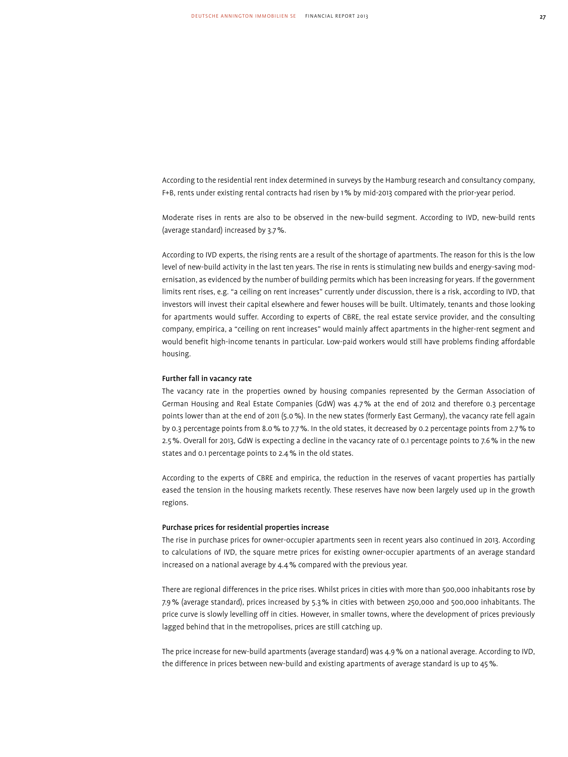According to the residential rent index determined in surveys by the Hamburg research and consultancy company, F+B, rents under existing rental contracts had risen by 1% by mid-2013 compared with the prior-year period.

Moderate rises in rents are also to be observed in the new-build segment. According to IVD, new-build rents (average standard) increased by 3.7%.

According to IVD experts, the rising rents are a result of the shortage of apartments. The reason for this is the low level of new-build activity in the last ten years. The rise in rents is stimulating new builds and energy-saving modernisation, as evidenced by the number of building permits which has been increasing for years. If the government limits rent rises, e.g. "a ceiling on rent increases" currently under discussion, there is a risk, according to IVD, that investors will invest their capital elsewhere and fewer houses will be built. Ultimately, tenants and those looking for apartments would suffer. According to experts of CBRE, the real estate service provider, and the consulting company, empirica, a "ceiling on rent increases" would mainly affect apartments in the higher-rent segment and would benefit high-income tenants in particular. Low-paid workers would still have problems finding affordable housing.

# Further fall in vacancy rate

The vacancy rate in the properties owned by housing companies represented by the German Association of German Housing and Real Estate Companies (GdW) was 4.7% at the end of 2012 and therefore 0.3 percentage points lower than at the end of 2011 (5.0%). In the new states (formerly East Germany), the vacancy rate fell again by 0.3 percentage points from 8.0% to 7.7%. In the old states, it decreased by 0.2 percentage points from 2.7% to 2.5%. Overall for 2013, GdW is expecting a decline in the vacancy rate of 0.1 percentage points to 7.6% in the new states and 0.1 percentage points to 2.4% in the old states.

According to the experts of CBRE and empirica, the reduction in the reserves of vacant properties has partially eased the tension in the housing markets recently. These reserves have now been largely used up in the growth regions.

# Purchase prices for residential properties increase

The rise in purchase prices for owner-occupier apartments seen in recent years also continued in 2013. According to calculations of IVD, the square metre prices for existing owner-occupier apartments of an average standard increased on a national average by 4.4% compared with the previous year.

There are regional differences in the price rises. Whilst prices in cities with more than 500,000 inhabitants rose by 7.9% (average standard), prices increased by 5.3% in cities with between 250,000 and 500,000 inhabitants. The price curve is slowly levelling off in cities. However, in smaller towns, where the development of prices previously lagged behind that in the metropolises, prices are still catching up.

The price increase for new-build apartments (average standard) was 4.9% on a national average. According to IVD, the difference in prices between new-build and existing apartments of average standard is up to 45%.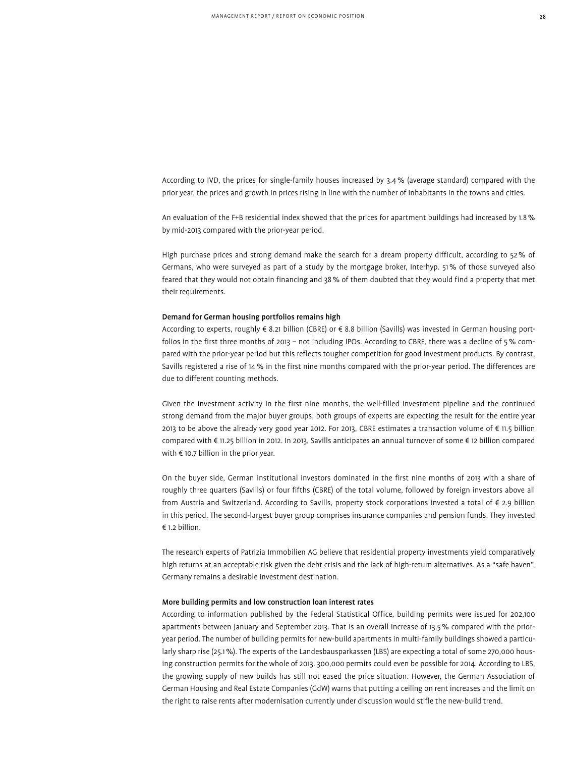According to IVD, the prices for single-family houses increased by 3.4% (average standard) compared with the prior year, the prices and growth in prices rising in line with the number of inhabitants in the towns and cities.

An evaluation of the F+B residential index showed that the prices for apartment buildings had increased by 1.8% by mid-2013 compared with the prior-year period.

High purchase prices and strong demand make the search for a dream property difficult, according to 52% of Germans, who were surveyed as part of a study by the mortgage broker, Interhyp. 51% of those surveyed also feared that they would not obtain financing and 38% of them doubted that they would find a property that met their requirements.

# Demand for German housing portfolios remains high

According to experts, roughly € 8.21 billion (CBRE) or € 8.8 billion (Savills) was invested in German housing portfolios in the first three months of 2013 – not including IPOs. According to CBRE, there was a decline of 5% compared with the prior-year period but this reflects tougher competition for good investment products. By contrast, Savills registered a rise of 14% in the first nine months compared with the prior-year period. The differences are due to different counting methods.

Given the investment activity in the first nine months, the well-filled investment pipeline and the continued strong demand from the major buyer groups, both groups of experts are expecting the result for the entire year 2013 to be above the already very good year 2012. For 2013, CBRE estimates a transaction volume of € 11.5 billion compared with € 11.25 billion in 2012. In 2013, Savills anticipates an annual turnover of some € 12 billion compared with  $\epsilon$  10.7 billion in the prior year.

On the buyer side, German institutional investors dominated in the first nine months of 2013 with a share of roughly three quarters (Savills) or four fifths (CBRE) of the total volume, followed by foreign investors above all from Austria and Switzerland. According to Savills, property stock corporations invested a total of € 2.9 billion in this period. The second-largest buyer group comprises insurance companies and pension funds. They invested € 1.2 billion.

The research experts of Patrizia Immobilien AG believe that residential property investments yield comparatively high returns at an acceptable risk given the debt crisis and the lack of high-return alternatives. As a "safe haven", Germany remains a desirable investment destination.

# More building permits and low construction loan interest rates

According to information published by the Federal Statistical Office, building permits were issued for 202,100 apartments between January and September 2013. That is an overall increase of 13.5% compared with the prioryear period. The number of building permits for new-build apartments in multi-family buildings showed a particularly sharp rise (25.1%). The experts of the Landesbausparkassen (LBS) are expecting a total of some 270,000 housing construction permits for the whole of 2013. 300,000 permits could even be possible for 2014. According to LBS, the growing supply of new builds has still not eased the price situation. However, the German Association of German Housing and Real Estate Companies (GdW) warns that putting a ceiling on rent increases and the limit on the right to raise rents after modernisation currently under discussion would stifle the new-build trend.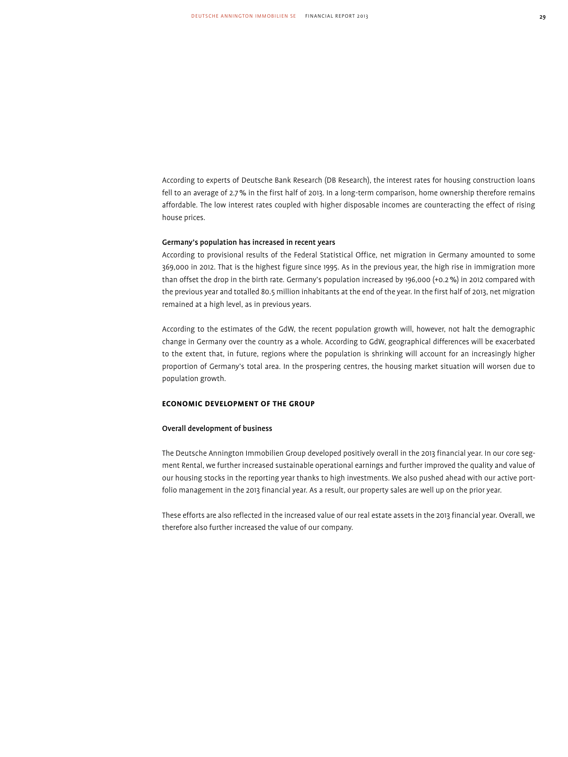According to experts of Deutsche Bank Research (DB Research), the interest rates for housing construction loans fell to an average of 2.7% in the first half of 2013. In a long-term comparison, home ownership therefore remains affordable. The low interest rates coupled with higher disposable incomes are counteracting the effect of rising house prices.

# Germany's population has increased in recent years

According to provisional results of the Federal Statistical Office, net migration in Germany amounted to some 369,000 in 2012. That is the highest figure since 1995. As in the previous year, the high rise in immigration more than offset the drop in the birth rate. Germany's population increased by 196,000 (+0.2%) in 2012 compared with the previous year and totalled 80.5 million inhabitants at the end of the year. In the first half of 2013, net migration remained at a high level, as in previous years.

According to the estimates of the GdW, the recent population growth will, however, not halt the demographic change in Germany over the country as a whole. According to GdW, geographical differences will be exacerbated to the extent that, in future, regions where the population is shrinking will account for an increasingly higher proportion of Germany's total area. In the prospering centres, the housing market situation will worsen due to population growth.

# **Economic Development of the Group**

# Overall development of business

The Deutsche Annington Immobilien Group developed positively overall in the 2013 financial year. In our core segment Rental, we further increased sustainable operational earnings and further improved the quality and value of our housing stocks in the reporting year thanks to high investments. We also pushed ahead with our active portfolio management in the 2013 financial year. As a result, our property sales are well up on the prior year.

These efforts are also reflected in the increased value of our real estate assets in the 2013 financial year. Overall, we therefore also further increased the value of our company.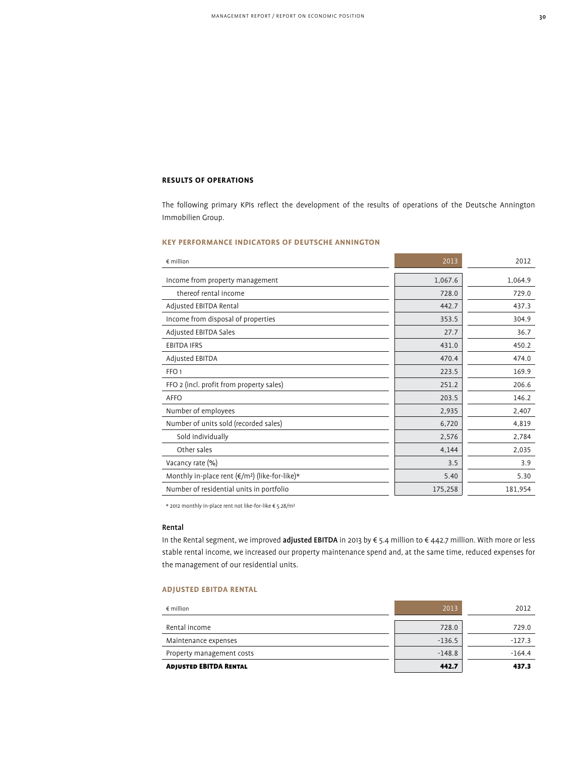# **Results of Operations**

The following primary KPIs reflect the development of the results of operations of the Deutsche Annington Immobilien Group.

# **KEY PERFORMANCE INDICATORS OF DEUTSCHE ANNINGTON**

| $\notin$ million                                          | 2013    | 2012    |
|-----------------------------------------------------------|---------|---------|
| Income from property management                           | 1,067.6 | 1,064.9 |
| thereof rental income                                     | 728.0   | 729.0   |
| Adjusted EBITDA Rental                                    | 442.7   | 437.3   |
| Income from disposal of properties                        | 353.5   | 304.9   |
| Adjusted EBITDA Sales                                     | 27.7    | 36.7    |
| <b>EBITDA IFRS</b>                                        | 431.0   | 450.2   |
| Adjusted EBITDA                                           | 470.4   | 474.0   |
| FFO <sub>1</sub>                                          | 223.5   | 169.9   |
| FFO 2 (incl. profit from property sales)                  | 251.2   | 206.6   |
| AFFO                                                      | 203.5   | 146.2   |
| Number of employees                                       | 2,935   | 2,407   |
| Number of units sold (recorded sales)                     | 6,720   | 4,819   |
| Sold individually                                         | 2,576   | 2,784   |
| Other sales                                               | 4,144   | 2,035   |
| Vacancy rate (%)                                          | 3.5     | 3.9     |
| Monthly in-place rent ( $\epsilon/m^2$ ) (like-for-like)* | 5.40    | 5.30    |
| Number of residential units in portfolio                  | 175,258 | 181,954 |

\* 2012 monthly in-place rent not like-for-like € 5.28/m²

# Rental

In the Rental segment, we improved adjusted EBITDA in 2013 by € 5.4 million to € 442.7 million. With more or less stable rental income, we increased our property maintenance spend and, at the same time, reduced expenses for the management of our residential units.

# **Adjusted EBITDA Rental**

| $\epsilon$ million            | 2013     | 2012     |
|-------------------------------|----------|----------|
|                               |          |          |
| Rental income                 | 728.0    | 729.0    |
| Maintenance expenses          | $-136.5$ | $-127.3$ |
| Property management costs     | $-148.8$ | $-164.4$ |
| <b>ADJUSTED EBITDA RENTAL</b> | 442.7    | 437.3    |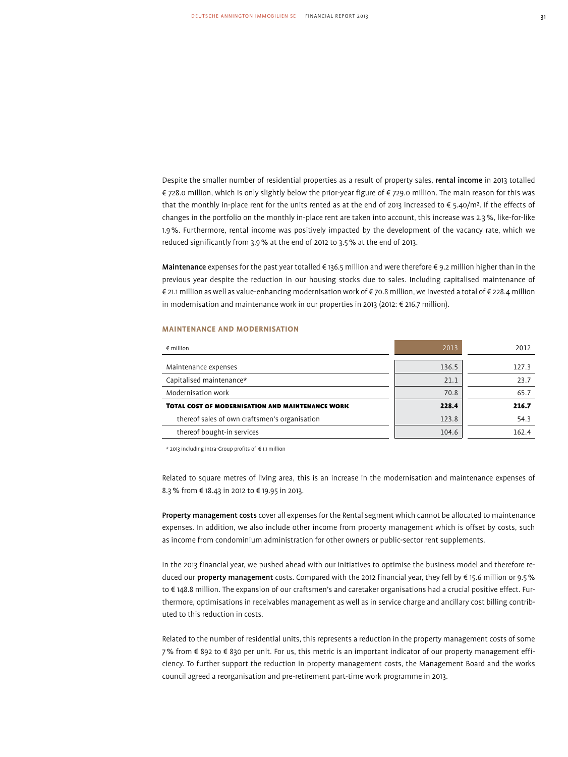Despite the smaller number of residential properties as a result of property sales, rental income in 2013 totalled € 728.0 million, which is only slightly below the prior-year figure of € 729.0 million. The main reason for this was that the monthly in-place rent for the units rented as at the end of 2013 increased to  $\epsilon$  5.40/m<sup>2</sup>. If the effects of changes in the portfolio on the monthly in-place rent are taken into account, this increase was 2.3%, like-for-like 1.9%. Furthermore, rental income was positively impacted by the development of the vacancy rate, which we reduced significantly from 3.9% at the end of 2012 to 3.5% at the end of 2013.

Maintenance expenses for the past year totalled € 136.5 million and were therefore € 9.2 million higher than in the previous year despite the reduction in our housing stocks due to sales. Including capitalised maintenance of € 21.1 million as well as value-enhancing modernisation work of € 70.8 million, we invested a total of € 228.4 million in modernisation and maintenance work in our properties in 2013 (2012: € 216.7 million).

# **Maintenance and modernisation**

| $\epsilon$ million                                      | 2013  | 2012  |
|---------------------------------------------------------|-------|-------|
| Maintenance expenses                                    | 136.5 | 127.3 |
| Capitalised maintenance*                                | 21.1  | 23.7  |
| Modernisation work                                      | 70.8  | 65.7  |
| <b>TOTAL COST OF MODERNISATION AND MAINTENANCE WORK</b> | 228.4 | 216.7 |
| thereof sales of own craftsmen's organisation           | 123.8 | 54.3  |
| thereof bought-in services                              | 104.6 | 162.4 |

\* 2013 including intra-Group profits of € 1.1 million

Related to square metres of living area, this is an increase in the modernisation and maintenance expenses of 8.3% from € 18.43 in 2012 to € 19.95 in 2013.

Property management costs cover all expenses for the Rental segment which cannot be allocated to maintenance expenses. In addition, we also include other income from property management which is offset by costs, such as income from condominium administration for other owners or public-sector rent supplements.

In the 2013 financial year, we pushed ahead with our initiatives to optimise the business model and therefore reduced our property management costs. Compared with the 2012 financial year, they fell by € 15.6 million or 9.5% to € 148.8 million. The expansion of our craftsmen's and caretaker organisations had a crucial positive effect. Furthermore, optimisations in receivables management as well as in service charge and ancillary cost billing contributed to this reduction in costs.

Related to the number of residential units, this represents a reduction in the property management costs of some 7% from € 892 to € 830 per unit. For us, this metric is an important indicator of our property management efficiency. To further support the reduction in property management costs, the Management Board and the works council agreed a reorganisation and pre-retirement part-time work programme in 2013.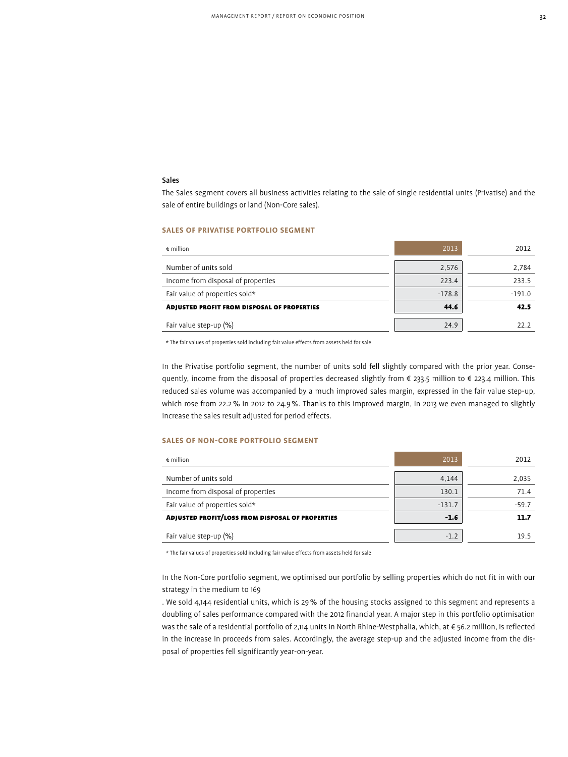# Sales

The Sales segment covers all business activities relating to the sale of single residential units (Privatise) and the sale of entire buildings or land (Non-Core sales).

# **sales of privatise portfolio segment**

| $\epsilon$ million                                 | 2013     | 2012     |
|----------------------------------------------------|----------|----------|
| Number of units sold                               | 2,576    | 2,784    |
| Income from disposal of properties                 | 223.4    | 233.5    |
| Fair value of properties sold*                     | $-178.8$ | $-191.0$ |
| <b>ADJUSTED PROFIT FROM DISPOSAL OF PROPERTIES</b> | 44.6     | 42.5     |
| Fair value step-up (%)                             | 24.9     | 22.2     |

\* The fair values of properties sold including fair value effects from assets held for sale

In the Privatise portfolio segment, the number of units sold fell slightly compared with the prior year. Consequently, income from the disposal of properties decreased slightly from € 233.5 million to € 223.4 million. This reduced sales volume was accompanied by a much improved sales margin, expressed in the fair value step-up, which rose from 22.2% in 2012 to 24.9%. Thanks to this improved margin, in 2013 we even managed to slightly increase the sales result adjusted for period effects.

# **SALES OF NON-CORE PORTFOLIO SEGMENT**

| $\epsilon$ million                                      | 2013     | 2012    |
|---------------------------------------------------------|----------|---------|
| Number of units sold                                    | 4,144    | 2,035   |
| Income from disposal of properties                      | 130.1    | 71.4    |
| Fair value of properties sold*                          | $-131.7$ | $-59.7$ |
| <b>ADJUSTED PROFIT/LOSS FROM DISPOSAL OF PROPERTIES</b> | $-1.6$   | 11.7    |
| Fair value step-up (%)                                  | $-1.2$   | 19.5    |

\* The fair values of properties sold including fair value effects from assets held for sale

In the Non-Core portfolio segment, we optimised our portfolio by selling properties which do not fit in with our strategy in the medium to 169

. We sold 4,144 residential units, which is 29% of the housing stocks assigned to this segment and represents a doubling of sales performance compared with the 2012 financial year. A major step in this portfolio optimisation was the sale of a residential portfolio of 2,114 units in North Rhine-Westphalia, which, at € 56.2 million, is reflected in the increase in proceeds from sales. Accordingly, the average step-up and the adjusted income from the disposal of properties fell significantly year-on-year.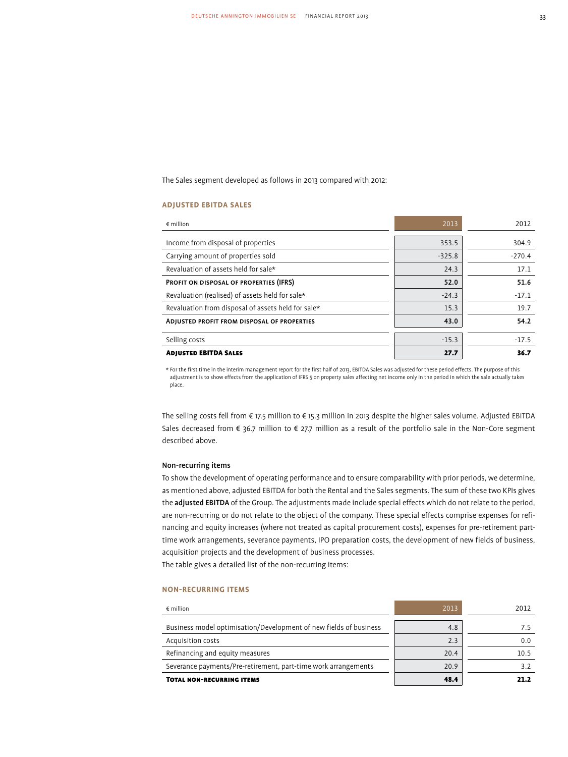The Sales segment developed as follows in 2013 compared with 2012:

# **Adjusted EBITDA Sales**

| $\epsilon$ million                                 | 2013     | 2012     |
|----------------------------------------------------|----------|----------|
|                                                    |          |          |
| Income from disposal of properties                 | 353.5    | 304.9    |
| Carrying amount of properties sold                 | $-325.8$ | $-270.4$ |
| Revaluation of assets held for sale*               | 24.3     | 17.1     |
| <b>PROFIT ON DISPOSAL OF PROPERTIES (IFRS)</b>     | 52.0     | 51.6     |
| Revaluation (realised) of assets held for sale*    | $-24.3$  | $-17.1$  |
| Revaluation from disposal of assets held for sale* | 15.3     | 19.7     |
| ADJUSTED PROFIT FROM DISPOSAL OF PROPERTIES        | 43.0     | 54.2     |
| Selling costs                                      | $-15.3$  | $-17.5$  |
| <b>ADJUSTED EBITDA SALES</b>                       | 27.7     | 36.7     |

\* For the first time in the interim management report for the first half of 2013, EBITDA Sales was adjusted for these period effects. The purpose of this adjustment is to show effects from the application of IFRS 5 on property sales affecting net income only in the period in which the sale actually takes place.

The selling costs fell from € 17.5 million to € 15.3 million in 2013 despite the higher sales volume. Adjusted EBITDA Sales decreased from € 36.7 million to € 27.7 million as a result of the portfolio sale in the Non-Core segment described above.

# Non-recurring items

To show the development of operating performance and to ensure comparability with prior periods, we determine, as mentioned above, adjusted EBITDA for both the Rental and the Sales segments. The sum of these two KPIs gives the adjusted EBITDA of the Group. The adjustments made include special effects which do not relate to the period, are non-recurring or do not relate to the object of the company. These special effects comprise expenses for refinancing and equity increases (where not treated as capital procurement costs), expenses for pre-retirement parttime work arrangements, severance payments, IPO preparation costs, the development of new fields of business, acquisition projects and the development of business processes.

The table gives a detailed list of the non-recurring items:

# **Non-recurring items**

| $\epsilon$ million                                                | 2013 | 2012 |
|-------------------------------------------------------------------|------|------|
| Business model optimisation/Development of new fields of business | 4.8  | 7.5  |
| Acquisition costs                                                 | 2.3  | 0.0  |
| Refinancing and equity measures                                   | 20.4 | 10.5 |
| Severance payments/Pre-retirement, part-time work arrangements    | 20.9 | 3.2  |
| <b>TOTAL NON-RECURRING ITEMS</b>                                  | 48.4 | 21.2 |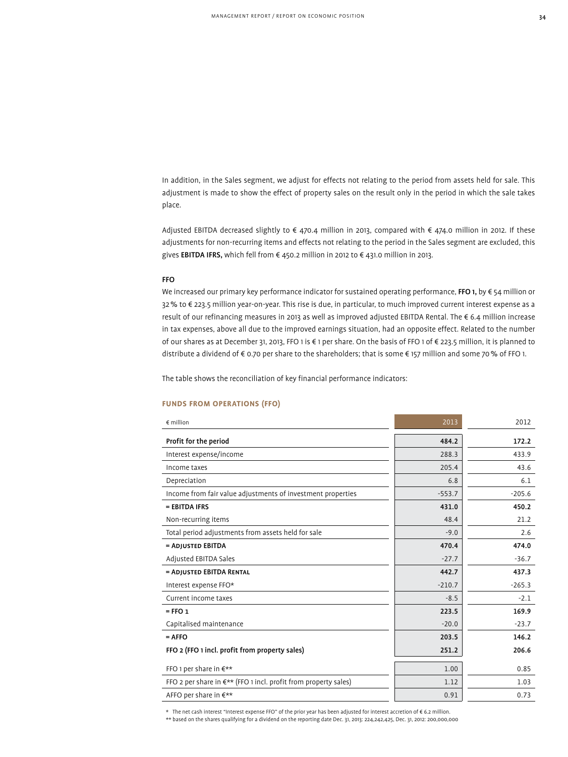In addition, in the Sales segment, we adjust for effects not relating to the period from assets held for sale. This adjustment is made to show the effect of property sales on the result only in the period in which the sale takes place.

Adjusted EBITDA decreased slightly to € 470.4 million in 2013, compared with € 474.0 million in 2012. If these adjustments for non-recurring items and effects not relating to the period in the Sales segment are excluded, this gives **EBITDA IFRS,** which fell from € 450.2 million in 2012 to € 431.0 million in 2013.

# FFO

We increased our primary key performance indicator for sustained operating performance, FFO 1, by  $\epsilon$  54 million or 32% to € 223.5 million year-on-year. This rise is due, in particular, to much improved current interest expense as a result of our refinancing measures in 2013 as well as improved adjusted EBITDA Rental. The € 6.4 million increase in tax expenses, above all due to the improved earnings situation, had an opposite effect. Related to the number of our shares as at December 31, 2013, FFO 1 is € 1 per share. On the basis of FFO 1 of € 223.5 million, it is planned to distribute a dividend of € 0.70 per share to the shareholders; that is some € 157 million and some 70% of FFO 1.

The table shows the reconciliation of key financial performance indicators:

# **FUNDS FROM OPERATIONS (FFO)**

| $\epsilon$ million                                                     | 2013     | 2012     |
|------------------------------------------------------------------------|----------|----------|
| Profit for the period                                                  | 484.2    | 172.2    |
| Interest expense/income                                                | 288.3    | 433.9    |
| Income taxes                                                           | 205.4    | 43.6     |
| Depreciation                                                           | 6.8      | 6.1      |
| Income from fair value adjustments of investment properties            | $-553.7$ | $-205.6$ |
| = EBITDA IFRS                                                          | 431.0    | 450.2    |
| Non-recurring items                                                    | 48.4     | 21.2     |
| Total period adjustments from assets held for sale                     | $-9.0$   | 2.6      |
| = ADJUSTED EBITDA                                                      | 470.4    | 474.0    |
| Adjusted EBITDA Sales                                                  | $-27.7$  | $-36.7$  |
| = ADJUSTED EBITDA RENTAL                                               | 442.7    | 437.3    |
| Interest expense FFO*                                                  | $-210.7$ | $-265.3$ |
| Current income taxes                                                   | $-8.5$   | $-2.1$   |
| $=$ FFO $1$                                                            | 223.5    | 169.9    |
| Capitalised maintenance                                                | $-20.0$  | $-23.7$  |
| $=$ AFFO                                                               | 203.5    | 146.2    |
| FFO 2 (FFO 1 incl. profit from property sales)                         | 251.2    | 206.6    |
| FFO 1 per share in $\epsilon^{**}$                                     | 1.00     | 0.85     |
| FFO 2 per share in $\xi^{**}$ (FFO 1 incl. profit from property sales) | 1.12     | 1.03     |
| AFFO per share in €**                                                  | 0.91     | 0.73     |

\* The net cash interest "Interest expense FFO" of the prior year has been adjusted for interest accretion of € 6.2 million.

\*\* based on the shares qualifying for a dividend on the reporting date Dec. 31, 2013: 224,242,425, Dec. 31, 2012: 200,000,000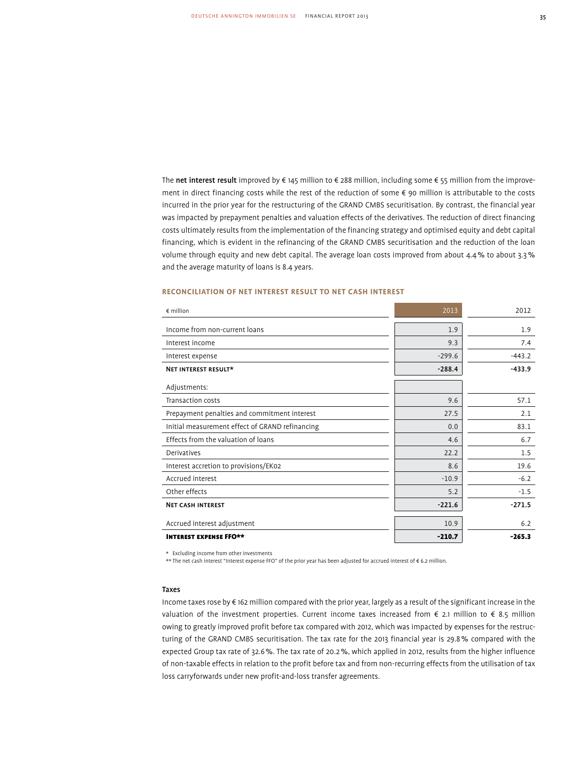The net interest result improved by € 145 million to € 288 million, including some € 55 million from the improvement in direct financing costs while the rest of the reduction of some € 90 million is attributable to the costs incurred in the prior year for the restructuring of the GRAND CMBS securitisation. By contrast, the financial year was impacted by prepayment penalties and valuation effects of the derivatives. The reduction of direct financing costs ultimately results from the implementation of the financing strategy and optimised equity and debt capital financing, which is evident in the refinancing of the GRAND CMBS securitisation and the reduction of the loan volume through equity and new debt capital. The average loan costs improved from about 4.4% to about 3.3% and the average maturity of loans is 8.4 years.

# **Reconciliation of net interest result to net cash interest**

| $\epsilon$ million                              | 2013     | 2012     |
|-------------------------------------------------|----------|----------|
| Income from non-current loans                   | 1.9      | 1.9      |
| Interest income                                 | 9.3      | 7.4      |
| Interest expense                                | $-299.6$ | $-443.2$ |
| NET INTEREST RESULT*                            | $-288.4$ | $-433.9$ |
| Adjustments:                                    |          |          |
| Transaction costs                               | 9.6      | 57.1     |
| Prepayment penalties and commitment interest    | 27.5     | 2.1      |
| Initial measurement effect of GRAND refinancing | 0.0      | 83.1     |
| Effects from the valuation of loans             | 4.6      | 6.7      |
| Derivatives                                     | 22.2     | 1.5      |
| Interest accretion to provisions/EK02           | 8.6      | 19.6     |
| Accrued interest                                | $-10.9$  | $-6.2$   |
| Other effects                                   | 5.2      | $-1.5$   |
| <b>NET CASH INTEREST</b>                        | $-221.6$ | $-271.5$ |
| Accrued interest adjustment                     | 10.9     | 6.2      |
| <b>INTEREST EXPENSE FFO**</b>                   | $-210.7$ | $-265.3$ |

\* Excluding income from other investments

\*\* The net cash interest "Interest expense FFO" of the prior year has been adjusted for accrued interest of € 6.2 million.

# Taxes

Income taxes rose by € 162 million compared with the prior year, largely as a result of the significant increase in the valuation of the investment properties. Current income taxes increased from  $\epsilon$  2.1 million to  $\epsilon$  8.5 million owing to greatly improved profit before tax compared with 2012, which was impacted by expenses for the restructuring of the GRAND CMBS securitisation. The tax rate for the 2013 financial year is 29.8% compared with the expected Group tax rate of 32.6%. The tax rate of 20.2%, which applied in 2012, results from the higher influence of non-taxable effects in relation to the profit before tax and from non-recurring effects from the utilisation of tax loss carryforwards under new profit-and-loss transfer agreements.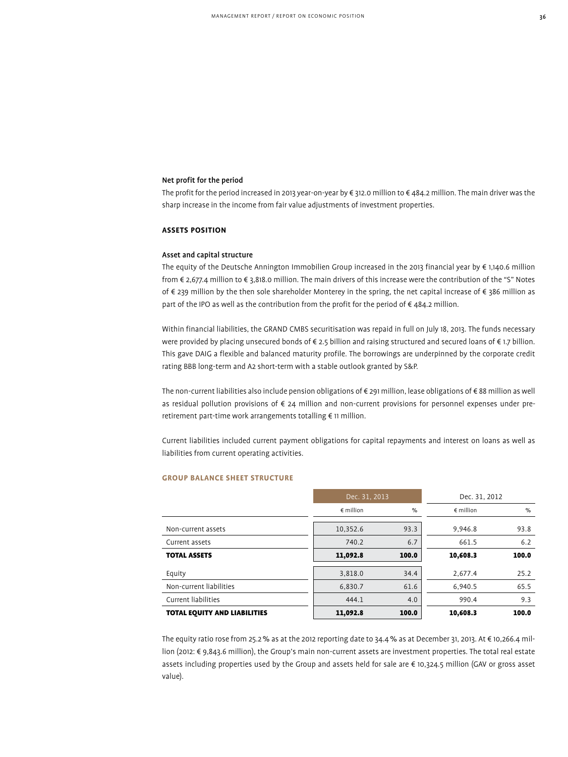# Net profit for the period

The profit for the period increased in 2013 year-on-year by € 312.0 million to € 484.2 million. The main driver was the sharp increase in the income from fair value adjustments of investment properties.

# **Assets Position**

# Asset and capital structure

The equity of the Deutsche Annington Immobilien Group increased in the 2013 financial year by € 1,140.6 million from € 2,677.4 million to € 3,818.0 million. The main drivers of this increase were the contribution of the "S" Notes of € 239 million by the then sole shareholder Monterey in the spring, the net capital increase of € 386 million as part of the IPO as well as the contribution from the profit for the period of €484.2 million.

Within financial liabilities, the GRAND CMBS securitisation was repaid in full on July 18, 2013. The funds necessary were provided by placing unsecured bonds of € 2.5 billion and raising structured and secured loans of € 1.7 billion. This gave DAIG a flexible and balanced maturity profile. The borrowings are underpinned by the corporate credit rating BBB long-term and A2 short-term with a stable outlook granted by S&P.

The non-current liabilities also include pension obligations of € 291 million, lease obligations of € 88 million as well as residual pollution provisions of € 24 million and non-current provisions for personnel expenses under preretirement part-time work arrangements totalling € 11 million.

Current liabilities included current payment obligations for capital repayments and interest on loans as well as liabilities from current operating activities.

|                                     | Dec. 31, 2013      |       | Dec. 31, 2012    |       |
|-------------------------------------|--------------------|-------|------------------|-------|
|                                     | $\epsilon$ million | %     | $\notin$ million | $\%$  |
| Non-current assets                  | 10,352.6           | 93.3  | 9,946.8          | 93.8  |
| Current assets                      | 740.2              | 6.7   | 661.5            | 6.2   |
| <b>TOTAL ASSETS</b>                 | 11,092.8           | 100.0 | 10,608.3         | 100.0 |
| Equity                              | 3,818.0            | 34.4  | 2.677.4          | 25.2  |
| Non-current liabilities             | 6,830.7            | 61.6  | 6.940.5          | 65.5  |
| Current liabilities                 | 444.1              | 4.0   | 990.4            | 9.3   |
| <b>TOTAL EQUITY AND LIABILITIES</b> | 11,092.8           | 100.0 | 10,608.3         | 100.0 |

# **GROUP BALANCE SHEET STRUCTURE**

The equity ratio rose from 25.2% as at the 2012 reporting date to 34.4% as at December 31, 2013. At € 10,266.4 million (2012: € 9,843.6 million), the Group's main non-current assets are investment properties. The total real estate assets including properties used by the Group and assets held for sale are € 10,324.5 million (GAV or gross asset value).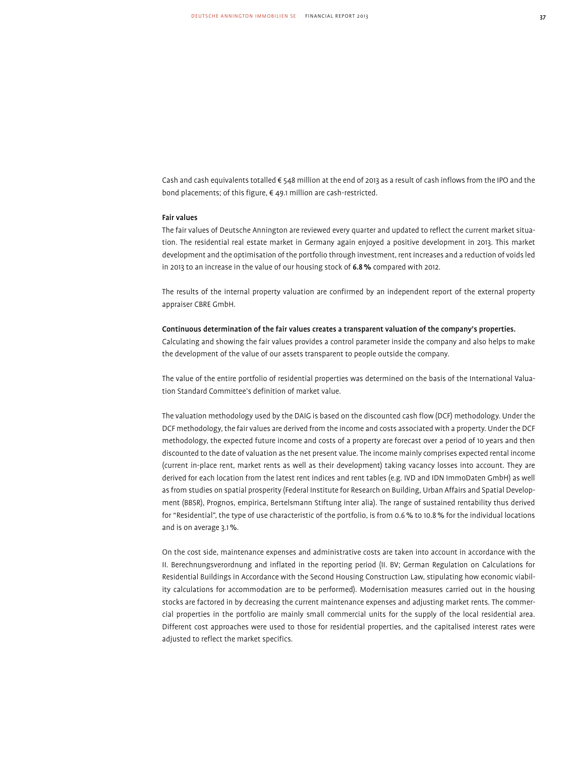Cash and cash equivalents totalled € 548 million at the end of 2013 as a result of cash inflows from the IPO and the bond placements; of this figure, € 49.1 million are cash-restricted.

#### Fair values

The fair values of Deutsche Annington are reviewed every quarter and updated to reflect the current market situation. The residential real estate market in Germany again enjoyed a positive development in 2013. This market development and the optimisation of the portfolio through investment, rent increases and a reduction of voids led in 2013 to an increase in the value of our housing stock of 6.8% compared with 2012.

The results of the internal property valuation are confirmed by an independent report of the external property appraiser CBRE GmbH.

#### Continuous determination of the fair values creates a transparent valuation of the company's properties.

Calculating and showing the fair values provides a control parameter inside the company and also helps to make the development of the value of our assets transparent to people outside the company.

The value of the entire portfolio of residential properties was determined on the basis of the International Valuation Standard Committee's definition of market value.

The valuation methodology used by the DAIG is based on the discounted cash flow (DCF) methodology. Under the DCF methodology, the fair values are derived from the income and costs associated with a property. Under the DCF methodology, the expected future income and costs of a property are forecast over a period of 10 years and then discounted to the date of valuation as the net present value. The income mainly comprises expected rental income (current in-place rent, market rents as well as their development) taking vacancy losses into account. They are derived for each location from the latest rent indices and rent tables (e.g. IVD and IDN ImmoDaten GmbH) as well as from studies on spatial prosperity (Federal Institute for Research on Building, Urban Affairs and Spatial Development (BBSR), Prognos, empirica, Bertelsmann Stiftung inter alia). The range of sustained rentability thus derived for "Residential", the type of use characteristic of the portfolio, is from 0.6% to 10.8% for the individual locations and is on average 3.1%.

On the cost side, maintenance expenses and administrative costs are taken into account in accordance with the II. Berechnungsverordnung and inflated in the reporting period (II. BV; German Regulation on Calculations for Residential Buildings in Accordance with the Second Housing Construction Law, stipulating how economic viability calculations for accommodation are to be performed). Modernisation measures carried out in the housing stocks are factored in by decreasing the current maintenance expenses and adjusting market rents. The commercial properties in the portfolio are mainly small commercial units for the supply of the local residential area. Different cost approaches were used to those for residential properties, and the capitalised interest rates were adjusted to reflect the market specifics.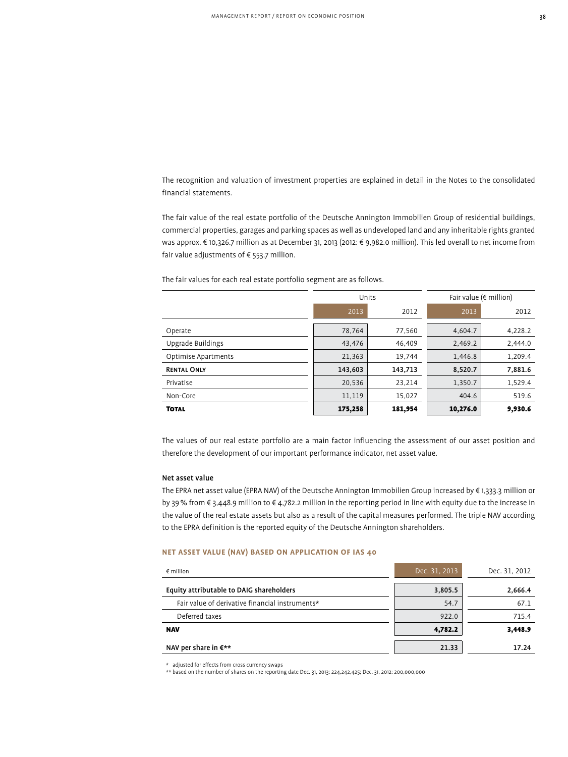The recognition and valuation of investment properties are explained in detail in the Notes to the consolidated financial statements.

The fair value of the real estate portfolio of the Deutsche Annington Immobilien Group of residential buildings, commercial properties, garages and parking spaces as well as undeveloped land and any inheritable rights granted was approx. € 10,326.7 million as at December 31, 2013 (2012: € 9,982.0 million). This led overall to net income from fair value adjustments of  $\epsilon$  553.7 million.

The fair values for each real estate portfolio segment are as follows.

|                     | Units   |         | Fair value ( $\notin$ million) |         |
|---------------------|---------|---------|--------------------------------|---------|
|                     | 2013    | 2012    | 2013                           | 2012    |
| Operate             | 78,764  | 77,560  | 4,604.7                        | 4,228.2 |
| Upgrade Buildings   | 43,476  | 46.409  | 2,469.2                        | 2,444.0 |
| Optimise Apartments | 21,363  | 19,744  | 1,446.8                        | 1,209.4 |
| <b>RENTAL ONLY</b>  | 143,603 | 143,713 | 8,520.7                        | 7,881.6 |
| Privatise           | 20,536  | 23.214  | 1,350.7                        | 1,529.4 |
| Non-Core            | 11,119  | 15,027  | 404.6                          | 519.6   |
| <b>TOTAL</b>        | 175,258 | 181,954 | 10,276.0                       | 9,930.6 |

The values of our real estate portfolio are a main factor influencing the assessment of our asset position and therefore the development of our important performance indicator, net asset value.

# Net asset value

The EPRA net asset value (EPRA NAV) of the Deutsche Annington Immobilien Group increased by € 1,333.3 million or by 39% from € 3,448.9 million to € 4,782.2 million in the reporting period in line with equity due to the increase in the value of the real estate assets but also as a result of the capital measures performed. The triple NAV according to the EPRA definition is the reported equity of the Deutsche Annington shareholders.

# **Net asset value (NAV) based on application of IAS 40**

| $\epsilon$ million                              | Dec. 31, 2013 | Dec. 31, 2012 |
|-------------------------------------------------|---------------|---------------|
| Equity attributable to DAIG shareholders        | 3,805.5       | 2,666.4       |
| Fair value of derivative financial instruments* | 54.7          | 67.1          |
| Deferred taxes                                  | 922.0         | 715.4         |
| <b>NAV</b>                                      | 4,782.2       | 3,448.9       |
| NAV per share in $\varepsilon^{\star\star}$     | 21.33         | 17.24         |

 $^\star~$  adjusted for effects from cross currency swaps

\*\* based on the number of shares on the reporting date Dec. 31, 2013: 224,242,425; Dec. 31, 2012: 200,000,000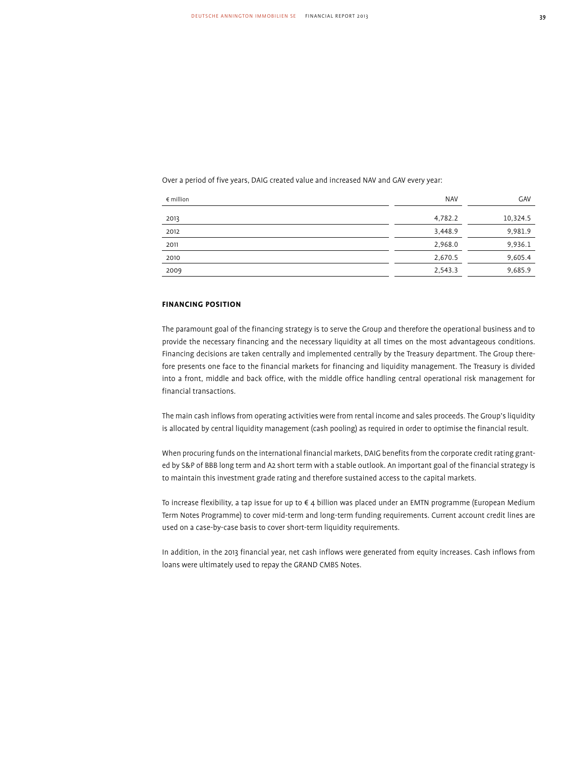Over a period of five years, DAIG created value and increased NAV and GAV every year:

| $\epsilon$ million | <b>NAV</b> | GAV      |
|--------------------|------------|----------|
| 2013               | 4,782.2    | 10,324.5 |
| 2012               | 3,448.9    | 9,981.9  |
| 2011               | 2,968.0    | 9,936.1  |
| 2010               | 2,670.5    | 9,605.4  |
| 2009               | 2,543.3    | 9,685.9  |

# **Financing Position**

The paramount goal of the financing strategy is to serve the Group and therefore the operational business and to provide the necessary financing and the necessary liquidity at all times on the most advantageous conditions. Financing decisions are taken centrally and implemented centrally by the Treasury department. The Group therefore presents one face to the financial markets for financing and liquidity management. The Treasury is divided into a front, middle and back office, with the middle office handling central operational risk management for financial transactions.

The main cash inflows from operating activities were from rental income and sales proceeds. The Group's liquidity is allocated by central liquidity management (cash pooling) as required in order to optimise the financial result.

When procuring funds on the international financial markets, DAIG benefits from the corporate credit rating granted by S&P of BBB long term and A2 short term with a stable outlook. An important goal of the financial strategy is to maintain this investment grade rating and therefore sustained access to the capital markets.

To increase flexibility, a tap issue for up to € 4 billion was placed under an EMTN programme (European Medium Term Notes Programme) to cover mid-term and long-term funding requirements. Current account credit lines are used on a case-by-case basis to cover short-term liquidity requirements.

In addition, in the 2013 financial year, net cash inflows were generated from equity increases. Cash inflows from loans were ultimately used to repay the GRAND CMBS Notes.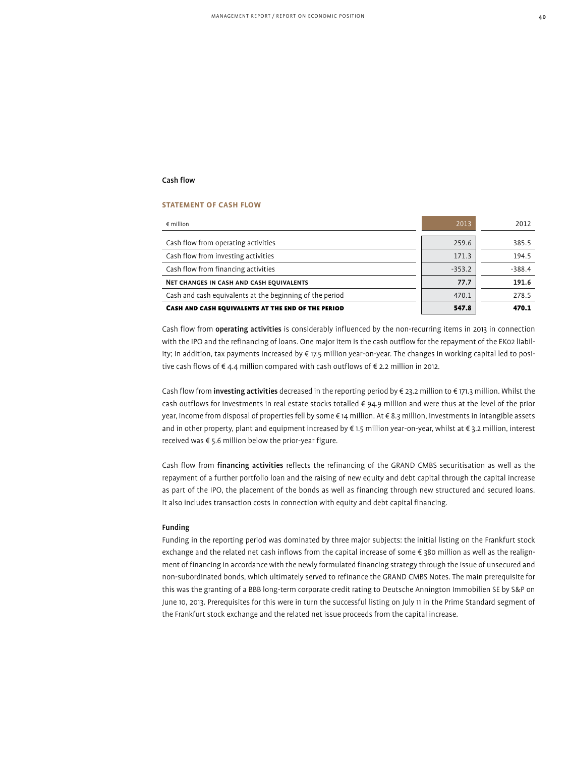# Cash flow

#### **Statement of cash flow**

| $\epsilon$ million                                       | 2013     | 2012     |
|----------------------------------------------------------|----------|----------|
|                                                          |          |          |
| Cash flow from operating activities                      | 259.6    | 385.5    |
| Cash flow from investing activities                      | 171.3    | 194.5    |
| Cash flow from financing activities                      | $-353.2$ | $-388.4$ |
| NET CHANGES IN CASH AND CASH EQUIVALENTS                 | 77.7     | 191.6    |
| Cash and cash equivalents at the beginning of the period | 470.1    | 278.5    |
| CASH AND CASH EQUIVALENTS AT THE END OF THE PERIOD       | 547.8    | 470.1    |

Cash flow from operating activities is considerably influenced by the non-recurring items in 2013 in connection with the IPO and the refinancing of loans. One major item is the cash outflow for the repayment of the EK02 liability; in addition, tax payments increased by € 17.5 million year-on-year. The changes in working capital led to positive cash flows of € 4.4 million compared with cash outflows of € 2.2 million in 2012.

Cash flow from **investing activities** decreased in the reporting period by € 23.2 million to € 171.3 million. Whilst the cash outflows for investments in real estate stocks totalled € 94.9 million and were thus at the level of the prior year, income from disposal of properties fell by some € 14 million. At € 8.3 million, investments in intangible assets and in other property, plant and equipment increased by € 1.5 million year-on-year, whilst at € 3.2 million, interest received was € 5.6 million below the prior-year figure.

Cash flow from financing activities reflects the refinancing of the GRAND CMBS securitisation as well as the repayment of a further portfolio loan and the raising of new equity and debt capital through the capital increase as part of the IPO, the placement of the bonds as well as financing through new structured and secured loans. It also includes transaction costs in connection with equity and debt capital financing.

#### Funding

Funding in the reporting period was dominated by three major subjects: the initial listing on the Frankfurt stock exchange and the related net cash inflows from the capital increase of some € 380 million as well as the realignment of financing in accordance with the newly formulated financing strategy through the issue of unsecured and non-subordinated bonds, which ultimately served to refinance the GRAND CMBS Notes. The main prerequisite for this was the granting of a BBB long-term corporate credit rating to Deutsche Annington Immobilien SE by S&P on June 10, 2013. Prerequisites for this were in turn the successful listing on July 11 in the Prime Standard segment of the Frankfurt stock exchange and the related net issue proceeds from the capital increase.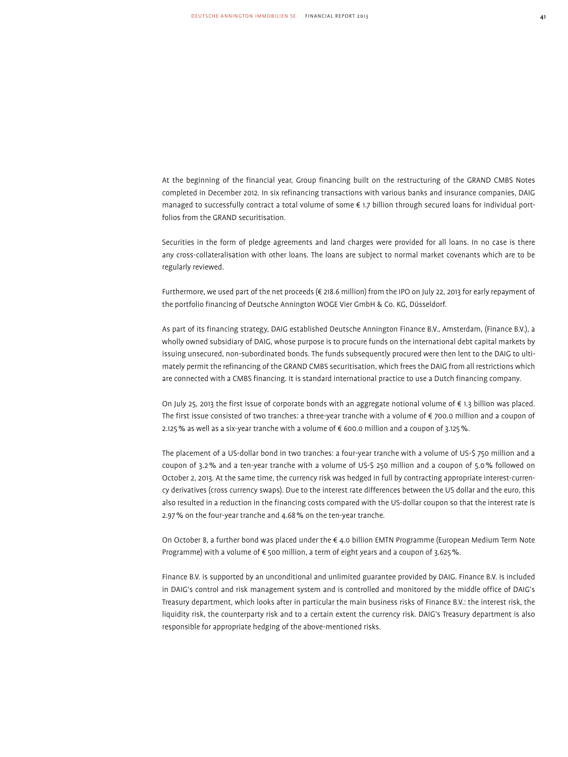At the beginning of the financial year, Group financing built on the restructuring of the GRAND CMBS Notes completed in December 2012. In six refinancing transactions with various banks and insurance companies, DAIG managed to successfully contract a total volume of some € 1.7 billion through secured loans for individual portfolios from the GRAND securitisation.

Securities in the form of pledge agreements and land charges were provided for all loans. In no case is there any cross-collateralisation with other loans. The loans are subject to normal market covenants which are to be regularly reviewed.

Furthermore, we used part of the net proceeds (€ 218.6 million) from the IPO on July 22, 2013 for early repayment of the portfolio financing of Deutsche Annington WOGE Vier GmbH & Co. KG, Düsseldorf.

As part of its financing strategy, DAIG established Deutsche Annington Finance B.V., Amsterdam, (Finance B.V.), a wholly owned subsidiary of DAIG, whose purpose is to procure funds on the international debt capital markets by issuing unsecured, non-subordinated bonds. The funds subsequently procured were then lent to the DAIG to ultimately permit the refinancing of the GRAND CMBS securitisation, which frees the DAIG from all restrictions which are connected with a CMBS financing. It is standard international practice to use a Dutch financing company.

On July 25, 2013 the first issue of corporate bonds with an aggregate notional volume of € 1.3 billion was placed. The first issue consisted of two tranches: a three-year tranche with a volume of € 700.0 million and a coupon of 2.125% as well as a six-year tranche with a volume of € 600.0 million and a coupon of 3.125%.

The placement of a US-dollar bond in two tranches: a four-year tranche with a volume of US-\$ 750 million and a coupon of 3.2% and a ten-year tranche with a volume of US-\$ 250 million and a coupon of 5.0% followed on October 2, 2013. At the same time, the currency risk was hedged in full by contracting appropriate interest-currency derivatives (cross currency swaps). Due to the interest rate differences between the US dollar and the euro, this also resulted in a reduction in the financing costs compared with the US-dollar coupon so that the interest rate is 2.97% on the four-year tranche and 4.68% on the ten-year tranche.

On October 8, a further bond was placed under the € 4.0 billion EMTN Programme (European Medium Term Note Programme) with a volume of  $\epsilon$  500 million, a term of eight years and a coupon of 3.625%.

Finance B.V. is supported by an unconditional and unlimited guarantee provided by DAIG. Finance B.V. is included in DAIG's control and risk management system and is controlled and monitored by the middle office of DAIG's Treasury department, which looks after in particular the main business risks of Finance B.V.: the interest risk, the liquidity risk, the counterparty risk and to a certain extent the currency risk. DAIG's Treasury department is also responsible for appropriate hedging of the above-mentioned risks.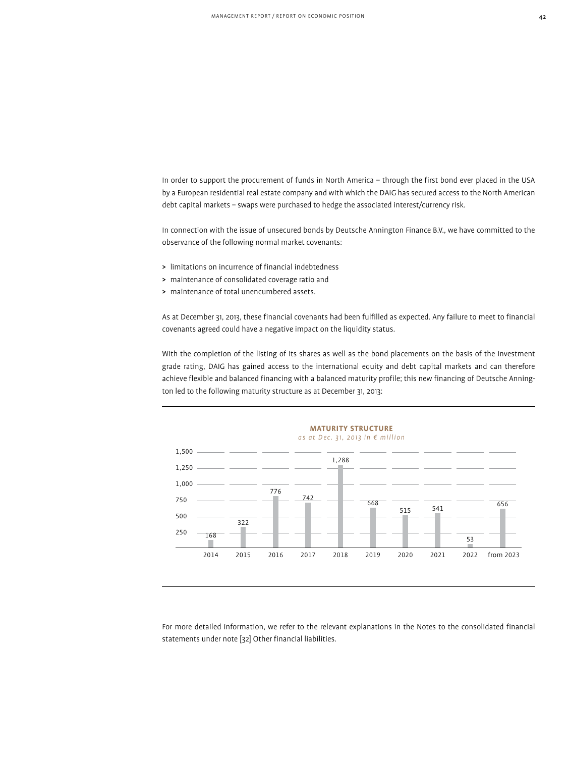In order to support the procurement of funds in North America – through the first bond ever placed in the USA by a European residential real estate company and with which the DAIG has secured access to the North American debt capital markets – swaps were purchased to hedge the associated interest/currency risk.

In connection with the issue of unsecured bonds by Deutsche Annington Finance B.V., we have committed to the observance of the following normal market covenants:

- > limitations on incurrence of financial indebtedness
- > maintenance of consolidated coverage ratio and
- > maintenance of total unencumbered assets.

As at December 31, 2013, these financial covenants had been fulfilled as expected. Any failure to meet to financial covenants agreed could have a negative impact on the liquidity status.

With the completion of the listing of its shares as well as the bond placements on the basis of the investment grade rating, DAIG has gained access to the international equity and debt capital markets and can therefore achieve flexible and balanced financing with a balanced maturity profile; this new financing of Deutsche Annington led to the following maturity structure as at December 31, 2013:



For more detailed information, we refer to the relevant explanations in the Notes to the consolidated financial statements under note [32] Other financial liabilities.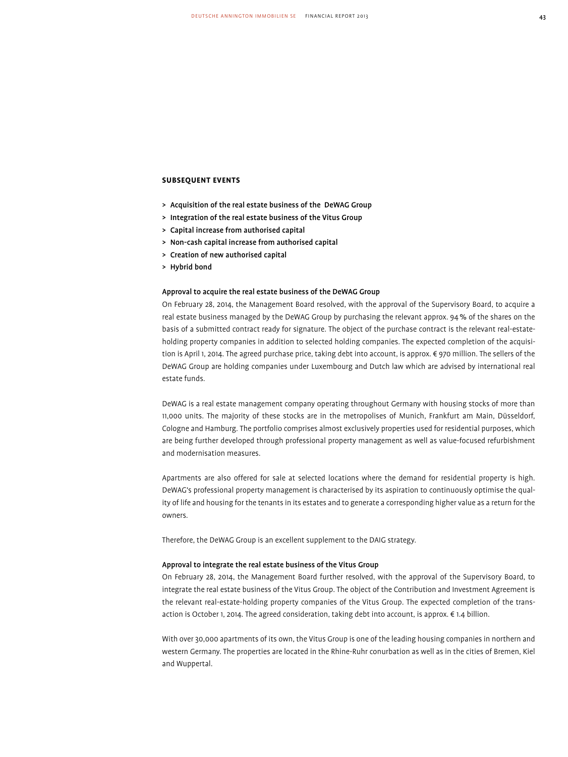# **Subsequent Events**

- > Acquisition of the real estate business of the DeWAG Group
- > Integration of the real estate business of the Vitus Group
- > Capital increase from authorised capital
- > Non-cash capital increase from authorised capital
- > Creation of new authorised capital
- > Hybrid bond

#### Approval to acquire the real estate business of the DeWAG Group

On February 28, 2014, the Management Board resolved, with the approval of the Supervisory Board, to acquire a real estate business managed by the DeWAG Group by purchasing the relevant approx. 94% of the shares on the basis of a submitted contract ready for signature. The object of the purchase contract is the relevant real-estateholding property companies in addition to selected holding companies. The expected completion of the acquisition is April 1, 2014. The agreed purchase price, taking debt into account, is approx. € 970 million. The sellers of the DeWAG Group are holding companies under Luxembourg and Dutch law which are advised by international real estate funds.

DeWAG is a real estate management company operating throughout Germany with housing stocks of more than 11,000 units. The majority of these stocks are in the metropolises of Munich, Frankfurt am Main, Düsseldorf, Cologne and Hamburg. The portfolio comprises almost exclusively properties used for residential purposes, which are being further developed through professional property management as well as value-focused refurbishment and modernisation measures.

Apartments are also offered for sale at selected locations where the demand for residential property is high. DeWAG's professional property management is characterised by its aspiration to continuously optimise the quality of life and housing for the tenants in its estates and to generate a corresponding higher value as a return for the owners.

Therefore, the DeWAG Group is an excellent supplement to the DAIG strategy.

#### Approval to integrate the real estate business of the Vitus Group

On February 28, 2014, the Management Board further resolved, with the approval of the Supervisory Board, to integrate the real estate business of the Vitus Group. The object of the Contribution and Investment Agreement is the relevant real-estate-holding property companies of the Vitus Group. The expected completion of the transaction is October 1, 2014. The agreed consideration, taking debt into account, is approx. € 1.4 billion.

With over 30,000 apartments of its own, the Vitus Group is one of the leading housing companies in northern and western Germany. The properties are located in the Rhine-Ruhr conurbation as well as in the cities of Bremen, Kiel and Wuppertal.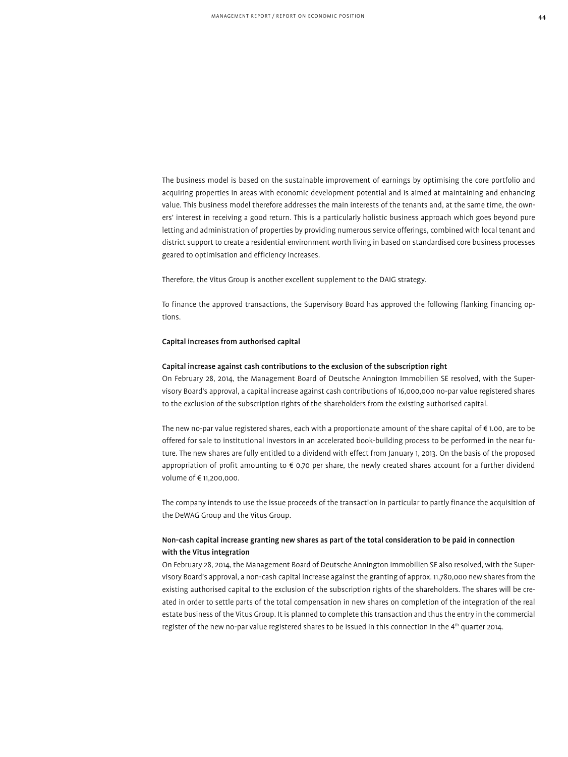The business model is based on the sustainable improvement of earnings by optimising the core portfolio and acquiring properties in areas with economic development potential and is aimed at maintaining and enhancing value. This business model therefore addresses the main interests of the tenants and, at the same time, the owners' interest in receiving a good return. This is a particularly holistic business approach which goes beyond pure letting and administration of properties by providing numerous service offerings, combined with local tenant and district support to create a residential environment worth living in based on standardised core business processes geared to optimisation and efficiency increases.

Therefore, the Vitus Group is another excellent supplement to the DAIG strategy.

To finance the approved transactions, the Supervisory Board has approved the following flanking financing options.

#### Capital increases from authorised capital

#### Capital increase against cash contributions to the exclusion of the subscription right

On February 28, 2014, the Management Board of Deutsche Annington Immobilien SE resolved, with the Supervisory Board's approval, a capital increase against cash contributions of 16,000,000 no-par value registered shares to the exclusion of the subscription rights of the shareholders from the existing authorised capital.

The new no-par value registered shares, each with a proportionate amount of the share capital of € 1.00, are to be offered for sale to institutional investors in an accelerated book-building process to be performed in the near future. The new shares are fully entitled to a dividend with effect from January 1, 2013. On the basis of the proposed appropriation of profit amounting to € 0.70 per share, the newly created shares account for a further dividend volume of € 11,200,000.

The company intends to use the issue proceeds of the transaction in particular to partly finance the acquisition of the DeWAG Group and the Vitus Group.

# Non-cash capital increase granting new shares as part of the total consideration to be paid in connection with the Vitus integration

On February 28, 2014, the Management Board of Deutsche Annington Immobilien SE also resolved, with the Supervisory Board's approval, a non-cash capital increase against the granting of approx. 11,780,000 new shares from the existing authorised capital to the exclusion of the subscription rights of the shareholders. The shares will be created in order to settle parts of the total compensation in new shares on completion of the integration of the real estate business of the Vitus Group. It is planned to complete this transaction and thus the entry in the commercial register of the new no-par value registered shares to be issued in this connection in the 4<sup>th</sup> quarter 2014.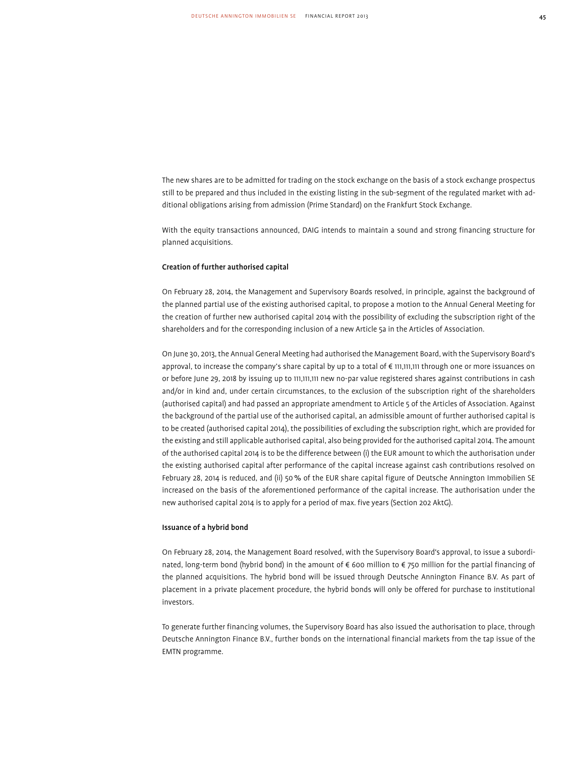The new shares are to be admitted for trading on the stock exchange on the basis of a stock exchange prospectus still to be prepared and thus included in the existing listing in the sub-segment of the regulated market with additional obligations arising from admission (Prime Standard) on the Frankfurt Stock Exchange.

With the equity transactions announced, DAIG intends to maintain a sound and strong financing structure for planned acquisitions.

# Creation of further authorised capital

On February 28, 2014, the Management and Supervisory Boards resolved, in principle, against the background of the planned partial use of the existing authorised capital, to propose a motion to the Annual General Meeting for the creation of further new authorised capital 2014 with the possibility of excluding the subscription right of the shareholders and for the corresponding inclusion of a new Article 5a in the Articles of Association.

On June 30, 2013, the Annual General Meeting had authorised the Management Board, with the Supervisory Board's approval, to increase the company's share capital by up to a total of € 111,111,111 through one or more issuances on or before June 29, 2018 by issuing up to 111,111,111 new no-par value registered shares against contributions in cash and/or in kind and, under certain circumstances, to the exclusion of the subscription right of the shareholders (authorised capital) and had passed an appropriate amendment to Article 5 of the Articles of Association. Against the background of the partial use of the authorised capital, an admissible amount of further authorised capital is to be created (authorised capital 2014), the possibilities of excluding the subscription right, which are provided for the existing and still applicable authorised capital, also being provided for the authorised capital 2014. The amount of the authorised capital 2014 is to be the difference between (i) the EUR amount to which the authorisation under the existing authorised capital after performance of the capital increase against cash contributions resolved on February 28, 2014 is reduced, and (ii) 50% of the EUR share capital figure of Deutsche Annington Immobilien SE increased on the basis of the aforementioned performance of the capital increase. The authorisation under the new authorised capital 2014 is to apply for a period of max. five years (Section 202 AktG).

#### Issuance of a hybrid bond

On February 28, 2014, the Management Board resolved, with the Supervisory Board's approval, to issue a subordinated, long-term bond (hybrid bond) in the amount of € 600 million to € 750 million for the partial financing of the planned acquisitions. The hybrid bond will be issued through Deutsche Annington Finance B.V. As part of placement in a private placement procedure, the hybrid bonds will only be offered for purchase to institutional investors.

To generate further financing volumes, the Supervisory Board has also issued the authorisation to place, through Deutsche Annington Finance B.V., further bonds on the international financial markets from the tap issue of the EMTN programme.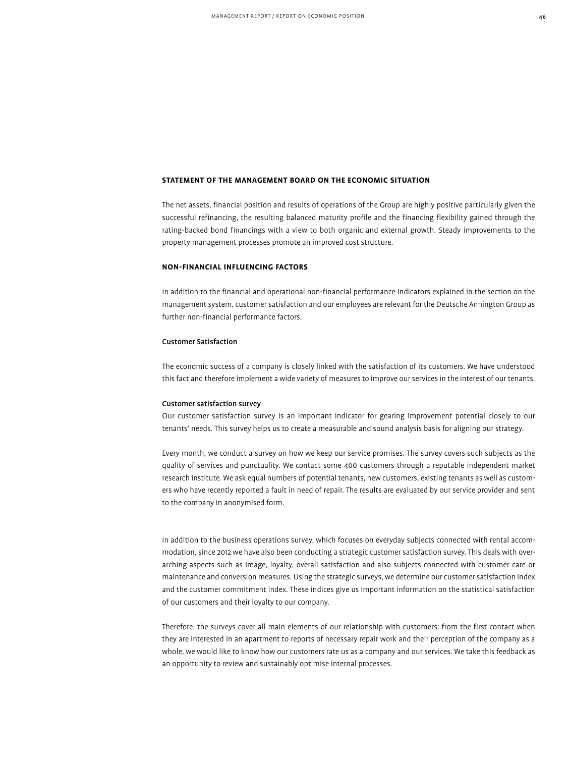# **Statement of the Management Board on the Economic Situation**

The net assets, financial position and results of operations of the Group are highly positive particularly given the successful refinancing, the resulting balanced maturity profile and the financing flexibility gained through the rating-backed bond financings with a view to both organic and external growth. Steady improvements to the property management processes promote an improved cost structure.

# **Non-financial Influencing Factors**

In addition to the financial and operational non-financial performance indicators explained in the section on the management system, customer satisfaction and our employees are relevant for the Deutsche Annington Group as further non-financial performance factors.

# Customer Satisfaction

The economic success of a company is closely linked with the satisfaction of its customers. We have understood this fact and therefore implement a wide variety of measures to improve our services in the interest of our tenants.

#### Customer satisfaction survey

Our customer satisfaction survey is an important indicator for gearing improvement potential closely to our tenants' needs. This survey helps us to create a measurable and sound analysis basis for aligning our strategy.

Every month, we conduct a survey on how we keep our service promises. The survey covers such subjects as the quality of services and punctuality. We contact some 400 customers through a reputable independent market research institute. We ask equal numbers of potential tenants, new customers, existing tenants as well as customers who have recently reported a fault in need of repair. The results are evaluated by our service provider and sent to the company in anonymised form.

In addition to the business operations survey, which focuses on everyday subjects connected with rental accommodation, since 2012 we have also been conducting a strategic customer satisfaction survey. This deals with overarching aspects such as image, loyalty, overall satisfaction and also subjects connected with customer care or maintenance and conversion measures. Using the strategic surveys, we determine our customer satisfaction index and the customer commitment index. These indices give us important information on the statistical satisfaction of our customers and their loyalty to our company.

Therefore, the surveys cover all main elements of our relationship with customers: from the first contact when they are interested in an apartment to reports of necessary repair work and their perception of the company as a whole, we would like to know how our customers rate us as a company and our services. We take this feedback as an opportunity to review and sustainably optimise internal processes.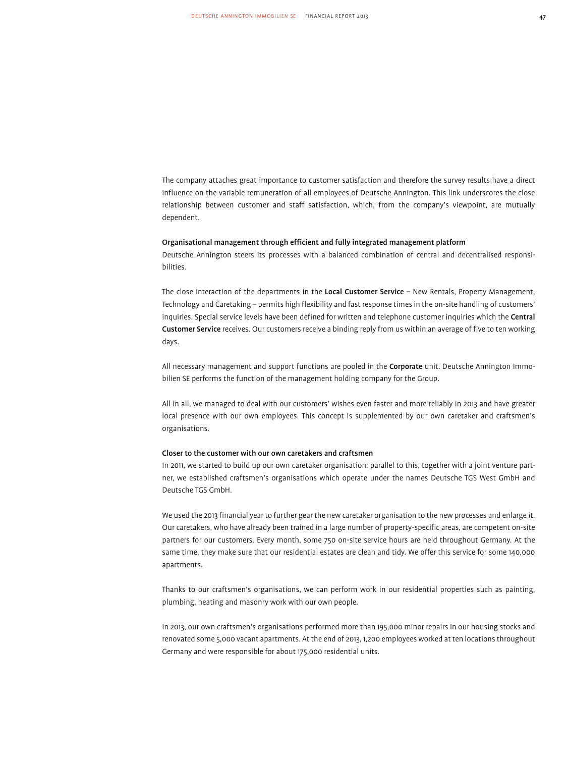The company attaches great importance to customer satisfaction and therefore the survey results have a direct influence on the variable remuneration of all employees of Deutsche Annington. This link underscores the close relationship between customer and staff satisfaction, which, from the company's viewpoint, are mutually dependent.

# Organisational management through efficient and fully integrated management platform

Deutsche Annington steers its processes with a balanced combination of central and decentralised responsibilities.

The close interaction of the departments in the Local Customer Service - New Rentals, Property Management, Technology and Caretaking – permits high flexibility and fast response times in the on-site handling of customers' inquiries. Special service levels have been defined for written and telephone customer inquiries which the Central Customer Service receives. Our customers receive a binding reply from us within an average of five to ten working days.

All necessary management and support functions are pooled in the Corporate unit. Deutsche Annington Immobilien SE performs the function of the management holding company for the Group.

All in all, we managed to deal with our customers' wishes even faster and more reliably in 2013 and have greater local presence with our own employees. This concept is supplemented by our own caretaker and craftsmen's organisations.

# Closer to the customer with our own caretakers and craftsmen

In 2011, we started to build up our own caretaker organisation: parallel to this, together with a joint venture partner, we established craftsmen's organisations which operate under the names Deutsche TGS West GmbH and Deutsche TGS GmbH.

We used the 2013 financial year to further gear the new caretaker organisation to the new processes and enlarge it. Our caretakers, who have already been trained in a large number of property-specific areas, are competent on-site partners for our customers. Every month, some 750 on-site service hours are held throughout Germany. At the same time, they make sure that our residential estates are clean and tidy. We offer this service for some 140,000 apartments.

Thanks to our craftsmen's organisations, we can perform work in our residential properties such as painting, plumbing, heating and masonry work with our own people.

In 2013, our own craftsmen's organisations performed more than 195,000 minor repairs in our housing stocks and renovated some 5,000 vacant apartments. At the end of 2013, 1,200 employees worked at ten locations throughout Germany and were responsible for about 175,000 residential units.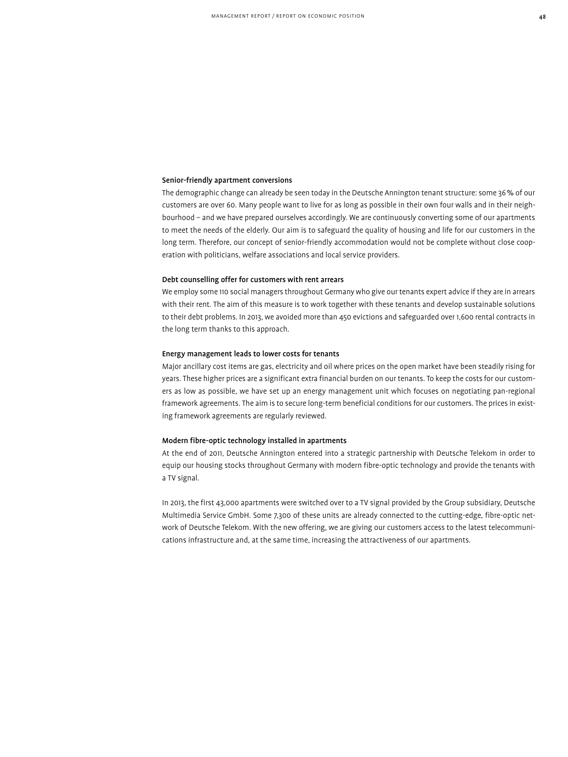#### Senior-friendly apartment conversions

The demographic change can already be seen today in the Deutsche Annington tenant structure: some 36% of our customers are over 60. Many people want to live for as long as possible in their own four walls and in their neighbourhood – and we have prepared ourselves accordingly. We are continuously converting some of our apartments to meet the needs of the elderly. Our aim is to safeguard the quality of housing and life for our customers in the long term. Therefore, our concept of senior-friendly accommodation would not be complete without close cooperation with politicians, welfare associations and local service providers.

#### Debt counselling offer for customers with rent arrears

We employ some 110 social managers throughout Germany who give our tenants expert advice if they are in arrears with their rent. The aim of this measure is to work together with these tenants and develop sustainable solutions to their debt problems. In 2013, we avoided more than 450 evictions and safeguarded over 1,600 rental contracts in the long term thanks to this approach.

# Energy management leads to lower costs for tenants

Major ancillary cost items are gas, electricity and oil where prices on the open market have been steadily rising for years. These higher prices are a significant extra financial burden on our tenants. To keep the costs for our customers as low as possible, we have set up an energy management unit which focuses on negotiating pan-regional framework agreements. The aim is to secure long-term beneficial conditions for our customers. The prices in existing framework agreements are regularly reviewed.

# Modern fibre-optic technology installed in apartments

At the end of 2011, Deutsche Annington entered into a strategic partnership with Deutsche Telekom in order to equip our housing stocks throughout Germany with modern fibre-optic technology and provide the tenants with a TV signal.

In 2013, the first 43,000 apartments were switched over to a TV signal provided by the Group subsidiary, Deutsche Multimedia Service GmbH. Some 7,300 of these units are already connected to the cutting-edge, fibre-optic network of Deutsche Telekom. With the new offering, we are giving our customers access to the latest telecommunications infrastructure and, at the same time, increasing the attractiveness of our apartments.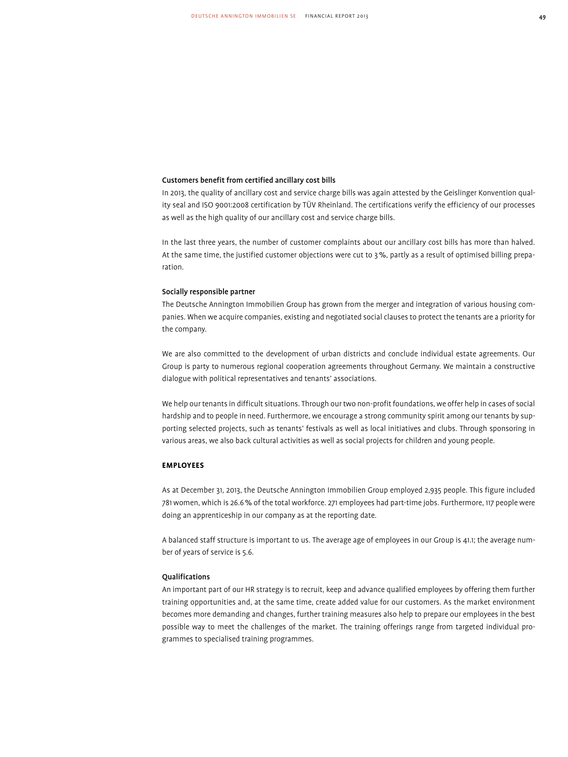# Customers benefit from certified ancillary cost bills

In 2013, the quality of ancillary cost and service charge bills was again attested by the Geislinger Konvention quality seal and ISO 9001:2008 certification by TÜV Rheinland. The certifications verify the efficiency of our processes as well as the high quality of our ancillary cost and service charge bills.

In the last three years, the number of customer complaints about our ancillary cost bills has more than halved. At the same time, the justified customer objections were cut to 3%, partly as a result of optimised billing preparation.

#### Socially responsible partner

The Deutsche Annington Immobilien Group has grown from the merger and integration of various housing companies. When we acquire companies, existing and negotiated social clauses to protect the tenants are a priority for the company.

We are also committed to the development of urban districts and conclude individual estate agreements. Our Group is party to numerous regional cooperation agreements throughout Germany. We maintain a constructive dialogue with political representatives and tenants' associations.

We help our tenants in difficult situations. Through our two non-profit foundations, we offer help in cases of social hardship and to people in need. Furthermore, we encourage a strong community spirit among our tenants by supporting selected projects, such as tenants' festivals as well as local initiatives and clubs. Through sponsoring in various areas, we also back cultural activities as well as social projects for children and young people.

# **Employees**

As at December 31, 2013, the Deutsche Annington Immobilien Group employed 2,935 people. This figure included 781 women, which is 26.6% of the total workforce. 271 employees had part-time jobs. Furthermore, 117 people were doing an apprenticeship in our company as at the reporting date.

A balanced staff structure is important to us. The average age of employees in our Group is 41.1; the average number of years of service is 5.6.

#### **Oualifications**

An important part of our HR strategy is to recruit, keep and advance qualified employees by offering them further training opportunities and, at the same time, create added value for our customers. As the market environment becomes more demanding and changes, further training measures also help to prepare our employees in the best possible way to meet the challenges of the market. The training offerings range from targeted individual programmes to specialised training programmes.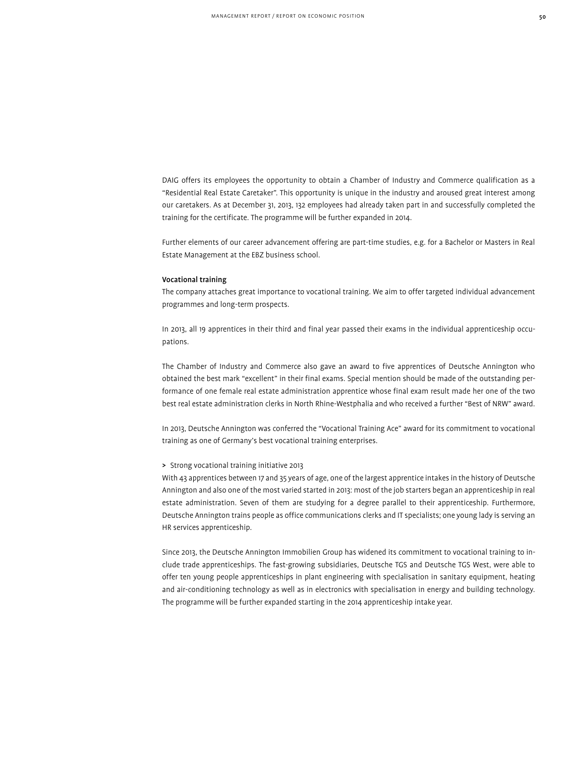DAIG offers its employees the opportunity to obtain a Chamber of Industry and Commerce qualification as a "Residential Real Estate Caretaker". This opportunity is unique in the industry and aroused great interest among our caretakers. As at December 31, 2013, 132 employees had already taken part in and successfully completed the training for the certificate. The programme will be further expanded in 2014.

Further elements of our career advancement offering are part-time studies, e.g. for a Bachelor or Masters in Real Estate Management at the EBZ business school.

#### Vocational training

The company attaches great importance to vocational training. We aim to offer targeted individual advancement programmes and long-term prospects.

In 2013, all 19 apprentices in their third and final year passed their exams in the individual apprenticeship occupations.

The Chamber of Industry and Commerce also gave an award to five apprentices of Deutsche Annington who obtained the best mark "excellent" in their final exams. Special mention should be made of the outstanding performance of one female real estate administration apprentice whose final exam result made her one of the two best real estate administration clerks in North Rhine-Westphalia and who received a further "Best of NRW" award.

In 2013, Deutsche Annington was conferred the "Vocational Training Ace" award for its commitment to vocational training as one of Germany's best vocational training enterprises.

# > Strong vocational training initiative 2013

With 43 apprentices between 17 and 35 years of age, one of the largest apprentice intakes in the history of Deutsche Annington and also one of the most varied started in 2013: most of the job starters began an apprenticeship in real estate administration. Seven of them are studying for a degree parallel to their apprenticeship. Furthermore, Deutsche Annington trains people as office communications clerks and IT specialists; one young lady is serving an HR services apprenticeship.

Since 2013, the Deutsche Annington Immobilien Group has widened its commitment to vocational training to include trade apprenticeships. The fast-growing subsidiaries, Deutsche TGS and Deutsche TGS West, were able to offer ten young people apprenticeships in plant engineering with specialisation in sanitary equipment, heating and air-conditioning technology as well as in electronics with specialisation in energy and building technology. The programme will be further expanded starting in the 2014 apprenticeship intake year.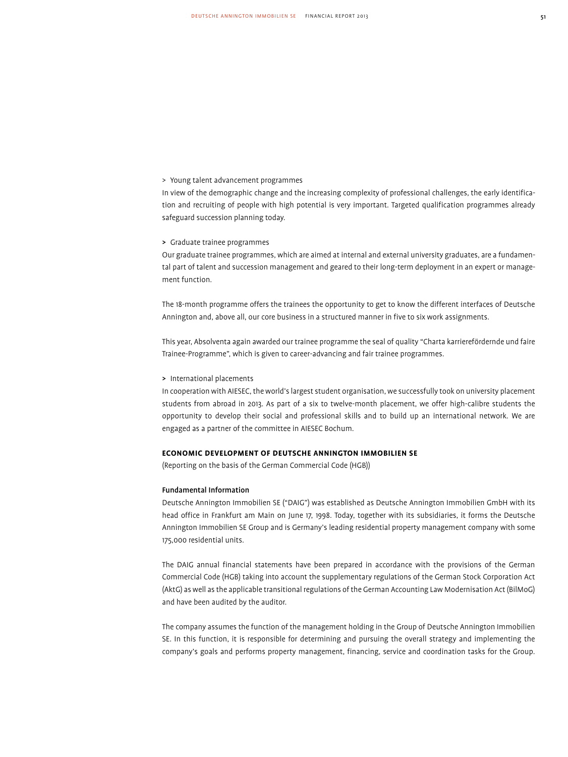# > Young talent advancement programmes

In view of the demographic change and the increasing complexity of professional challenges, the early identification and recruiting of people with high potential is very important. Targeted qualification programmes already safeguard succession planning today.

#### > Graduate trainee programmes

Our graduate trainee programmes, which are aimed at internal and external university graduates, are a fundamental part of talent and succession management and geared to their long-term deployment in an expert or management function.

The 18-month programme offers the trainees the opportunity to get to know the different interfaces of Deutsche Annington and, above all, our core business in a structured manner in five to six work assignments.

This year, Absolventa again awarded our trainee programme the seal of quality "Charta karrierefördernde und faire Trainee-Programme", which is given to career-advancing and fair trainee programmes.

#### > International placements

In cooperation with AIESEC, the world's largest student organisation, we successfully took on university placement students from abroad in 2013. As part of a six to twelve-month placement, we offer high-calibre students the opportunity to develop their social and professional skills and to build up an international network. We are engaged as a partner of the committee in AIESEC Bochum.

# **Economic Development of Deutsche Annington Immobilien SE**

(Reporting on the basis of the German Commercial Code (HGB))

#### Fundamental Information

Deutsche Annington Immobilien SE ("DAIG") was established as Deutsche Annington Immobilien GmbH with its head office in Frankfurt am Main on June 17, 1998. Today, together with its subsidiaries, it forms the Deutsche Annington Immobilien SE Group and is Germany's leading residential property management company with some 175,000 residential units.

The DAIG annual financial statements have been prepared in accordance with the provisions of the German Commercial Code (HGB) taking into account the supplementary regulations of the German Stock Corporation Act (AktG) as well as the applicable transitional regulations of the German Accounting Law Modernisation Act (BilMoG) and have been audited by the auditor.

The company assumes the function of the management holding in the Group of Deutsche Annington Immobilien SE. In this function, it is responsible for determining and pursuing the overall strategy and implementing the company's goals and performs property management, financing, service and coordination tasks for the Group.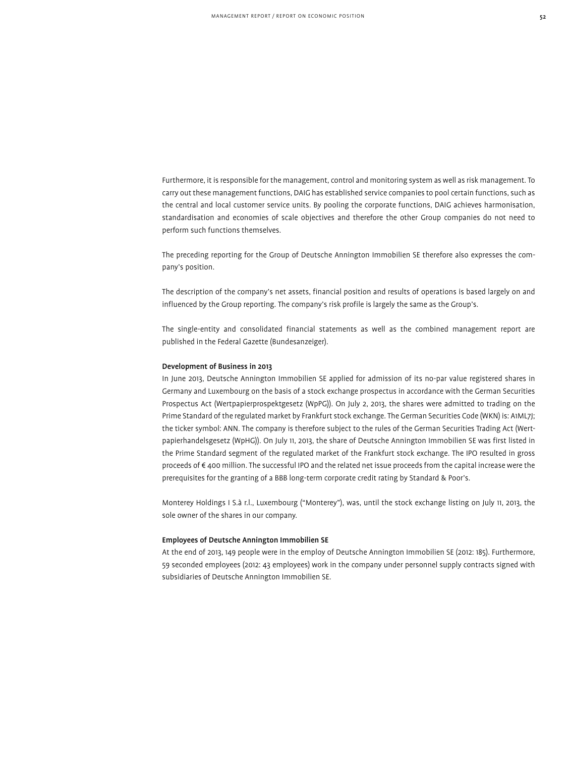Furthermore, it is responsible for the management, control and monitoring system as well as risk management. To carry out these management functions, DAIG has established service companies to pool certain functions, such as the central and local customer service units. By pooling the corporate functions, DAIG achieves harmonisation, standardisation and economies of scale objectives and therefore the other Group companies do not need to perform such functions themselves.

The preceding reporting for the Group of Deutsche Annington Immobilien SE therefore also expresses the company's position.

The description of the company's net assets, financial position and results of operations is based largely on and influenced by the Group reporting. The company's risk profile is largely the same as the Group's.

The single-entity and consolidated financial statements as well as the combined management report are published in the Federal Gazette (Bundesanzeiger).

## Development of Business in 2013

In June 2013, Deutsche Annington Immobilien SE applied for admission of its no-par value registered shares in Germany and Luxembourg on the basis of a stock exchange prospectus in accordance with the German Securities Prospectus Act (Wertpapierprospektgesetz (WpPG)). On July 2, 2013, the shares were admitted to trading on the Prime Standard of the regulated market by Frankfurt stock exchange. The German Securities Code (WKN) is: A1ML7J; the ticker symbol: ANN. The company is therefore subject to the rules of the German Securities Trading Act (Wertpapierhandelsgesetz (WpHG)). On July 11, 2013, the share of Deutsche Annington Immobilien SE was first listed in the Prime Standard segment of the regulated market of the Frankfurt stock exchange. The IPO resulted in gross proceeds of € 400 million. The successful IPO and the related net issue proceeds from the capital increase were the prerequisites for the granting of a BBB long-term corporate credit rating by Standard & Poor's.

Monterey Holdings I S.à r.l., Luxembourg ("Monterey"), was, until the stock exchange listing on July 11, 2013, the sole owner of the shares in our company.

#### Employees of Deutsche Annington Immobilien SE

At the end of 2013, 149 people were in the employ of Deutsche Annington Immobilien SE (2012: 185). Furthermore, 59 seconded employees (2012: 43 employees) work in the company under personnel supply contracts signed with subsidiaries of Deutsche Annington Immobilien SE.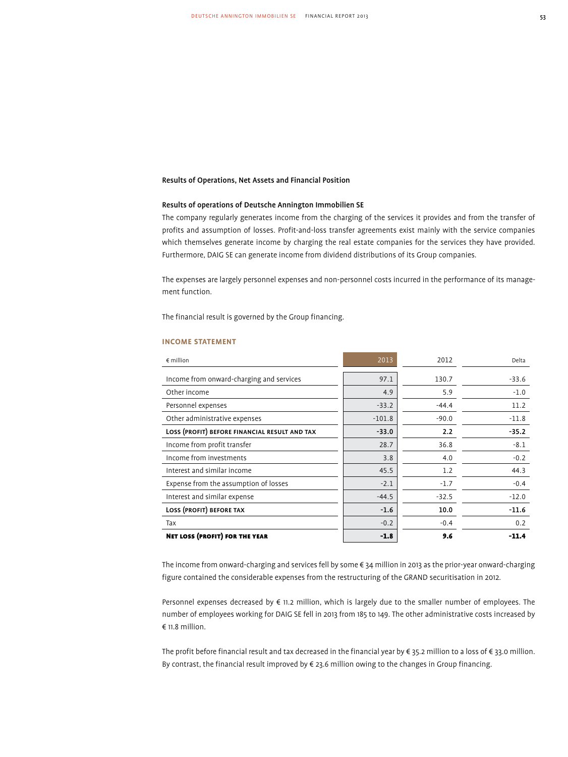# Results of Operations, Net Assets and Financial Position

# Results of operations of Deutsche Annington Immobilien SE

The company regularly generates income from the charging of the services it provides and from the transfer of profits and assumption of losses. Profit-and-loss transfer agreements exist mainly with the service companies which themselves generate income by charging the real estate companies for the services they have provided. Furthermore, DAIG SE can generate income from dividend distributions of its Group companies.

The expenses are largely personnel expenses and non-personnel costs incurred in the performance of its management function.

The financial result is governed by the Group financing.

| $\epsilon$ million                            | 2013     | 2012    | Delta   |
|-----------------------------------------------|----------|---------|---------|
| Income from onward-charging and services      | 97.1     | 130.7   | $-33.6$ |
| Other income                                  | 4.9      | 5.9     | $-1.0$  |
| Personnel expenses                            | $-33.2$  | $-44.4$ | 11.2    |
| Other administrative expenses                 | $-101.8$ | $-90.0$ | $-11.8$ |
| LOSS (PROFIT) BEFORE FINANCIAL RESULT AND TAX | $-33.0$  | 2.2     | $-35.2$ |
| Income from profit transfer                   | 28.7     | 36.8    | $-8.1$  |
| Income from investments                       | 3.8      | 4.0     | $-0.2$  |
| Interest and similar income                   | 45.5     | 1.2     | 44.3    |
| Expense from the assumption of losses         | $-2.1$   | $-1.7$  | $-0.4$  |
| Interest and similar expense                  | $-44.5$  | $-32.5$ | $-12.0$ |
| LOSS (PROFIT) BEFORE TAX                      | $-1.6$   | 10.0    | $-11.6$ |
| Tax                                           | $-0.2$   | $-0.4$  | 0.2     |
| <b>NET LOSS (PROFIT) FOR THE YEAR</b>         | $-1.8$   | 9.6     | $-11.4$ |

#### **income statement**

The income from onward-charging and services fell by some € 34 million in 2013 as the prior-year onward-charging figure contained the considerable expenses from the restructuring of the GRAND securitisation in 2012.

Personnel expenses decreased by € 11.2 million, which is largely due to the smaller number of employees. The number of employees working for DAIG SE fell in 2013 from 185 to 149. The other administrative costs increased by € 11.8 million.

The profit before financial result and tax decreased in the financial year by € 35.2 million to a loss of € 33.0 million. By contrast, the financial result improved by € 23.6 million owing to the changes in Group financing.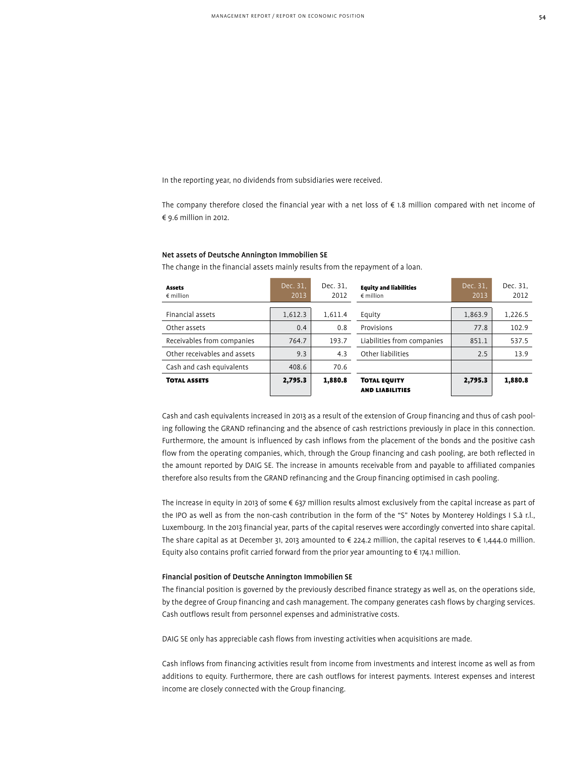In the reporting year, no dividends from subsidiaries were received.

The company therefore closed the financial year with a net loss of  $\epsilon$  1.8 million compared with net income of € 9.6 million in 2012.

#### Net assets of Deutsche Annington Immobilien SE

The change in the financial assets mainly results from the repayment of a loan.

| <b>Assets</b><br>$\epsilon$ million | Dec. 31.<br>2013 | Dec. 31,<br>2012 | <b>Equity and liabilities</b><br>$\epsilon$ million | Dec. 31.<br>2013 | Dec. 31,<br>2012 |
|-------------------------------------|------------------|------------------|-----------------------------------------------------|------------------|------------------|
| Financial assets                    | 1,612.3          | 1,611.4          | Equity                                              | 1,863.9          | 1,226.5          |
| Other assets                        | 0.4              | 0.8              | Provisions                                          | 77.8             | 102.9            |
| Receivables from companies          | 764.7            | 193.7            | Liabilities from companies                          | 851.1            | 537.5            |
| Other receivables and assets        | 9.3              | 4.3              | Other liabilities                                   | 2.5              | 13.9             |
| Cash and cash equivalents           | 408.6            | 70.6             |                                                     |                  |                  |
| <b>TOTAL ASSETS</b>                 | 2,795.3          | 1,880.8          | <b>TOTAL EQUITY</b><br><b>AND LIABILITIES</b>       | 2,795.3          | 1,880.8          |

Cash and cash equivalents increased in 2013 as a result of the extension of Group financing and thus of cash pooling following the GRAND refinancing and the absence of cash restrictions previously in place in this connection. Furthermore, the amount is influenced by cash inflows from the placement of the bonds and the positive cash flow from the operating companies, which, through the Group financing and cash pooling, are both reflected in the amount reported by DAIG SE. The increase in amounts receivable from and payable to affiliated companies therefore also results from the GRAND refinancing and the Group financing optimised in cash pooling.

The increase in equity in 2013 of some € 637 million results almost exclusively from the capital increase as part of the IPO as well as from the non-cash contribution in the form of the "S" Notes by Monterey Holdings I S.à r.l., Luxembourg. In the 2013 financial year, parts of the capital reserves were accordingly converted into share capital. The share capital as at December 31, 2013 amounted to  $\epsilon$  224.2 million, the capital reserves to  $\epsilon$  1,444.0 million. Equity also contains profit carried forward from the prior year amounting to  $\epsilon$  174.1 million.

#### Financial position of Deutsche Annington Immobilien SE

The financial position is governed by the previously described finance strategy as well as, on the operations side, by the degree of Group financing and cash management. The company generates cash flows by charging services. Cash outflows result from personnel expenses and administrative costs.

DAIG SE only has appreciable cash flows from investing activities when acquisitions are made.

Cash inflows from financing activities result from income from investments and interest income as well as from additions to equity. Furthermore, there are cash outflows for interest payments. Interest expenses and interest income are closely connected with the Group financing.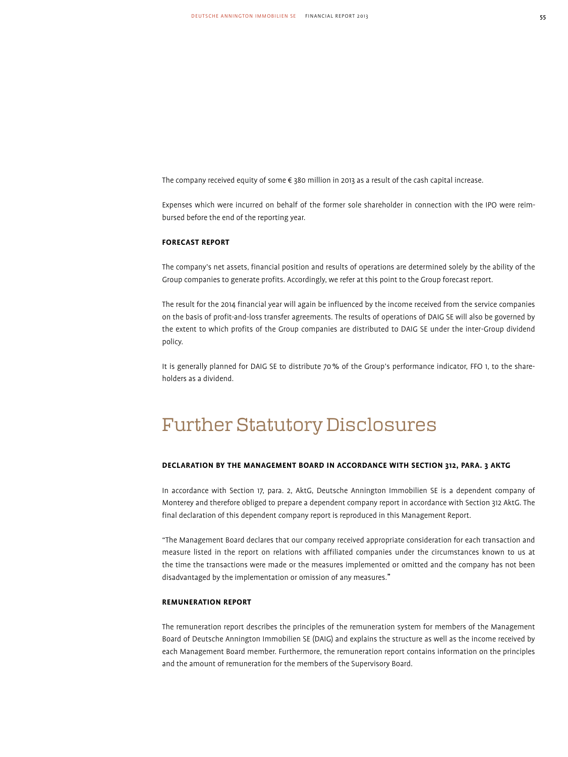The company received equity of some € 380 million in 2013 as a result of the cash capital increase.

Expenses which were incurred on behalf of the former sole shareholder in connection with the IPO were reimbursed before the end of the reporting year.

# **Forecast Report**

The company's net assets, financial position and results of operations are determined solely by the ability of the Group companies to generate profits. Accordingly, we refer at this point to the Group forecast report.

The result for the 2014 financial year will again be influenced by the income received from the service companies on the basis of profit-and-loss transfer agreements. The results of operations of DAIG SE will also be governed by the extent to which profits of the Group companies are distributed to DAIG SE under the inter-Group dividend policy.

It is generally planned for DAIG SE to distribute 70% of the Group's performance indicator, FFO 1, to the shareholders as a dividend.

# Further Statutory Disclosures

# **Declaration by the Management Board in Accordance with Section 312, para. 3 AktG**

In accordance with Section 17, para. 2, AktG, Deutsche Annington Immobilien SE is a dependent company of Monterey and therefore obliged to prepare a dependent company report in accordance with Section 312 AktG. The final declaration of this dependent company report is reproduced in this Management Report.

"The Management Board declares that our company received appropriate consideration for each transaction and measure listed in the report on relations with affiliated companies under the circumstances known to us at the time the transactions were made or the measures implemented or omitted and the company has not been disadvantaged by the implementation or omission of any measures."

# **Remuneration Report**

The remuneration report describes the principles of the remuneration system for members of the Management Board of Deutsche Annington Immobilien SE (DAIG) and explains the structure as well as the income received by each Management Board member. Furthermore, the remuneration report contains information on the principles and the amount of remuneration for the members of the Supervisory Board.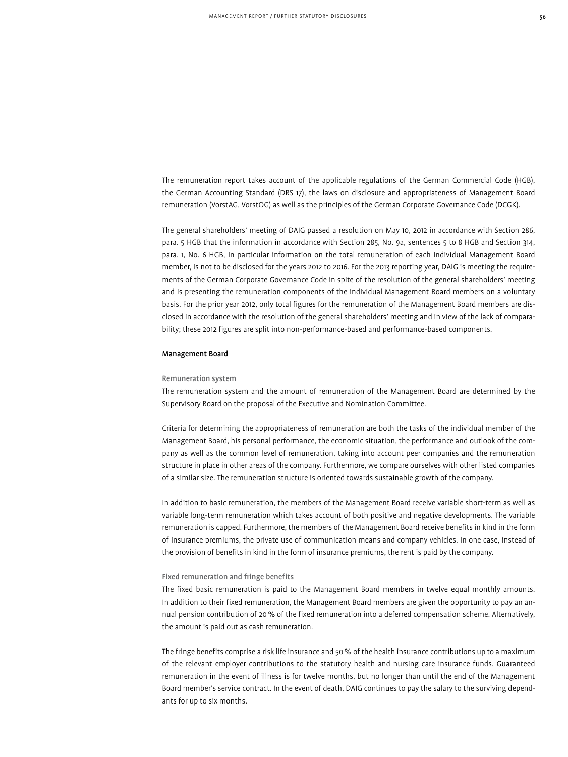The remuneration report takes account of the applicable regulations of the German Commercial Code (HGB), the German Accounting Standard (DRS 17), the laws on disclosure and appropriateness of Management Board remuneration (VorstAG, VorstOG) as well as the principles of the German Corporate Governance Code (DCGK).

The general shareholders' meeting of DAIG passed a resolution on May 10, 2012 in accordance with Section 286, para. 5 HGB that the information in accordance with Section 285, No. 9a, sentences 5 to 8 HGB and Section 314, para. 1, No. 6 HGB, in particular information on the total remuneration of each individual Management Board member, is not to be disclosed for the years 2012 to 2016. For the 2013 reporting year, DAIG is meeting the requirements of the German Corporate Governance Code in spite of the resolution of the general shareholders' meeting and is presenting the remuneration components of the individual Management Board members on a voluntary basis. For the prior year 2012, only total figures for the remuneration of the Management Board members are disclosed in accordance with the resolution of the general shareholders' meeting and in view of the lack of comparability; these 2012 figures are split into non-performance-based and performance-based components.

# Management Board

#### Remuneration system

The remuneration system and the amount of remuneration of the Management Board are determined by the Supervisory Board on the proposal of the Executive and Nomination Committee.

Criteria for determining the appropriateness of remuneration are both the tasks of the individual member of the Management Board, his personal performance, the economic situation, the performance and outlook of the company as well as the common level of remuneration, taking into account peer companies and the remuneration structure in place in other areas of the company. Furthermore, we compare ourselves with other listed companies of a similar size. The remuneration structure is oriented towards sustainable growth of the company.

In addition to basic remuneration, the members of the Management Board receive variable short-term as well as variable long-term remuneration which takes account of both positive and negative developments. The variable remuneration is capped. Furthermore, the members of the Management Board receive benefits in kind in the form of insurance premiums, the private use of communication means and company vehicles. In one case, instead of the provision of benefits in kind in the form of insurance premiums, the rent is paid by the company.

#### Fixed remuneration and fringe benefits

The fixed basic remuneration is paid to the Management Board members in twelve equal monthly amounts. In addition to their fixed remuneration, the Management Board members are given the opportunity to pay an annual pension contribution of 20% of the fixed remuneration into a deferred compensation scheme. Alternatively, the amount is paid out as cash remuneration.

The fringe benefits comprise a risk life insurance and 50% of the health insurance contributions up to a maximum of the relevant employer contributions to the statutory health and nursing care insurance funds. Guaranteed remuneration in the event of illness is for twelve months, but no longer than until the end of the Management Board member's service contract. In the event of death, DAIG continues to pay the salary to the surviving dependants for up to six months.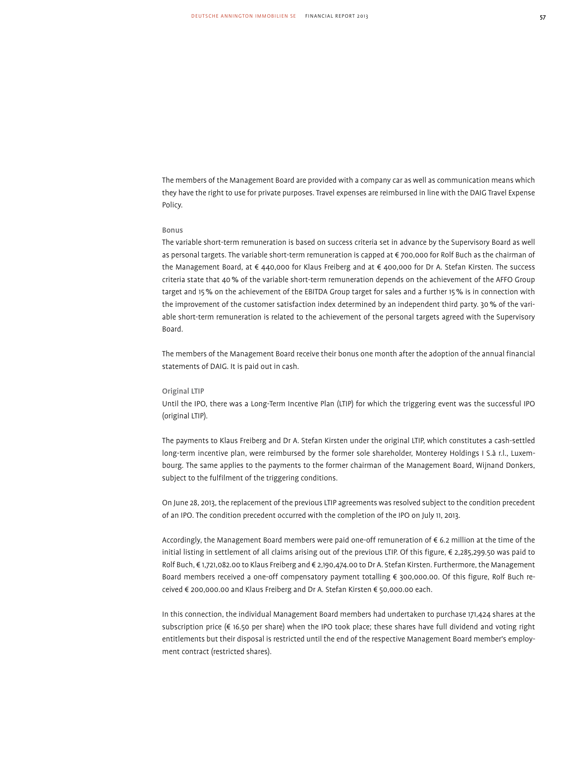The members of the Management Board are provided with a company car as well as communication means which they have the right to use for private purposes. Travel expenses are reimbursed in line with the DAIG Travel Expense Policy.

# Bonus

The variable short-term remuneration is based on success criteria set in advance by the Supervisory Board as well as personal targets. The variable short-term remuneration is capped at € 700,000 for Rolf Buch as the chairman of the Management Board, at € 440,000 for Klaus Freiberg and at € 400,000 for Dr A. Stefan Kirsten. The success criteria state that 40% of the variable short-term remuneration depends on the achievement of the AFFO Group target and 15% on the achievement of the EBITDA Group target for sales and a further 15% is in connection with the improvement of the customer satisfaction index determined by an independent third party. 30% of the variable short-term remuneration is related to the achievement of the personal targets agreed with the Supervisory Board.

The members of the Management Board receive their bonus one month after the adoption of the annual financial statements of DAIG. It is paid out in cash.

# Original LTIP

Until the IPO, there was a Long-Term Incentive Plan (LTIP) for which the triggering event was the successful IPO (original LTIP).

The payments to Klaus Freiberg and Dr A. Stefan Kirsten under the original LTIP, which constitutes a cash-settled long-term incentive plan, were reimbursed by the former sole shareholder, Monterey Holdings I S.à r.l., Luxembourg. The same applies to the payments to the former chairman of the Management Board, Wijnand Donkers, subject to the fulfilment of the triggering conditions.

On June 28, 2013, the replacement of the previous LTIP agreements was resolved subject to the condition precedent of an IPO. The condition precedent occurred with the completion of the IPO on July 11, 2013.

Accordingly, the Management Board members were paid one-off remuneration of € 6.2 million at the time of the initial listing in settlement of all claims arising out of the previous LTIP. Of this figure, € 2,285,299.50 was paid to Rolf Buch, € 1,721,082.00 to Klaus Freiberg and € 2,190,474.00 to Dr A. Stefan Kirsten. Furthermore, the Management Board members received a one-off compensatory payment totalling € 300,000.00. Of this figure, Rolf Buch received € 200,000.00 and Klaus Freiberg and Dr A. Stefan Kirsten € 50,000.00 each.

In this connection, the individual Management Board members had undertaken to purchase 171,424 shares at the subscription price (€ 16.50 per share) when the IPO took place; these shares have full dividend and voting right entitlements but their disposal is restricted until the end of the respective Management Board member's employment contract (restricted shares).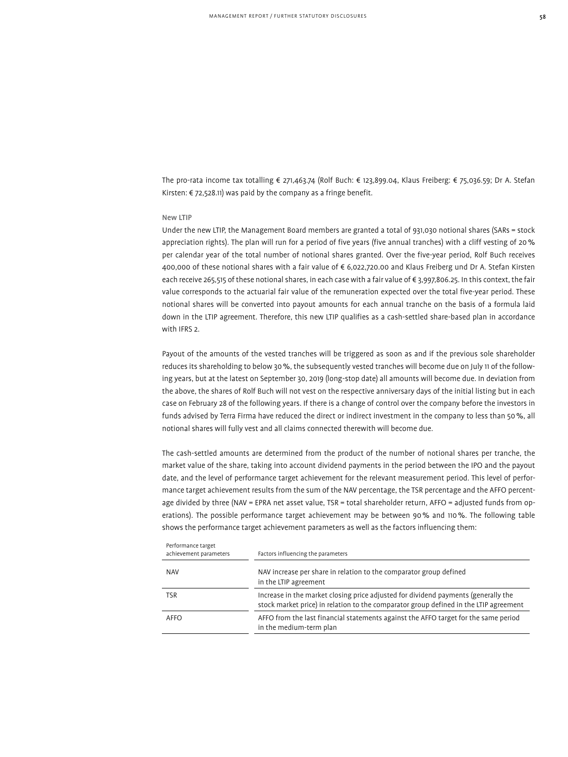The pro-rata income tax totalling € 271,463.74 (Rolf Buch: € 123,899.04, Klaus Freiberg: € 75,036.59; Dr A. Stefan Kirsten: € 72,528.11) was paid by the company as a fringe benefit.

#### New LTIP

Under the new LTIP, the Management Board members are granted a total of 931,030 notional shares (SARs = stock appreciation rights). The plan will run for a period of five years (five annual tranches) with a cliff vesting of 20% per calendar year of the total number of notional shares granted. Over the five-year period, Rolf Buch receives 400,000 of these notional shares with a fair value of € 6,022,720.00 and Klaus Freiberg und Dr A. Stefan Kirsten each receive 265,515 of these notional shares, in each case with a fair value of € 3,997,806.25. In this context, the fair value corresponds to the actuarial fair value of the remuneration expected over the total five-year period. These notional shares will be converted into payout amounts for each annual tranche on the basis of a formula laid down in the LTIP agreement. Therefore, this new LTIP qualifies as a cash-settled share-based plan in accordance with IFRS 2.

Payout of the amounts of the vested tranches will be triggered as soon as and if the previous sole shareholder reduces its shareholding to below 30%, the subsequently vested tranches will become due on July 11 of the following years, but at the latest on September 30, 2019 (long-stop date) all amounts will become due. In deviation from the above, the shares of Rolf Buch will not vest on the respective anniversary days of the initial listing but in each case on February 28 of the following years. If there is a change of control over the company before the investors in funds advised by Terra Firma have reduced the direct or indirect investment in the company to less than 50%, all notional shares will fully vest and all claims connected therewith will become due.

The cash-settled amounts are determined from the product of the number of notional shares per tranche, the market value of the share, taking into account dividend payments in the period between the IPO and the payout date, and the level of performance target achievement for the relevant measurement period. This level of performance target achievement results from the sum of the NAV percentage, the TSR percentage and the AFFO percentage divided by three (NAV = EPRA net asset value, TSR = total shareholder return, AFFO = adjusted funds from operations). The possible performance target achievement may be between 90% and 110%. The following table shows the performance target achievement parameters as well as the factors influencing them:

| NAV increase per share in relation to the comparator group defined<br>in the LTIP agreement                                                                                 |
|-----------------------------------------------------------------------------------------------------------------------------------------------------------------------------|
| Increase in the market closing price adjusted for dividend payments (generally the<br>stock market price) in relation to the comparator group defined in the LTIP agreement |
| AFFO from the last financial statements against the AFFO target for the same period<br>in the medium-term plan                                                              |
|                                                                                                                                                                             |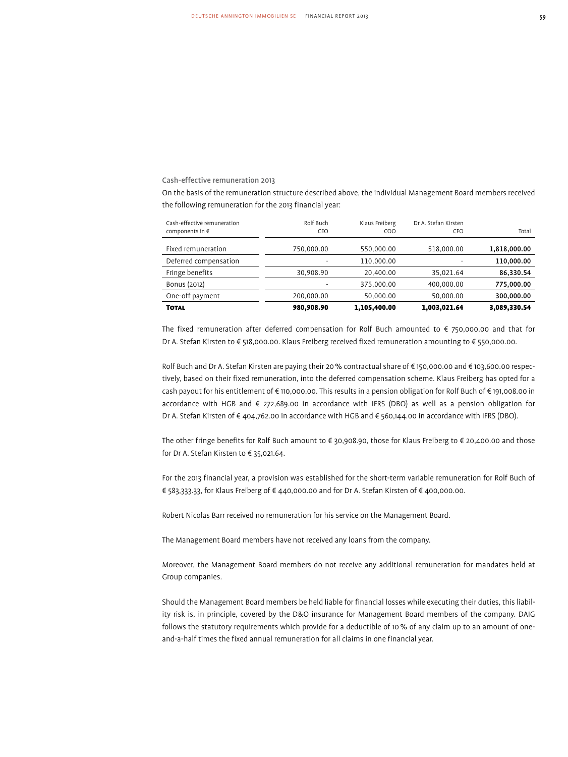Cash-effective remuneration 2013

On the basis of the remuneration structure described above, the individual Management Board members received the following remuneration for the 2013 financial year:

| Cash-effective remuneration | Rolf Buch  | Klaus Freiberg | Dr A. Stefan Kirsten |              |
|-----------------------------|------------|----------------|----------------------|--------------|
| components in $\epsilon$    | CEO        | COO            | <b>CFO</b>           | Total        |
|                             |            |                |                      |              |
| Fixed remuneration          | 750.000.00 | 550.000.00     | 518.000.00           | 1,818,000.00 |
| Deferred compensation       |            | 110.000.00     |                      | 110,000.00   |
| Fringe benefits             | 30,908.90  | 20.400.00      | 35.021.64            | 86,330.54    |
| Bonus (2012)                |            | 375.000.00     | 400.000.00           | 775,000.00   |
| One-off payment             | 200.000.00 | 50.000.00      | 50.000.00            | 300,000.00   |
| <b>TOTAL</b>                | 980,908.90 | 1,105,400.00   | 1,003,021.64         | 3,089,330.54 |

The fixed remuneration after deferred compensation for Rolf Buch amounted to € 750,000.00 and that for Dr A. Stefan Kirsten to € 518,000.00. Klaus Freiberg received fixed remuneration amounting to € 550,000.00.

Rolf Buch and Dr A. Stefan Kirsten are paying their 20 % contractual share of € 150,000.00 and € 103,600.00 respectively, based on their fixed remuneration, into the deferred compensation scheme. Klaus Freiberg has opted for a cash payout for his entitlement of € 110,000.00. This results in a pension obligation for Rolf Buch of € 191,008.00 in accordance with HGB and € 272,689.00 in accordance with IFRS (DBO) as well as a pension obligation for Dr A. Stefan Kirsten of € 404,762.00 in accordance with HGB and € 560,144.00 in accordance with IFRS (DBO).

The other fringe benefits for Rolf Buch amount to € 30,908.90, those for Klaus Freiberg to € 20,400.00 and those for Dr A. Stefan Kirsten to € 35,021.64.

For the 2013 financial year, a provision was established for the short-term variable remuneration for Rolf Buch of € 583,333.33, for Klaus Freiberg of € 440,000.00 and for Dr A. Stefan Kirsten of € 400,000.00.

Robert Nicolas Barr received no remuneration for his service on the Management Board.

The Management Board members have not received any loans from the company.

Moreover, the Management Board members do not receive any additional remuneration for mandates held at Group companies.

Should the Management Board members be held liable for financial losses while executing their duties, this liability risk is, in principle, covered by the D&O insurance for Management Board members of the company. DAIG follows the statutory requirements which provide for a deductible of 10% of any claim up to an amount of oneand-a-half times the fixed annual remuneration for all claims in one financial year.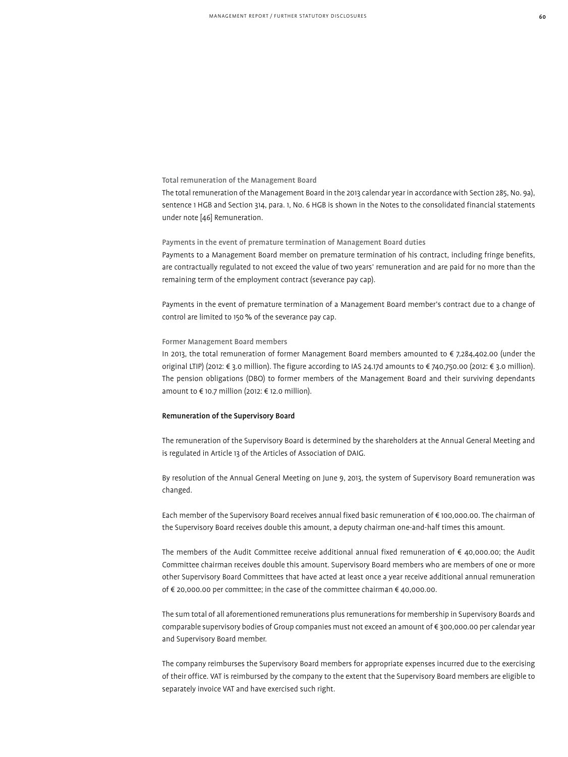### Total remuneration of the Management Board

The total remuneration of the Management Board in the 2013 calendar year in accordance with Section 285, No. 9a), sentence 1 HGB and Section 314, para. 1, No. 6 HGB is shown in the Notes to the consolidated financial statements under note [46] Remuneration.

# Payments in the event of premature termination of Management Board duties

Payments to a Management Board member on premature termination of his contract, including fringe benefits, are contractually regulated to not exceed the value of two years' remuneration and are paid for no more than the remaining term of the employment contract (severance pay cap).

Payments in the event of premature termination of a Management Board member's contract due to a change of control are limited to 150% of the severance pay cap.

#### Former Management Board members

In 2013, the total remuneration of former Management Board members amounted to € 7,284,402.00 (under the original LTIP) (2012: € 3.0 million). The figure according to IAS 24.17d amounts to € 740,750.00 (2012: € 3.0 million). The pension obligations (DBO) to former members of the Management Board and their surviving dependants amount to € 10.7 million (2012: € 12.0 million).

#### Remuneration of the Supervisory Board

The remuneration of the Supervisory Board is determined by the shareholders at the Annual General Meeting and is regulated in Article 13 of the Articles of Association of DAIG.

By resolution of the Annual General Meeting on June 9, 2013, the system of Supervisory Board remuneration was changed.

Each member of the Supervisory Board receives annual fixed basic remuneration of € 100,000.00. The chairman of the Supervisory Board receives double this amount, a deputy chairman one-and-half times this amount.

The members of the Audit Committee receive additional annual fixed remuneration of € 40,000.00; the Audit Committee chairman receives double this amount. Supervisory Board members who are members of one or more other Supervisory Board Committees that have acted at least once a year receive additional annual remuneration of € 20,000.00 per committee; in the case of the committee chairman € 40,000.00.

The sum total of all aforementioned remunerations plus remunerations for membership in Supervisory Boards and comparable supervisory bodies of Group companies must not exceed an amount of € 300,000.00 per calendar year and Supervisory Board member.

The company reimburses the Supervisory Board members for appropriate expenses incurred due to the exercising of their office. VAT is reimbursed by the company to the extent that the Supervisory Board members are eligible to separately invoice VAT and have exercised such right.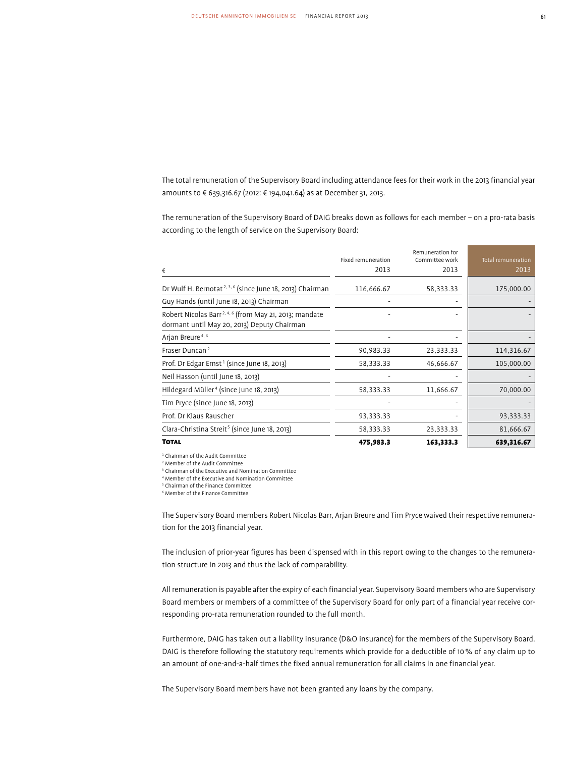The total remuneration of the Supervisory Board including attendance fees for their work in the 2013 financial year amounts to € 639,316.67 (2012: € 194,041.64) as at December 31, 2013.

The remuneration of the Supervisory Board of DAIG breaks down as follows for each member – on a pro-rata basis according to the length of service on the Supervisory Board:

|                                                                                                                   | Fixed remuneration | Remuneration for<br>Committee work | Total remuneration |
|-------------------------------------------------------------------------------------------------------------------|--------------------|------------------------------------|--------------------|
| €                                                                                                                 | 2013               | 2013                               | 2013               |
| Dr Wulf H. Bernotat <sup>2, 3, 6</sup> (since June 18, 2013) Chairman                                             | 116,666.67         | 58,333.33                          | 175,000.00         |
| Guy Hands (until June 18, 2013) Chairman                                                                          |                    |                                    |                    |
| Robert Nicolas Barr <sup>2, 4, 6</sup> (from May 21, 2013; mandate<br>dormant until May 20, 2013) Deputy Chairman |                    |                                    |                    |
| Arjan Breure <sup>4, 6</sup>                                                                                      |                    |                                    |                    |
| Fraser Duncan <sup>2</sup>                                                                                        | 90,983.33          | 23,333.33                          | 114,316.67         |
| Prof. Dr Edgar Ernst <sup>1</sup> (since June 18, 2013)                                                           | 58,333.33          | 46,666.67                          | 105,000.00         |
| Neil Hasson (until June 18, 2013)                                                                                 |                    |                                    |                    |
| Hildegard Müller <sup>4</sup> (since June 18, 2013)                                                               | 58,333.33          | 11,666.67                          | 70,000.00          |
| Tim Pryce (since June 18, 2013)                                                                                   |                    |                                    |                    |
| Prof. Dr Klaus Rauscher                                                                                           | 93,333.33          |                                    | 93,333.33          |
| Clara-Christina Streit <sup>5</sup> (since June 18, 2013)                                                         | 58,333.33          | 23,333.33                          | 81,666.67          |
| <b>TOTAL</b>                                                                                                      | 475,983.3          | 163,333.3                          | 639,316.67         |

1 Chairman of the Audit Committee

2 Member of the Audit Committee

3 Chairman of the Executive and Nomination Committee

4 Member of the Executive and Nomination Committee

5 Chairman of the Finance Committee

6 Member of the Finance Committee

The Supervisory Board members Robert Nicolas Barr, Arjan Breure and Tim Pryce waived their respective remuneration for the 2013 financial year.

The inclusion of prior-year figures has been dispensed with in this report owing to the changes to the remuneration structure in 2013 and thus the lack of comparability.

All remuneration is payable after the expiry of each financial year. Supervisory Board members who are Supervisory Board members or members of a committee of the Supervisory Board for only part of a financial year receive corresponding pro-rata remuneration rounded to the full month.

Furthermore, DAIG has taken out a liability insurance (D&O insurance) for the members of the Supervisory Board. DAIG is therefore following the statutory requirements which provide for a deductible of 10% of any claim up to an amount of one-and-a-half times the fixed annual remuneration for all claims in one financial year.

The Supervisory Board members have not been granted any loans by the company.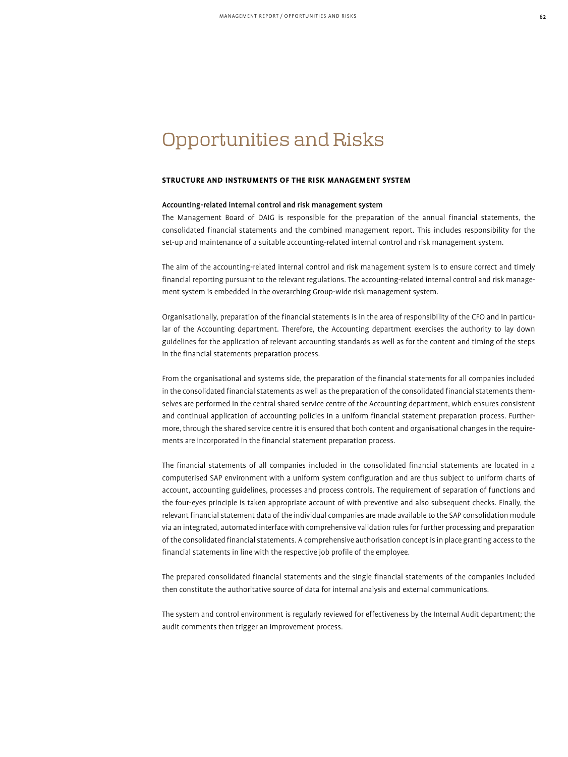# Opportunities and Risks

# **Structure and Instruments of the Risk Management System**

# Accounting-related internal control and risk management system

The Management Board of DAIG is responsible for the preparation of the annual financial statements, the consolidated financial statements and the combined management report. This includes responsibility for the set-up and maintenance of a suitable accounting-related internal control and risk management system.

The aim of the accounting-related internal control and risk management system is to ensure correct and timely financial reporting pursuant to the relevant regulations. The accounting-related internal control and risk management system is embedded in the overarching Group-wide risk management system.

Organisationally, preparation of the financial statements is in the area of responsibility of the CFO and in particular of the Accounting department. Therefore, the Accounting department exercises the authority to lay down guidelines for the application of relevant accounting standards as well as for the content and timing of the steps in the financial statements preparation process.

From the organisational and systems side, the preparation of the financial statements for all companies included in the consolidated financial statements as well as the preparation of the consolidated financial statements themselves are performed in the central shared service centre of the Accounting department, which ensures consistent and continual application of accounting policies in a uniform financial statement preparation process. Furthermore, through the shared service centre it is ensured that both content and organisational changes in the requirements are incorporated in the financial statement preparation process.

The financial statements of all companies included in the consolidated financial statements are located in a computerised SAP environment with a uniform system configuration and are thus subject to uniform charts of account, accounting guidelines, processes and process controls. The requirement of separation of functions and the four-eyes principle is taken appropriate account of with preventive and also subsequent checks. Finally, the relevant financial statement data of the individual companies are made available to the SAP consolidation module via an integrated, automated interface with comprehensive validation rules for further processing and preparation of the consolidated financial statements. A comprehensive authorisation concept is in place granting access to the financial statements in line with the respective job profile of the employee.

The prepared consolidated financial statements and the single financial statements of the companies included then constitute the authoritative source of data for internal analysis and external communications.

The system and control environment is regularly reviewed for effectiveness by the Internal Audit department; the audit comments then trigger an improvement process.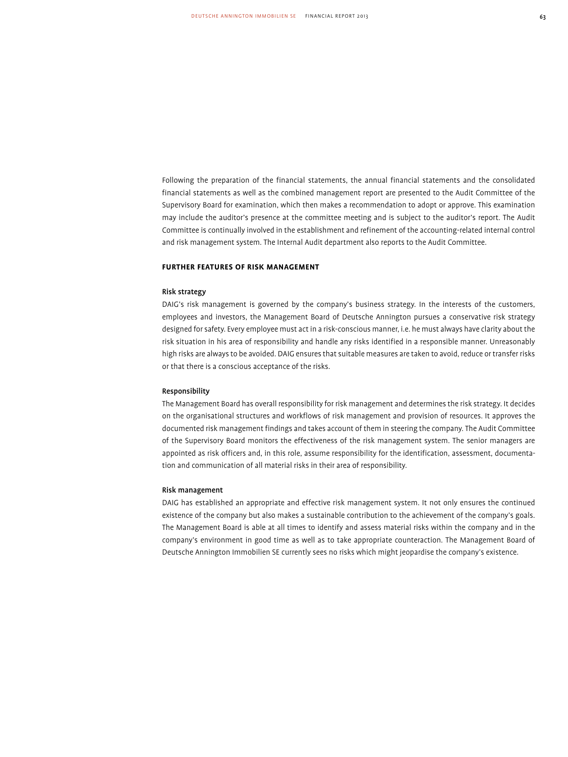Following the preparation of the financial statements, the annual financial statements and the consolidated financial statements as well as the combined management report are presented to the Audit Committee of the Supervisory Board for examination, which then makes a recommendation to adopt or approve. This examination may include the auditor's presence at the committee meeting and is subject to the auditor's report. The Audit Committee is continually involved in the establishment and refinement of the accounting-related internal control and risk management system. The Internal Audit department also reports to the Audit Committee.

# **Further Features of Risk Management**

# Risk strategy

DAIG's risk management is governed by the company's business strategy. In the interests of the customers, employees and investors, the Management Board of Deutsche Annington pursues a conservative risk strategy designed for safety. Every employee must act in a risk-conscious manner, i.e. he must always have clarity about the risk situation in his area of responsibility and handle any risks identified in a responsible manner. Unreasonably high risks are always to be avoided. DAIG ensures that suitable measures are taken to avoid, reduce or transfer risks or that there is a conscious acceptance of the risks.

#### Responsibility

The Management Board has overall responsibility for risk management and determines the risk strategy. It decides on the organisational structures and workflows of risk management and provision of resources. It approves the documented risk management findings and takes account of them in steering the company. The Audit Committee of the Supervisory Board monitors the effectiveness of the risk management system. The senior managers are appointed as risk officers and, in this role, assume responsibility for the identification, assessment, documentation and communication of all material risks in their area of responsibility.

#### Risk management

DAIG has established an appropriate and effective risk management system. It not only ensures the continued existence of the company but also makes a sustainable contribution to the achievement of the company's goals. The Management Board is able at all times to identify and assess material risks within the company and in the company's environment in good time as well as to take appropriate counteraction. The Management Board of Deutsche Annington Immobilien SE currently sees no risks which might jeopardise the company's existence.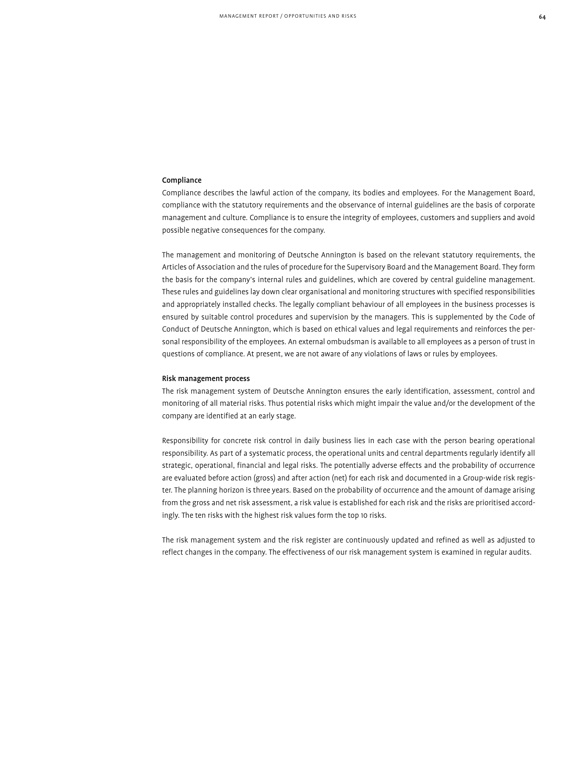# Compliance

Compliance describes the lawful action of the company, its bodies and employees. For the Management Board, compliance with the statutory requirements and the observance of internal guidelines are the basis of corporate management and culture. Compliance is to ensure the integrity of employees, customers and suppliers and avoid possible negative consequences for the company.

The management and monitoring of Deutsche Annington is based on the relevant statutory requirements, the Articles of Association and the rules of procedure for the Supervisory Board and the Management Board. They form the basis for the company's internal rules and guidelines, which are covered by central guideline management. These rules and guidelines lay down clear organisational and monitoring structures with specified responsibilities and appropriately installed checks. The legally compliant behaviour of all employees in the business processes is ensured by suitable control procedures and supervision by the managers. This is supplemented by the Code of Conduct of Deutsche Annington, which is based on ethical values and legal requirements and reinforces the personal responsibility of the employees. An external ombudsman is available to all employees as a person of trust in questions of compliance. At present, we are not aware of any violations of laws or rules by employees.

#### Risk management process

The risk management system of Deutsche Annington ensures the early identification, assessment, control and monitoring of all material risks. Thus potential risks which might impair the value and/or the development of the company are identified at an early stage.

Responsibility for concrete risk control in daily business lies in each case with the person bearing operational responsibility. As part of a systematic process, the operational units and central departments regularly identify all strategic, operational, financial and legal risks. The potentially adverse effects and the probability of occurrence are evaluated before action (gross) and after action (net) for each risk and documented in a Group-wide risk register. The planning horizon is three years. Based on the probability of occurrence and the amount of damage arising from the gross and net risk assessment, a risk value is established for each risk and the risks are prioritised accordingly. The ten risks with the highest risk values form the top 10 risks.

The risk management system and the risk register are continuously updated and refined as well as adjusted to reflect changes in the company. The effectiveness of our risk management system is examined in regular audits.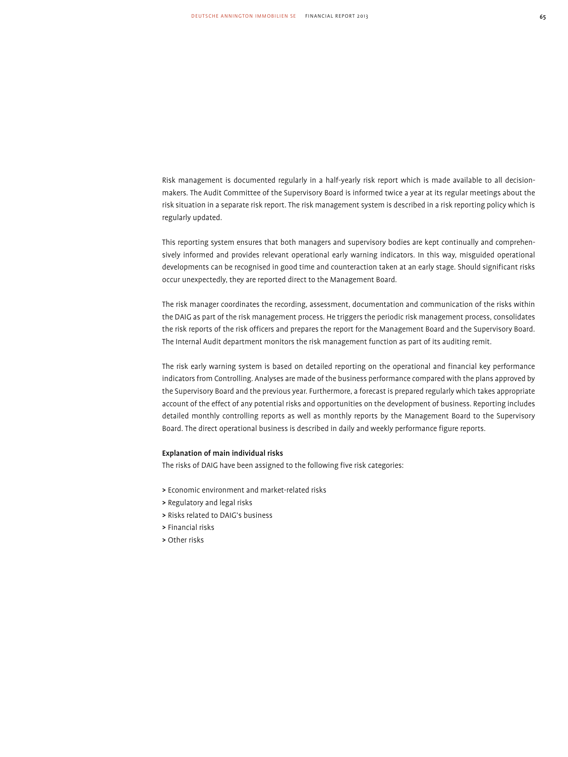Risk management is documented regularly in a half-yearly risk report which is made available to all decisionmakers. The Audit Committee of the Supervisory Board is informed twice a year at its regular meetings about the risk situation in a separate risk report. The risk management system is described in a risk reporting policy which is regularly updated.

This reporting system ensures that both managers and supervisory bodies are kept continually and comprehensively informed and provides relevant operational early warning indicators. In this way, misguided operational developments can be recognised in good time and counteraction taken at an early stage. Should significant risks occur unexpectedly, they are reported direct to the Management Board.

The risk manager coordinates the recording, assessment, documentation and communication of the risks within the DAIG as part of the risk management process. He triggers the periodic risk management process, consolidates the risk reports of the risk officers and prepares the report for the Management Board and the Supervisory Board. The Internal Audit department monitors the risk management function as part of its auditing remit.

The risk early warning system is based on detailed reporting on the operational and financial key performance indicators from Controlling. Analyses are made of the business performance compared with the plans approved by the Supervisory Board and the previous year. Furthermore, a forecast is prepared regularly which takes appropriate account of the effect of any potential risks and opportunities on the development of business. Reporting includes detailed monthly controlling reports as well as monthly reports by the Management Board to the Supervisory Board. The direct operational business is described in daily and weekly performance figure reports.

#### Explanation of main individual risks

The risks of DAIG have been assigned to the following five risk categories:

- > Economic environment and market-related risks
- > Regulatory and legal risks
- > Risks related to DAIG's business
- > Financial risks
- > Other risks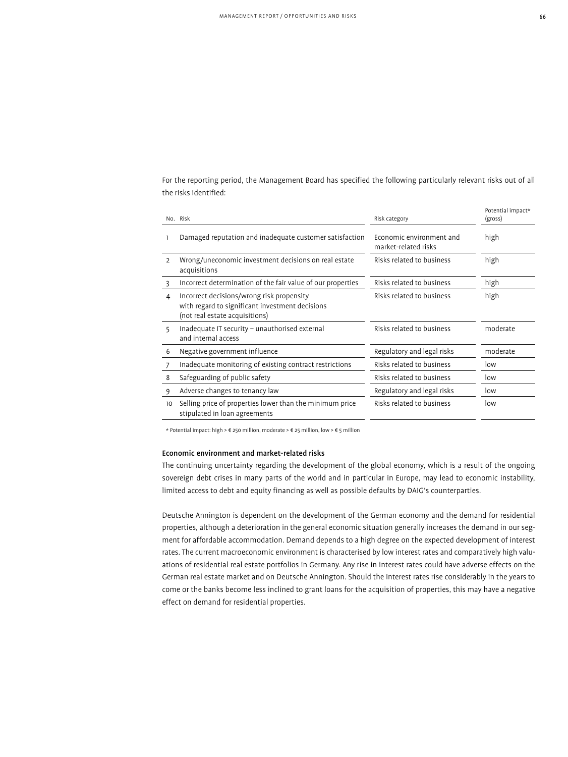For the reporting period, the Management Board has specified the following particularly relevant risks out of all the risks identified:

|                | No. Risk                                                                                                                       | Risk category                                    | Potential impact*<br>(gross) |
|----------------|--------------------------------------------------------------------------------------------------------------------------------|--------------------------------------------------|------------------------------|
|                | Damaged reputation and inadequate customer satisfaction                                                                        | Economic environment and<br>market-related risks | high                         |
| $\overline{2}$ | Wrong/uneconomic investment decisions on real estate<br>acquisitions                                                           | Risks related to business                        | high                         |
| 3              | Incorrect determination of the fair value of our properties                                                                    | Risks related to business                        | high                         |
| 4              | Incorrect decisions/wrong risk propensity<br>with regard to significant investment decisions<br>(not real estate acquisitions) | Risks related to business                        | high                         |
| 5              | Inadequate IT security - unauthorised external<br>and internal access                                                          | Risks related to business                        | moderate                     |
| 6              | Negative government influence                                                                                                  | Regulatory and legal risks                       | moderate                     |
| 7              | Inadequate monitoring of existing contract restrictions                                                                        | Risks related to business                        | low                          |
| 8              | Safeguarding of public safety                                                                                                  | Risks related to business                        | low                          |
| 9              | Adverse changes to tenancy law                                                                                                 | Regulatory and legal risks                       | low                          |
| 10             | Selling price of properties lower than the minimum price<br>stipulated in loan agreements                                      | Risks related to business                        | low                          |

\* Potential impact: high > € 250 million, moderate > € 25 million, low > € 5 million

# Economic environment and market-related risks

The continuing uncertainty regarding the development of the global economy, which is a result of the ongoing sovereign debt crises in many parts of the world and in particular in Europe, may lead to economic instability, limited access to debt and equity financing as well as possible defaults by DAIG's counterparties.

Deutsche Annington is dependent on the development of the German economy and the demand for residential properties, although a deterioration in the general economic situation generally increases the demand in our segment for affordable accommodation. Demand depends to a high degree on the expected development of interest rates. The current macroeconomic environment is characterised by low interest rates and comparatively high valuations of residential real estate portfolios in Germany. Any rise in interest rates could have adverse effects on the German real estate market and on Deutsche Annington. Should the interest rates rise considerably in the years to come or the banks become less inclined to grant loans for the acquisition of properties, this may have a negative effect on demand for residential properties.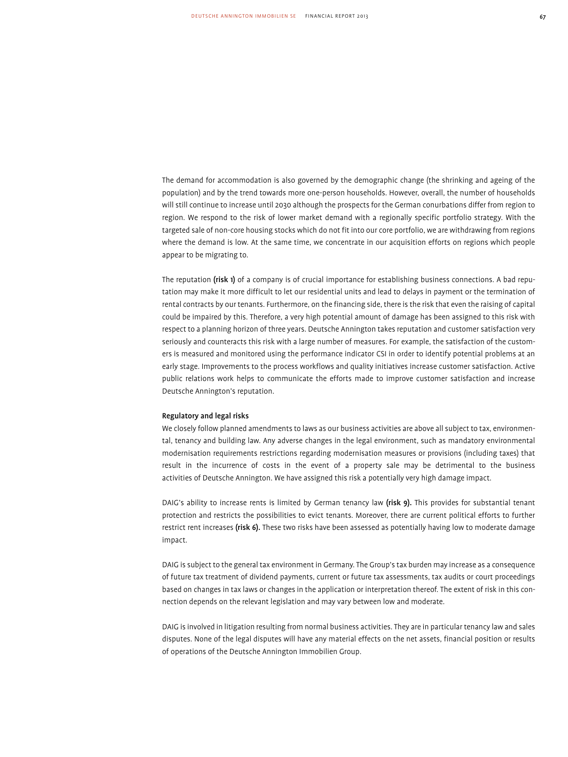The demand for accommodation is also governed by the demographic change (the shrinking and ageing of the population) and by the trend towards more one-person households. However, overall, the number of households will still continue to increase until 2030 although the prospects for the German conurbations differ from region to region. We respond to the risk of lower market demand with a regionally specific portfolio strategy. With the targeted sale of non-core housing stocks which do not fit into our core portfolio, we are withdrawing from regions where the demand is low. At the same time, we concentrate in our acquisition efforts on regions which people appear to be migrating to.

The reputation (risk 1) of a company is of crucial importance for establishing business connections. A bad reputation may make it more difficult to let our residential units and lead to delays in payment or the termination of rental contracts by our tenants. Furthermore, on the financing side, there is the risk that even the raising of capital could be impaired by this. Therefore, a very high potential amount of damage has been assigned to this risk with respect to a planning horizon of three years. Deutsche Annington takes reputation and customer satisfaction very seriously and counteracts this risk with a large number of measures. For example, the satisfaction of the customers is measured and monitored using the performance indicator CSI in order to identify potential problems at an early stage. Improvements to the process workflows and quality initiatives increase customer satisfaction. Active public relations work helps to communicate the efforts made to improve customer satisfaction and increase Deutsche Annington's reputation.

#### Regulatory and legal risks

We closely follow planned amendments to laws as our business activities are above all subject to tax, environmental, tenancy and building law. Any adverse changes in the legal environment, such as mandatory environmental modernisation requirements restrictions regarding modernisation measures or provisions (including taxes) that result in the incurrence of costs in the event of a property sale may be detrimental to the business activities of Deutsche Annington. We have assigned this risk a potentially very high damage impact.

DAIG's ability to increase rents is limited by German tenancy law (risk 9). This provides for substantial tenant protection and restricts the possibilities to evict tenants. Moreover, there are current political efforts to further restrict rent increases (risk 6). These two risks have been assessed as potentially having low to moderate damage impact.

DAIG is subject to the general tax environment in Germany. The Group's tax burden may increase as a consequence of future tax treatment of dividend payments, current or future tax assessments, tax audits or court proceedings based on changes in tax laws or changes in the application or interpretation thereof. The extent of risk in this connection depends on the relevant legislation and may vary between low and moderate.

DAIG is involved in litigation resulting from normal business activities. They are in particular tenancy law and sales disputes. None of the legal disputes will have any material effects on the net assets, financial position or results of operations of the Deutsche Annington Immobilien Group.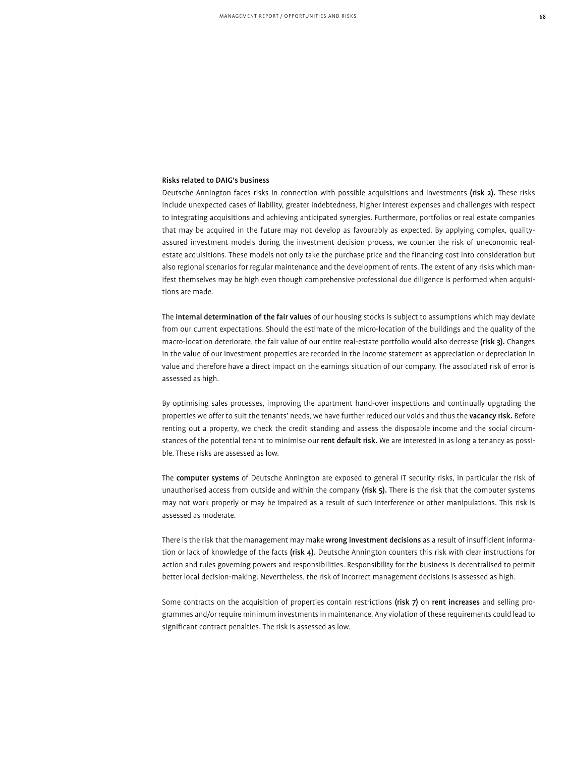# Risks related to DAIG's business

Deutsche Annington faces risks in connection with possible acquisitions and investments (risk 2). These risks include unexpected cases of liability, greater indebtedness, higher interest expenses and challenges with respect to integrating acquisitions and achieving anticipated synergies. Furthermore, portfolios or real estate companies that may be acquired in the future may not develop as favourably as expected. By applying complex, qualityassured investment models during the investment decision process, we counter the risk of uneconomic realestate acquisitions. These models not only take the purchase price and the financing cost into consideration but also regional scenarios for regular maintenance and the development of rents. The extent of any risks which manifest themselves may be high even though comprehensive professional due diligence is performed when acquisitions are made.

The internal determination of the fair values of our housing stocks is subject to assumptions which may deviate from our current expectations. Should the estimate of the micro-location of the buildings and the quality of the macro-location deteriorate, the fair value of our entire real-estate portfolio would also decrease (risk 3). Changes in the value of our investment properties are recorded in the income statement as appreciation or depreciation in value and therefore have a direct impact on the earnings situation of our company. The associated risk of error is assessed as high.

By optimising sales processes, improving the apartment hand-over inspections and continually upgrading the properties we offer to suit the tenants' needs, we have further reduced our voids and thus the vacancy risk. Before renting out a property, we check the credit standing and assess the disposable income and the social circumstances of the potential tenant to minimise our rent default risk. We are interested in as long a tenancy as possible. These risks are assessed as low.

The computer systems of Deutsche Annington are exposed to general IT security risks, in particular the risk of unauthorised access from outside and within the company (risk 5). There is the risk that the computer systems may not work properly or may be impaired as a result of such interference or other manipulations. This risk is assessed as moderate.

There is the risk that the management may make wrong investment decisions as a result of insufficient information or lack of knowledge of the facts (risk 4). Deutsche Annington counters this risk with clear instructions for action and rules governing powers and responsibilities. Responsibility for the business is decentralised to permit better local decision-making. Nevertheless, the risk of incorrect management decisions is assessed as high.

Some contracts on the acquisition of properties contain restrictions (risk 7) on rent increases and selling programmes and/or require minimum investments in maintenance. Any violation of these requirements could lead to significant contract penalties. The risk is assessed as low.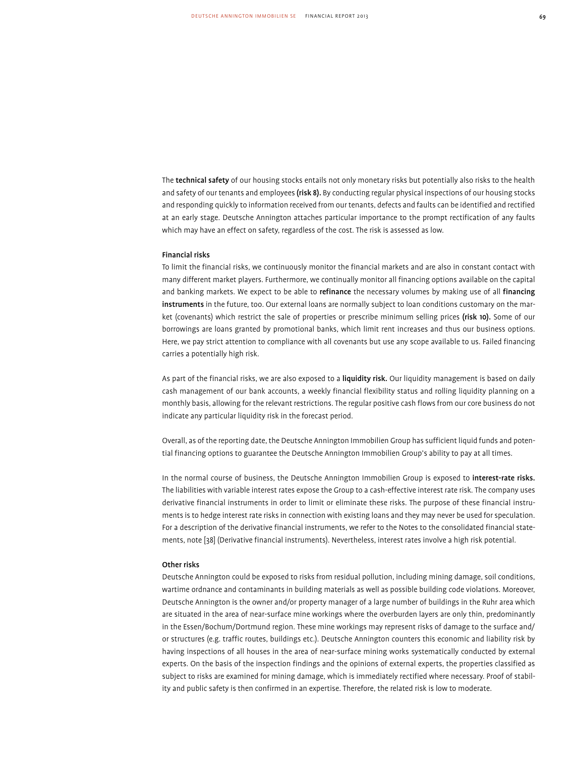The technical safety of our housing stocks entails not only monetary risks but potentially also risks to the health and safety of our tenants and employees (risk 8). By conducting regular physical inspections of our housing stocks and responding quickly to information received from our tenants, defects and faults can be identified and rectified at an early stage. Deutsche Annington attaches particular importance to the prompt rectification of any faults which may have an effect on safety, regardless of the cost. The risk is assessed as low.

#### Financial risks

To limit the financial risks, we continuously monitor the financial markets and are also in constant contact with many different market players. Furthermore, we continually monitor all financing options available on the capital and banking markets. We expect to be able to refinance the necessary volumes by making use of all financing instruments in the future, too. Our external loans are normally subject to loan conditions customary on the market (covenants) which restrict the sale of properties or prescribe minimum selling prices (risk 10). Some of our borrowings are loans granted by promotional banks, which limit rent increases and thus our business options. Here, we pay strict attention to compliance with all covenants but use any scope available to us. Failed financing carries a potentially high risk.

As part of the financial risks, we are also exposed to a liquidity risk. Our liquidity management is based on daily cash management of our bank accounts, a weekly financial flexibility status and rolling liquidity planning on a monthly basis, allowing for the relevant restrictions. The regular positive cash flows from our core business do not indicate any particular liquidity risk in the forecast period.

Overall, as of the reporting date, the Deutsche Annington Immobilien Group has sufficient liquid funds and potential financing options to guarantee the Deutsche Annington Immobilien Group's ability to pay at all times.

In the normal course of business, the Deutsche Annington Immobilien Group is exposed to interest-rate risks. The liabilities with variable interest rates expose the Group to a cash-effective interest rate risk. The company uses derivative financial instruments in order to limit or eliminate these risks. The purpose of these financial instruments is to hedge interest rate risks in connection with existing loans and they may never be used for speculation. For a description of the derivative financial instruments, we refer to the Notes to the consolidated financial statements, note [38] (Derivative financial instruments). Nevertheless, interest rates involve a high risk potential.

#### Other risks

Deutsche Annington could be exposed to risks from residual pollution, including mining damage, soil conditions, wartime ordnance and contaminants in building materials as well as possible building code violations. Moreover, Deutsche Annington is the owner and/or property manager of a large number of buildings in the Ruhr area which are situated in the area of near-surface mine workings where the overburden layers are only thin, predominantly in the Essen/Bochum/Dortmund region. These mine workings may represent risks of damage to the surface and/ or structures (e.g. traffic routes, buildings etc.). Deutsche Annington counters this economic and liability risk by having inspections of all houses in the area of near-surface mining works systematically conducted by external experts. On the basis of the inspection findings and the opinions of external experts, the properties classified as subject to risks are examined for mining damage, which is immediately rectified where necessary. Proof of stability and public safety is then confirmed in an expertise. Therefore, the related risk is low to moderate.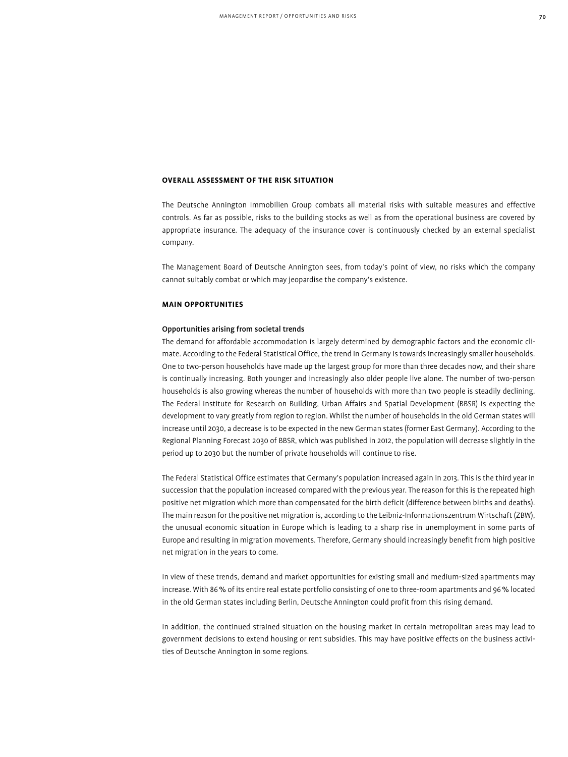# **Overall Assessment of the Risk Situation**

The Deutsche Annington Immobilien Group combats all material risks with suitable measures and effective controls. As far as possible, risks to the building stocks as well as from the operational business are covered by appropriate insurance. The adequacy of the insurance cover is continuously checked by an external specialist company.

The Management Board of Deutsche Annington sees, from today's point of view, no risks which the company cannot suitably combat or which may jeopardise the company's existence.

# **Main Opportunities**

# Opportunities arising from societal trends

The demand for affordable accommodation is largely determined by demographic factors and the economic climate. According to the Federal Statistical Office, the trend in Germany is towards increasingly smaller households. One to two-person households have made up the largest group for more than three decades now, and their share is continually increasing. Both younger and increasingly also older people live alone. The number of two-person households is also growing whereas the number of households with more than two people is steadily declining. The Federal Institute for Research on Building, Urban Affairs and Spatial Development (BBSR) is expecting the development to vary greatly from region to region. Whilst the number of households in the old German states will increase until 2030, a decrease is to be expected in the new German states (former East Germany). According to the Regional Planning Forecast 2030 of BBSR, which was published in 2012, the population will decrease slightly in the period up to 2030 but the number of private households will continue to rise.

The Federal Statistical Office estimates that Germany's population increased again in 2013. This is the third year in succession that the population increased compared with the previous year. The reason for this is the repeated high positive net migration which more than compensated for the birth deficit (difference between births and deaths). The main reason for the positive net migration is, according to the Leibniz-Informationszentrum Wirtschaft (ZBW), the unusual economic situation in Europe which is leading to a sharp rise in unemployment in some parts of Europe and resulting in migration movements. Therefore, Germany should increasingly benefit from high positive net migration in the years to come.

In view of these trends, demand and market opportunities for existing small and medium-sized apartments may increase. With 86% of its entire real estate portfolio consisting of one to three-room apartments and 96% located in the old German states including Berlin, Deutsche Annington could profit from this rising demand.

In addition, the continued strained situation on the housing market in certain metropolitan areas may lead to government decisions to extend housing or rent subsidies. This may have positive effects on the business activities of Deutsche Annington in some regions.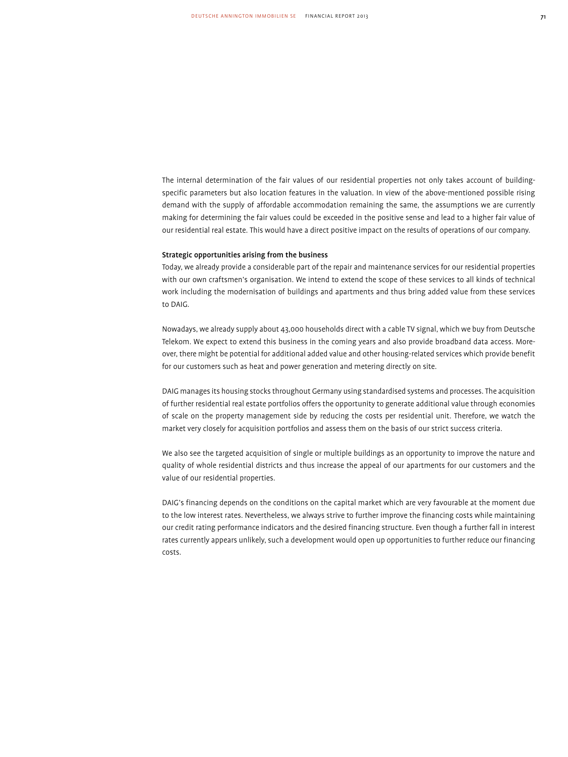The internal determination of the fair values of our residential properties not only takes account of buildingspecific parameters but also location features in the valuation. In view of the above-mentioned possible rising demand with the supply of affordable accommodation remaining the same, the assumptions we are currently making for determining the fair values could be exceeded in the positive sense and lead to a higher fair value of our residential real estate. This would have a direct positive impact on the results of operations of our company.

#### Strategic opportunities arising from the business

Today, we already provide a considerable part of the repair and maintenance services for our residential properties with our own craftsmen's organisation. We intend to extend the scope of these services to all kinds of technical work including the modernisation of buildings and apartments and thus bring added value from these services to DAIG.

Nowadays, we already supply about 43,000 households direct with a cable TV signal, which we buy from Deutsche Telekom. We expect to extend this business in the coming years and also provide broadband data access. Moreover, there might be potential for additional added value and other housing-related services which provide benefit for our customers such as heat and power generation and metering directly on site.

DAIG manages its housing stocks throughout Germany using standardised systems and processes. The acquisition of further residential real estate portfolios offers the opportunity to generate additional value through economies of scale on the property management side by reducing the costs per residential unit. Therefore, we watch the market very closely for acquisition portfolios and assess them on the basis of our strict success criteria.

We also see the targeted acquisition of single or multiple buildings as an opportunity to improve the nature and quality of whole residential districts and thus increase the appeal of our apartments for our customers and the value of our residential properties.

DAIG's financing depends on the conditions on the capital market which are very favourable at the moment due to the low interest rates. Nevertheless, we always strive to further improve the financing costs while maintaining our credit rating performance indicators and the desired financing structure. Even though a further fall in interest rates currently appears unlikely, such a development would open up opportunities to further reduce our financing costs.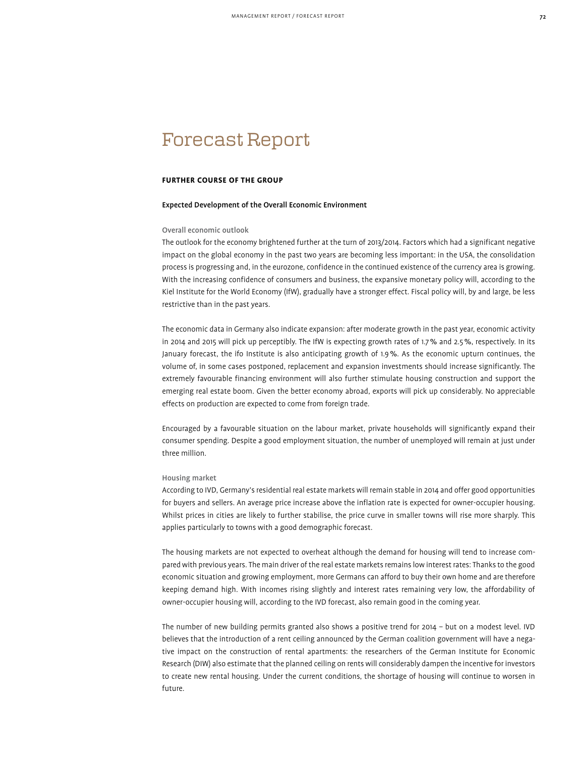# Forecast Report

# **Further Course of the Group**

#### Expected Development of the Overall Economic Environment

# Overall economic outlook

The outlook for the economy brightened further at the turn of 2013/2014. Factors which had a significant negative impact on the global economy in the past two years are becoming less important: in the USA, the consolidation process is progressing and, in the eurozone, confidence in the continued existence of the currency area is growing. With the increasing confidence of consumers and business, the expansive monetary policy will, according to the Kiel Institute for the World Economy (IfW), gradually have a stronger effect. Fiscal policy will, by and large, be less restrictive than in the past years.

The economic data in Germany also indicate expansion: after moderate growth in the past year, economic activity in 2014 and 2015 will pick up perceptibly. The IfW is expecting growth rates of 1.7% and 2.5%, respectively. In its January forecast, the ifo Institute is also anticipating growth of 1.9%. As the economic upturn continues, the volume of, in some cases postponed, replacement and expansion investments should increase significantly. The extremely favourable financing environment will also further stimulate housing construction and support the emerging real estate boom. Given the better economy abroad, exports will pick up considerably. No appreciable effects on production are expected to come from foreign trade.

Encouraged by a favourable situation on the labour market, private households will significantly expand their consumer spending. Despite a good employment situation, the number of unemployed will remain at just under three million.

# Housing market

According to IVD, Germany's residential real estate markets will remain stable in 2014 and offer good opportunities for buyers and sellers. An average price increase above the inflation rate is expected for owner-occupier housing. Whilst prices in cities are likely to further stabilise, the price curve in smaller towns will rise more sharply. This applies particularly to towns with a good demographic forecast.

The housing markets are not expected to overheat although the demand for housing will tend to increase compared with previous years. The main driver of the real estate markets remains low interest rates: Thanks to the good economic situation and growing employment, more Germans can afford to buy their own home and are therefore keeping demand high. With incomes rising slightly and interest rates remaining very low, the affordability of owner-occupier housing will, according to the IVD forecast, also remain good in the coming year.

The number of new building permits granted also shows a positive trend for 2014 – but on a modest level. IVD believes that the introduction of a rent ceiling announced by the German coalition government will have a negative impact on the construction of rental apartments: the researchers of the German Institute for Economic Research (DIW) also estimate that the planned ceiling on rents will considerably dampen the incentive for investors to create new rental housing. Under the current conditions, the shortage of housing will continue to worsen in future.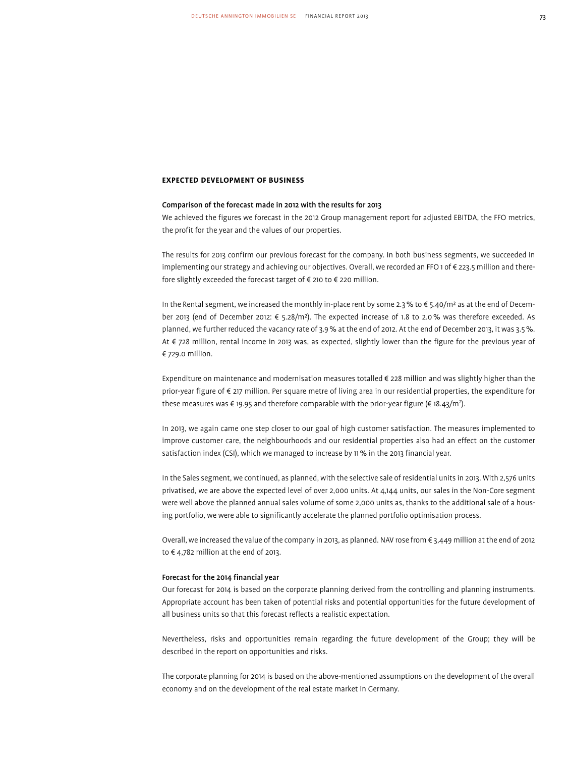## **Expected Development of Business**

## Comparison of the forecast made in 2012 with the results for 2013

We achieved the figures we forecast in the 2012 Group management report for adjusted EBITDA, the FFO metrics, the profit for the year and the values of our properties.

The results for 2013 confirm our previous forecast for the company. In both business segments, we succeeded in implementing our strategy and achieving our objectives. Overall, we recorded an FFO 1 of € 223.5 million and therefore slightly exceeded the forecast target of € 210 to € 220 million.

In the Rental segment, we increased the monthly in-place rent by some 2.3% to € 5.40/m² as at the end of December 2013 (end of December 2012: € 5.28/m²). The expected increase of 1.8 to 2.0% was therefore exceeded. As planned, we further reduced the vacancy rate of 3.9% at the end of 2012. At the end of December 2013, it was 3.5%. At € 728 million, rental income in 2013 was, as expected, slightly lower than the figure for the previous year of € 729.0 million.

Expenditure on maintenance and modernisation measures totalled € 228 million and was slightly higher than the prior-year figure of € 217 million. Per square metre of living area in our residential properties, the expenditure for these measures was € 19.95 and therefore comparable with the prior-year figure (€ 18.43/m²).

In 2013, we again came one step closer to our goal of high customer satisfaction. The measures implemented to improve customer care, the neighbourhoods and our residential properties also had an effect on the customer satisfaction index (CSI), which we managed to increase by 11% in the 2013 financial year.

In the Sales segment, we continued, as planned, with the selective sale of residential units in 2013. With 2,576 units privatised, we are above the expected level of over 2,000 units. At 4,144 units, our sales in the Non-Core segment were well above the planned annual sales volume of some 2,000 units as, thanks to the additional sale of a housing portfolio, we were able to significantly accelerate the planned portfolio optimisation process.

Overall, we increased the value of the company in 2013, as planned. NAV rose from € 3,449 million at the end of 2012 to € 4,782 million at the end of 2013.

## Forecast for the 2014 financial year

Our forecast for 2014 is based on the corporate planning derived from the controlling and planning instruments. Appropriate account has been taken of potential risks and potential opportunities for the future development of all business units so that this forecast reflects a realistic expectation.

Nevertheless, risks and opportunities remain regarding the future development of the Group; they will be described in the report on opportunities and risks.

The corporate planning for 2014 is based on the above-mentioned assumptions on the development of the overall economy and on the development of the real estate market in Germany.